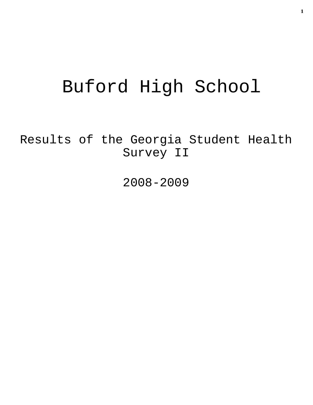# Buford High School

Results of the Georgia Student Health Survey II

2008-2009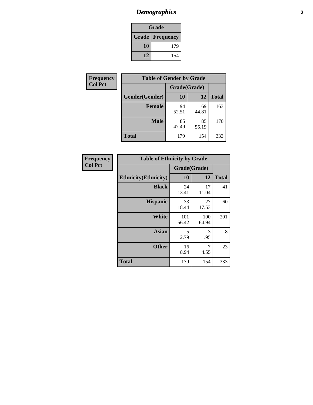# *Demographics* **2**

| Grade                    |     |  |  |  |
|--------------------------|-----|--|--|--|
| <b>Grade   Frequency</b> |     |  |  |  |
| 10                       | 179 |  |  |  |
| 12                       | 154 |  |  |  |

| <b>Frequency</b> | <b>Table of Gender by Grade</b> |              |             |              |  |
|------------------|---------------------------------|--------------|-------------|--------------|--|
| <b>Col Pct</b>   |                                 | Grade(Grade) |             |              |  |
|                  | Gender(Gender)                  | 10           | 12          | <b>Total</b> |  |
|                  | <b>Female</b>                   | 94<br>52.51  | 69<br>44.81 | 163          |  |
|                  | <b>Male</b>                     | 85<br>47.49  | 85<br>55.19 | 170          |  |
|                  | <b>Total</b>                    | 179          | 154         | 333          |  |

| <b>Frequency</b><br>Col Pct |
|-----------------------------|

| <b>Table of Ethnicity by Grade</b> |              |              |              |  |  |  |
|------------------------------------|--------------|--------------|--------------|--|--|--|
|                                    | Grade(Grade) |              |              |  |  |  |
| <b>Ethnicity</b> (Ethnicity)       | 10           | 12           | <b>Total</b> |  |  |  |
| <b>Black</b>                       | 24<br>13.41  | 17<br>11.04  | 41           |  |  |  |
| <b>Hispanic</b>                    | 33<br>18.44  | 27<br>17.53  | 60           |  |  |  |
| White                              | 101<br>56.42 | 100<br>64.94 | 201          |  |  |  |
| <b>Asian</b>                       | 5<br>2.79    | 3<br>1.95    | 8            |  |  |  |
| <b>Other</b>                       | 16<br>8.94   | 7<br>4.55    | 23           |  |  |  |
| <b>Total</b>                       | 179          | 154          | 333          |  |  |  |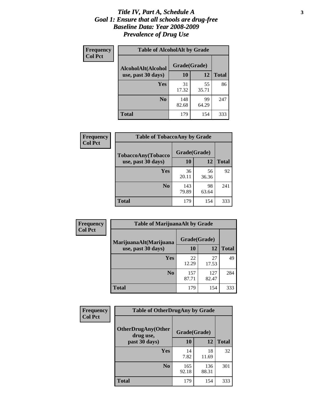#### *Title IV, Part A, Schedule A* **3** *Goal 1: Ensure that all schools are drug-free Baseline Data: Year 2008-2009 Prevalence of Drug Use*

| Frequency<br><b>Col Pct</b> | <b>Table of AlcoholAlt by Grade</b> |              |             |              |  |  |
|-----------------------------|-------------------------------------|--------------|-------------|--------------|--|--|
|                             | AlcoholAlt(Alcohol                  | Grade(Grade) |             |              |  |  |
|                             | use, past 30 days)                  | 10           | 12          | <b>Total</b> |  |  |
|                             | Yes                                 | 31<br>17.32  | 55<br>35.71 | 86           |  |  |
|                             | N <sub>0</sub>                      | 148<br>82.68 | 99<br>64.29 | 247          |  |  |
|                             | <b>Total</b>                        | 179          | 154         | 333          |  |  |

| Frequency<br><b>Col Pct</b> | <b>Table of TobaccoAny by Grade</b> |              |             |              |  |
|-----------------------------|-------------------------------------|--------------|-------------|--------------|--|
|                             | TobaccoAny(Tobacco                  | Grade(Grade) |             |              |  |
|                             | use, past 30 days)                  | 10           | 12          | <b>Total</b> |  |
|                             | Yes                                 | 36<br>20.11  | 56<br>36.36 | 92           |  |
|                             | N <sub>0</sub>                      | 143<br>79.89 | 98<br>63.64 | 241          |  |
|                             | <b>Total</b>                        | 179          | 154         | 333          |  |

| Frequency<br><b>Col Pct</b> | <b>Table of MarijuanaAlt by Grade</b> |              |              |              |  |
|-----------------------------|---------------------------------------|--------------|--------------|--------------|--|
|                             | MarijuanaAlt(Marijuana                | Grade(Grade) |              |              |  |
|                             | use, past 30 days)                    | 10           | 12           | <b>Total</b> |  |
|                             | <b>Yes</b>                            | 22<br>12.29  | 27<br>17.53  | 49           |  |
|                             | N <sub>0</sub>                        | 157<br>87.71 | 127<br>82.47 | 284          |  |
|                             | <b>Total</b>                          | 179          | 154          | 333          |  |

| <b>Frequency</b><br><b>Col Pct</b> | <b>Table of OtherDrugAny by Grade</b>  |              |              |              |  |
|------------------------------------|----------------------------------------|--------------|--------------|--------------|--|
|                                    | <b>OtherDrugAny(Other</b><br>drug use, | Grade(Grade) |              |              |  |
|                                    | past 30 days)                          | 10           | 12           | <b>Total</b> |  |
|                                    | Yes                                    | 14<br>7.82   | 18<br>11.69  | 32           |  |
|                                    | N <sub>0</sub>                         | 165<br>92.18 | 136<br>88.31 | 301          |  |
|                                    | <b>Total</b>                           | 179          | 154          | 333          |  |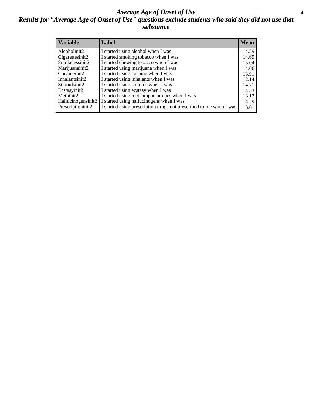#### *Average Age of Onset of Use* **4** *Results for "Average Age of Onset of Use" questions exclude students who said they did not use that substance*

| <b>Variable</b>    | Label                                                              | <b>Mean</b> |
|--------------------|--------------------------------------------------------------------|-------------|
| Alcoholinit2       | I started using alcohol when I was                                 | 14.39       |
| Cigarettesinit2    | I started smoking tobacco when I was                               | 14.65       |
| Smokelessinit2     | I started chewing tobacco when I was                               | 15.04       |
| Marijuanainit2     | I started using marijuana when I was                               | 14.06       |
| Cocaineinit2       | I started using cocaine when I was                                 | 13.91       |
| Inhalantsinit2     | I started using inhalants when I was                               | 12.14       |
| Steroidsinit2      | I started using steroids when I was                                | 14.71       |
| Ecstasyinit2       | I started using ecstasy when I was                                 | 14.33       |
| Methinit2          | I started using methamphetamines when I was                        | 13.17       |
| Hallucinogensinit2 | I started using hallucinogens when I was                           | 14.29       |
| Prescriptioninit2  | I started using prescription drugs not prescribed to me when I was | 13.61       |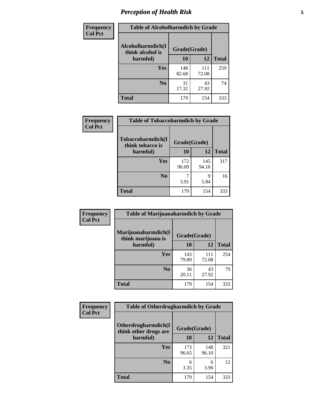# *Perception of Health Risk* **5**

| <b>Frequency</b> | <b>Table of Alcoholharmdich by Grade</b> |              |              |              |  |
|------------------|------------------------------------------|--------------|--------------|--------------|--|
| <b>Col Pct</b>   | Alcoholharmdich(I<br>think alcohol is    | Grade(Grade) |              |              |  |
|                  | harmful)                                 | 10           | 12           | <b>Total</b> |  |
|                  | <b>Yes</b>                               | 148<br>82.68 | 111<br>72.08 | 259          |  |
|                  | N <sub>0</sub>                           | 31<br>17.32  | 43<br>27.92  | 74           |  |
|                  | <b>Total</b>                             | 179          | 154          | 333          |  |

| <b>Frequency</b> | <b>Table of Tobaccoharmdich by Grade</b> |              |              |              |
|------------------|------------------------------------------|--------------|--------------|--------------|
| <b>Col Pct</b>   | Tobaccoharmdich(I<br>think tobacco is    | Grade(Grade) |              |              |
|                  | harmful)                                 | 10           | 12           | <b>Total</b> |
|                  | Yes                                      | 172<br>96.09 | 145<br>94.16 | 317          |
|                  | N <sub>0</sub>                           | 3.91         | 9<br>5.84    | 16           |
|                  | <b>Total</b>                             | 179          | 154          | 333          |

| <b>Frequency</b> | <b>Table of Marijuanaharmdich by Grade</b> |              |              |              |  |  |
|------------------|--------------------------------------------|--------------|--------------|--------------|--|--|
| <b>Col Pct</b>   | Marijuanaharmdich(I<br>think marijuana is  | Grade(Grade) |              |              |  |  |
|                  | harmful)                                   | 10           | 12           | <b>Total</b> |  |  |
|                  | Yes                                        | 143<br>79.89 | 111<br>72.08 | 254          |  |  |
|                  | N <sub>0</sub>                             | 36<br>20.11  | 43<br>27.92  | 79           |  |  |
|                  | <b>Total</b>                               | 179          | 154          | 333          |  |  |

| Frequency      | <b>Table of Otherdrugharmdich by Grade</b>   |              |              |              |  |  |  |  |
|----------------|----------------------------------------------|--------------|--------------|--------------|--|--|--|--|
| <b>Col Pct</b> | Otherdrugharmdich(I<br>think other drugs are | Grade(Grade) |              |              |  |  |  |  |
|                | harmful)                                     | <b>10</b>    | 12           | <b>Total</b> |  |  |  |  |
|                | <b>Yes</b>                                   | 173<br>96.65 | 148<br>96.10 | 321          |  |  |  |  |
|                | N <sub>0</sub>                               | 6<br>3.35    | 6<br>3.90    | 12           |  |  |  |  |
|                | <b>Total</b>                                 | 179          | 154          | 333          |  |  |  |  |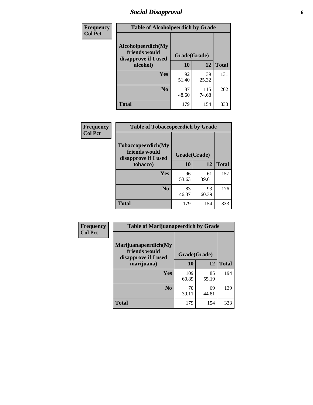# *Social Disapproval* **6**

| Frequency      | <b>Table of Alcoholpeerdich by Grade</b>                    |              |              |     |
|----------------|-------------------------------------------------------------|--------------|--------------|-----|
| <b>Col Pct</b> | Alcoholpeerdich(My<br>friends would<br>disapprove if I used | Grade(Grade) |              |     |
|                | alcohol)                                                    | 10           | <b>Total</b> |     |
|                | <b>Yes</b>                                                  | 92<br>51.40  | 39<br>25.32  | 131 |
|                | N <sub>0</sub>                                              | 87<br>48.60  | 115<br>74.68 | 202 |
|                | <b>Total</b>                                                | 179          | 154          | 333 |

| <b>Frequency</b> |
|------------------|
| <b>Col Pct</b>   |

| <b>Table of Tobaccopeerdich by Grade</b>                    |              |             |              |  |  |  |
|-------------------------------------------------------------|--------------|-------------|--------------|--|--|--|
| Tobaccopeerdich(My<br>friends would<br>disapprove if I used | Grade(Grade) |             |              |  |  |  |
| tobacco)                                                    | 10           | 12          | <b>Total</b> |  |  |  |
| Yes                                                         | 96<br>53.63  | 61<br>39.61 | 157          |  |  |  |
| N <sub>0</sub>                                              | 83<br>46.37  | 93<br>60.39 | 176          |  |  |  |
| <b>Total</b>                                                | 179          | 154         | 333          |  |  |  |

| Frequency      | <b>Table of Marijuanapeerdich by Grade</b>                    |              |             |              |  |  |  |  |
|----------------|---------------------------------------------------------------|--------------|-------------|--------------|--|--|--|--|
| <b>Col Pct</b> | Marijuanapeerdich(My<br>friends would<br>disapprove if I used | Grade(Grade) |             |              |  |  |  |  |
|                | marijuana)                                                    | 10           | 12          | <b>Total</b> |  |  |  |  |
|                | <b>Yes</b>                                                    | 109<br>60.89 | 85<br>55.19 | 194          |  |  |  |  |
|                | N <sub>0</sub>                                                | 70<br>39.11  | 69<br>44.81 | 139          |  |  |  |  |
|                | <b>Total</b>                                                  | 179          | 154         | 333          |  |  |  |  |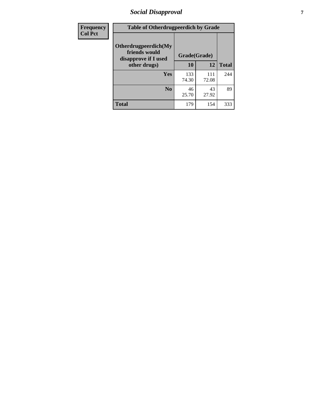# *Social Disapproval* **7**

| Frequency      | <b>Table of Otherdrugpeerdich by Grade</b>                    |              |              |     |  |  |  |  |
|----------------|---------------------------------------------------------------|--------------|--------------|-----|--|--|--|--|
| <b>Col Pct</b> | Otherdrugpeerdich(My<br>friends would<br>disapprove if I used | Grade(Grade) |              |     |  |  |  |  |
|                | other drugs)                                                  | 10           | <b>Total</b> |     |  |  |  |  |
|                | <b>Yes</b>                                                    | 133<br>74.30 | 111<br>72.08 | 244 |  |  |  |  |
|                | N <sub>0</sub>                                                | 46<br>25.70  | 43<br>27.92  | 89  |  |  |  |  |
|                | <b>Total</b>                                                  | 179          | 154          | 333 |  |  |  |  |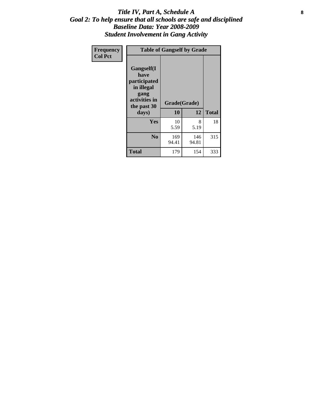#### Title IV, Part A, Schedule A **8** *Goal 2: To help ensure that all schools are safe and disciplined Baseline Data: Year 2008-2009 Student Involvement in Gang Activity*

| Frequency      |                                                                                                   | <b>Table of Gangself by Grade</b> |              |              |
|----------------|---------------------------------------------------------------------------------------------------|-----------------------------------|--------------|--------------|
| <b>Col Pct</b> | Gangself(I<br>have<br>participated<br>in illegal<br>gang<br>activities in<br>the past 30<br>days) | Grade(Grade)<br>10                | 12           | <b>Total</b> |
|                | Yes                                                                                               | 10<br>5.59                        | 8<br>5.19    | 18           |
|                | N <sub>0</sub>                                                                                    | 169<br>94.41                      | 146<br>94.81 | 315          |
|                | <b>Total</b>                                                                                      | 179                               | 154          | 333          |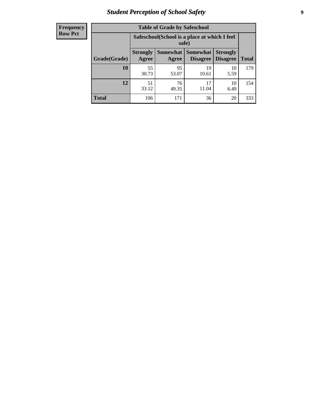# *Student Perception of School Safety* **9**

| <b>Frequency</b><br>Row Pct |
|-----------------------------|
|                             |

| <b>Table of Grade by Safeschool</b> |                                                        |             |                               |                                    |              |  |  |
|-------------------------------------|--------------------------------------------------------|-------------|-------------------------------|------------------------------------|--------------|--|--|
|                                     | Safeschool (School is a place at which I feel<br>safe) |             |                               |                                    |              |  |  |
| Grade(Grade)                        | <b>Strongly</b><br>Agree                               | Agree       | Somewhat Somewhat<br>Disagree | <b>Strongly</b><br><b>Disagree</b> | <b>Total</b> |  |  |
| 10                                  | 55<br>30.73                                            | 95<br>53.07 | 19<br>10.61                   | 10<br>5.59                         | 179          |  |  |
| 12                                  | 51<br>33.12                                            | 76<br>49.35 | 17<br>11.04                   | 10<br>6.49                         | 154          |  |  |
| <b>Total</b>                        | 106                                                    | 171         | 36                            | 20                                 | 333          |  |  |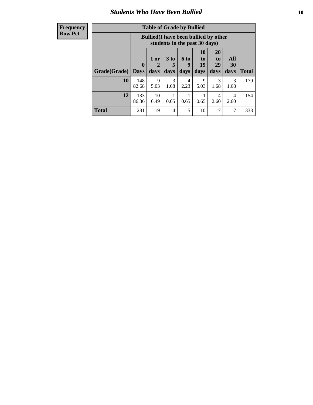### *Students Who Have Been Bullied* **10**

#### **Frequency Row Pct**

| <b>Table of Grade by Bullied</b> |                         |                                                                               |                              |                          |                        |                        |                          |              |
|----------------------------------|-------------------------|-------------------------------------------------------------------------------|------------------------------|--------------------------|------------------------|------------------------|--------------------------|--------------|
|                                  |                         | <b>Bullied</b> (I have been bullied by other<br>students in the past 30 days) |                              |                          |                        |                        |                          |              |
| Grade(Grade)                     | $\bf{0}$<br><b>Days</b> | 1 or<br>days                                                                  | 3 <sub>to</sub><br>5<br>days | <b>6 to</b><br>9<br>days | 10<br>to<br>19<br>days | 20<br>to<br>29<br>days | <b>All</b><br>30<br>days | <b>Total</b> |
| 10                               | 148<br>82.68            | 9<br>5.03                                                                     | 3<br>1.68                    | 4<br>2.23                | 9<br>5.03              | 3<br>1.68              | 3<br>1.68                | 179          |
| 12                               | 133<br>86.36            | 10<br>6.49                                                                    | 0.65                         | 0.65                     | 0.65                   | 4<br>2.60              | 4<br>2.60                | 154          |
| <b>Total</b>                     | 281                     | 19                                                                            | 4                            | 5                        | 10                     | 7                      | $\mathbf{r}$             | 333          |

 $\blacksquare$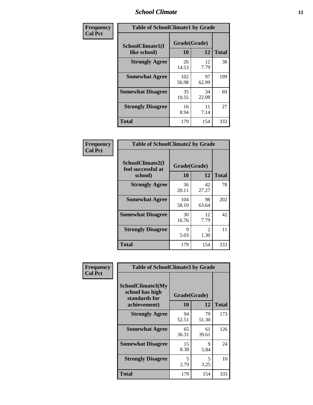#### *School Climate* **11**

| Frequency      | <b>Table of SchoolClimate1 by Grade</b> |                    |             |              |  |  |
|----------------|-----------------------------------------|--------------------|-------------|--------------|--|--|
| <b>Col Pct</b> | SchoolClimate1(I<br>like school)        | Grade(Grade)<br>10 | 12          | <b>Total</b> |  |  |
|                | <b>Strongly Agree</b>                   | 26<br>14.53        | 12<br>7.79  | 38           |  |  |
|                | <b>Somewhat Agree</b>                   | 102<br>56.98       | 97<br>62.99 | 199          |  |  |
|                | <b>Somewhat Disagree</b>                | 35<br>19.55        | 34<br>22.08 | 69           |  |  |
|                | <b>Strongly Disagree</b>                | 16<br>8.94         | 11<br>7.14  | 27           |  |  |
|                | <b>Total</b>                            | 179                | 154         | 333          |  |  |

| <b>Frequency</b> |  |
|------------------|--|
| <b>Col Pct</b>   |  |

| <b>Table of SchoolClimate2 by Grade</b>           |                    |             |              |  |
|---------------------------------------------------|--------------------|-------------|--------------|--|
| SchoolClimate2(I<br>feel successful at<br>school) | Grade(Grade)<br>10 | 12          | <b>Total</b> |  |
| <b>Strongly Agree</b>                             | 36<br>20.11        | 42<br>27.27 | 78           |  |
| <b>Somewhat Agree</b>                             | 104<br>58.10       | 98<br>63.64 | 202          |  |
| <b>Somewhat Disagree</b>                          | 30<br>16.76        | 12<br>7.79  | 42           |  |
| <b>Strongly Disagree</b>                          | 9<br>5.03          | 2<br>1.30   | 11           |  |
| <b>Total</b>                                      | 179                | 154         | 333          |  |

| Frequency      | <b>Table of SchoolClimate3 by Grade</b>                                      |                           |             |              |
|----------------|------------------------------------------------------------------------------|---------------------------|-------------|--------------|
| <b>Col Pct</b> | <b>SchoolClimate3(My</b><br>school has high<br>standards for<br>achievement) | Grade(Grade)<br><b>10</b> | 12          | <b>Total</b> |
|                | <b>Strongly Agree</b>                                                        | 94<br>52.51               | 79<br>51.30 | 173          |
|                | <b>Somewhat Agree</b>                                                        | 65<br>36.31               | 61<br>39.61 | 126          |
|                | <b>Somewhat Disagree</b>                                                     | 15<br>8.38                | 9<br>5.84   | 24           |
|                | <b>Strongly Disagree</b>                                                     | 5<br>2.79                 | 5<br>3.25   | 10           |
|                | Total                                                                        | 179                       | 154         | 333          |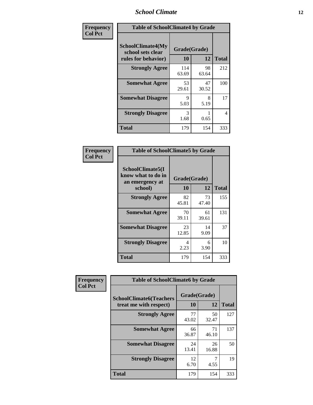#### *School Climate* **12**

| Frequency      | <b>Table of SchoolClimate4 by Grade</b>                       |                    |             |              |
|----------------|---------------------------------------------------------------|--------------------|-------------|--------------|
| <b>Col Pct</b> | SchoolClimate4(My<br>school sets clear<br>rules for behavior) | Grade(Grade)<br>10 | 12          | <b>Total</b> |
|                | <b>Strongly Agree</b>                                         | 114<br>63.69       | 98<br>63.64 | 212          |
|                | <b>Somewhat Agree</b>                                         | 53<br>29.61        | 47<br>30.52 | 100          |
|                | <b>Somewhat Disagree</b>                                      | 9<br>5.03          | 8<br>5.19   | 17           |
|                | <b>Strongly Disagree</b>                                      | 3<br>1.68          | 0.65        | 4            |
|                | <b>Total</b>                                                  | 179                | 154         | 333          |

| <b>Table of SchoolClimate5 by Grade</b>                   |              |             |              |  |  |
|-----------------------------------------------------------|--------------|-------------|--------------|--|--|
| SchoolClimate5(I<br>know what to do in<br>an emergency at | Grade(Grade) |             |              |  |  |
| school)                                                   | 10           | 12          | <b>Total</b> |  |  |
| <b>Strongly Agree</b>                                     | 82<br>45.81  | 73<br>47.40 | 155          |  |  |
| <b>Somewhat Agree</b>                                     | 70<br>39.11  | 61<br>39.61 | 131          |  |  |
| <b>Somewhat Disagree</b>                                  | 23<br>12.85  | 14<br>9.09  | 37           |  |  |
| <b>Strongly Disagree</b>                                  | 4<br>2.23    | 6<br>3.90   | 10           |  |  |
| Total                                                     | 179          | 154         | 333          |  |  |

| <b>Frequency</b> | <b>Table of SchoolClimate6 by Grade</b>                  |                    |             |              |
|------------------|----------------------------------------------------------|--------------------|-------------|--------------|
| <b>Col Pct</b>   | <b>SchoolClimate6(Teachers</b><br>treat me with respect) | Grade(Grade)<br>10 | 12          | <b>Total</b> |
|                  | <b>Strongly Agree</b>                                    | 77<br>43.02        | 50<br>32.47 | 127          |
|                  | <b>Somewhat Agree</b>                                    | 66<br>36.87        | 71<br>46.10 | 137          |
|                  | <b>Somewhat Disagree</b>                                 | 24<br>13.41        | 26<br>16.88 | 50           |
|                  | <b>Strongly Disagree</b>                                 | 12<br>6.70         | 4.55        | 19           |
|                  | <b>Total</b>                                             | 179                | 154         | 333          |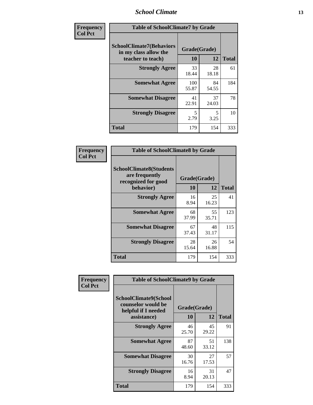#### *School Climate* **13**

| Frequency      | <b>Table of SchoolClimate7 by Grade</b>                                       |                           |             |              |
|----------------|-------------------------------------------------------------------------------|---------------------------|-------------|--------------|
| <b>Col Pct</b> | <b>SchoolClimate7(Behaviors</b><br>in my class allow the<br>teacher to teach) | Grade(Grade)<br><b>10</b> | 12          | <b>Total</b> |
|                | <b>Strongly Agree</b>                                                         | 33<br>18.44               | 28<br>18.18 | 61           |
|                | <b>Somewhat Agree</b>                                                         | 100<br>55.87              | 84<br>54.55 | 184          |
|                | <b>Somewhat Disagree</b>                                                      | 41<br>22.91               | 37<br>24.03 | 78           |
|                | <b>Strongly Disagree</b>                                                      | 5<br>2.79                 | 5<br>3.25   | 10           |
|                | <b>Total</b>                                                                  | 179                       | 154         | 333          |

| Frequency      | <b>Table of SchoolClimate8 by Grade</b>                                 |              |             |              |
|----------------|-------------------------------------------------------------------------|--------------|-------------|--------------|
| <b>Col Pct</b> | <b>SchoolClimate8(Students</b><br>are frequently<br>recognized for good | Grade(Grade) |             |              |
|                | behavior)                                                               | 10           | 12          | <b>Total</b> |
|                | <b>Strongly Agree</b>                                                   | 16<br>8.94   | 25<br>16.23 | 41           |
|                | <b>Somewhat Agree</b>                                                   | 68<br>37.99  | 55<br>35.71 | 123          |
|                | <b>Somewhat Disagree</b>                                                | 67<br>37.43  | 48<br>31.17 | 115          |
|                | <b>Strongly Disagree</b>                                                | 28<br>15.64  | 26<br>16.88 | 54           |
|                | <b>Total</b>                                                            | 179          | 154         | 333          |

| Frequency      | <b>Table of SchoolClimate9 by Grade</b>                            |              |             |              |
|----------------|--------------------------------------------------------------------|--------------|-------------|--------------|
| <b>Col Pct</b> | SchoolClimate9(School<br>counselor would be<br>helpful if I needed | Grade(Grade) |             |              |
|                | assistance)                                                        | 10           | 12          | <b>Total</b> |
|                | <b>Strongly Agree</b>                                              | 46<br>25.70  | 45<br>29.22 | 91           |
|                | <b>Somewhat Agree</b>                                              | 87<br>48.60  | 51<br>33.12 | 138          |
|                | <b>Somewhat Disagree</b>                                           | 30<br>16.76  | 27<br>17.53 | 57           |
|                | <b>Strongly Disagree</b>                                           | 16<br>8.94   | 31<br>20.13 | 47           |
|                | Total                                                              | 179          | 154         | 333          |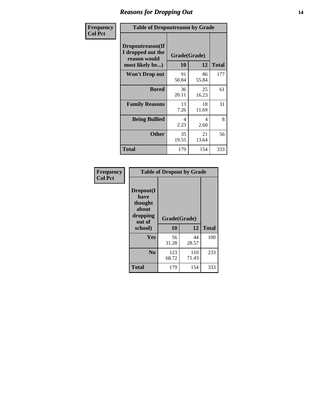### *Reasons for Dropping Out* **14**

| Frequency      | <b>Table of Dropoutreason by Grade</b>                                   |                    |             |              |
|----------------|--------------------------------------------------------------------------|--------------------|-------------|--------------|
| <b>Col Pct</b> | Dropoutreason(If<br>I dropped out the<br>reason would<br>most likely be) | Grade(Grade)<br>10 | 12          | <b>Total</b> |
|                | <b>Won't Drop out</b>                                                    | 91<br>50.84        | 86<br>55.84 | 177          |
|                | <b>Bored</b>                                                             | 36<br>20.11        | 25<br>16.23 | 61           |
|                | <b>Family Reasons</b>                                                    | 13<br>7.26         | 18<br>11.69 | 31           |
|                | <b>Being Bullied</b>                                                     | 4<br>2.23          | 4<br>2.60   | 8            |
|                | <b>Other</b>                                                             | 35<br>19.55        | 21<br>13.64 | 56           |
|                | <b>Total</b>                                                             | 179                | 154         | 333          |

| Frequency<br><b>Col Pct</b> | <b>Table of Dropout by Grade</b>                            |              |              |              |  |
|-----------------------------|-------------------------------------------------------------|--------------|--------------|--------------|--|
|                             | Dropout(I<br>have<br>thought<br>about<br>dropping<br>out of | Grade(Grade) |              |              |  |
|                             | school)                                                     | 10           | 12           | <b>Total</b> |  |
|                             | Yes                                                         | 56<br>31.28  | 44<br>28.57  | 100          |  |
|                             | N <sub>0</sub>                                              | 123<br>68.72 | 110<br>71.43 | 233          |  |
|                             | <b>Total</b>                                                | 179          | 154          | 333          |  |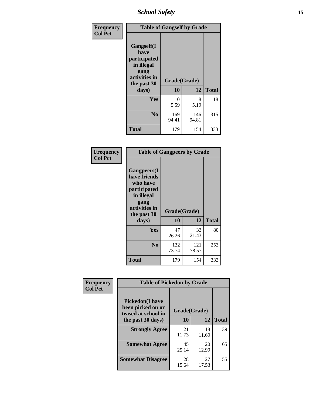*School Safety* **15**

| Frequency      | <b>Table of Gangself by Grade</b>                                                                 |                    |              |              |
|----------------|---------------------------------------------------------------------------------------------------|--------------------|--------------|--------------|
| <b>Col Pct</b> | Gangself(I<br>have<br>participated<br>in illegal<br>gang<br>activities in<br>the past 30<br>days) | Grade(Grade)<br>10 | 12           | <b>Total</b> |
|                | Yes                                                                                               | 10<br>5.59         | 8<br>5.19    | 18           |
|                | N <sub>o</sub>                                                                                    | 169<br>94.41       | 146<br>94.81 | 315          |
|                | <b>Total</b>                                                                                      | 179                | 154          | 333          |

| Frequency<br><b>Col Pct</b> | <b>Table of Gangpeers by Grade</b>                                                                                             |                    |              |              |
|-----------------------------|--------------------------------------------------------------------------------------------------------------------------------|--------------------|--------------|--------------|
|                             | <b>Gangpeers</b> (I<br>have friends<br>who have<br>participated<br>in illegal<br>gang<br>activities in<br>the past 30<br>days) | Grade(Grade)<br>10 | 12           | <b>Total</b> |
|                             | <b>Yes</b>                                                                                                                     | 47<br>26.26        | 33<br>21.43  | 80           |
|                             | N <sub>0</sub>                                                                                                                 | 132<br>73.74       | 121<br>78.57 | 253          |
|                             | <b>Total</b>                                                                                                                   | 179                | 154          | 333          |

| Frequency      |                                                                    | <b>Table of Pickedon by Grade</b> |             |              |  |  |  |  |  |  |
|----------------|--------------------------------------------------------------------|-----------------------------------|-------------|--------------|--|--|--|--|--|--|
| <b>Col Pct</b> | <b>Pickedon(I have</b><br>been picked on or<br>teased at school in | Grade(Grade)                      |             |              |  |  |  |  |  |  |
|                | the past 30 days)                                                  | 10                                | 12          | <b>Total</b> |  |  |  |  |  |  |
|                | <b>Strongly Agree</b>                                              | 21<br>11.73                       | 18<br>11.69 | 39           |  |  |  |  |  |  |
|                | <b>Somewhat Agree</b>                                              | 45<br>25.14                       | 20<br>12.99 | 65           |  |  |  |  |  |  |
|                | <b>Somewhat Disagree</b>                                           | 28<br>15.64                       | 27<br>17.53 | 55           |  |  |  |  |  |  |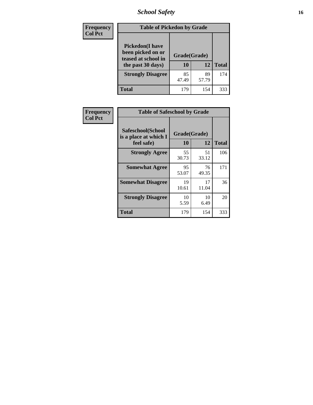*School Safety* **16**

| <b>Frequency</b> | <b>Table of Pickedon by Grade</b>                                                        |                    |             |              |
|------------------|------------------------------------------------------------------------------------------|--------------------|-------------|--------------|
| <b>Col Pct</b>   | <b>Pickedon</b> (I have<br>been picked on or<br>teased at school in<br>the past 30 days) | Grade(Grade)<br>10 | 12          | <b>Total</b> |
|                  | <b>Strongly Disagree</b>                                                                 | 85<br>47.49        | 89<br>57.79 | 174          |
|                  | Total                                                                                    | 179                | 154         | 333          |

| Frequency      |                                                          | <b>Table of Safeschool by Grade</b> |             |              |  |  |  |  |  |  |  |
|----------------|----------------------------------------------------------|-------------------------------------|-------------|--------------|--|--|--|--|--|--|--|
| <b>Col Pct</b> | Safeschool(School<br>is a place at which I<br>feel safe) | Grade(Grade)<br>10                  | 12          | <b>Total</b> |  |  |  |  |  |  |  |
|                | <b>Strongly Agree</b>                                    | 55<br>30.73                         | 51<br>33.12 | 106          |  |  |  |  |  |  |  |
|                | <b>Somewhat Agree</b>                                    | 95<br>53.07                         | 76<br>49.35 | 171          |  |  |  |  |  |  |  |
|                | <b>Somewhat Disagree</b>                                 | 19<br>10.61                         | 17<br>11.04 | 36           |  |  |  |  |  |  |  |
|                | <b>Strongly Disagree</b>                                 | 10<br>5.59                          | 10<br>6.49  | 20           |  |  |  |  |  |  |  |
|                | <b>Total</b>                                             | 179                                 | 154         | 333          |  |  |  |  |  |  |  |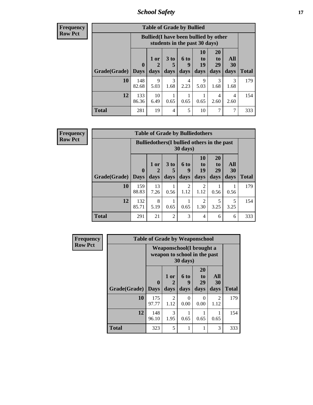*School Safety* **17**

**Frequency Row Pct**

| <b>Table of Grade by Bullied</b> |              |                                                                               |                              |                   |                        |                        |                          |              |  |  |  |  |
|----------------------------------|--------------|-------------------------------------------------------------------------------|------------------------------|-------------------|------------------------|------------------------|--------------------------|--------------|--|--|--|--|
|                                  |              | <b>Bullied</b> (I have been bullied by other<br>students in the past 30 days) |                              |                   |                        |                        |                          |              |  |  |  |  |
| Grade(Grade)   Days              | $\mathbf 0$  | 1 or<br>2<br>days                                                             | 3 <sub>to</sub><br>5<br>days | 6 to<br>9<br>days | 10<br>to<br>19<br>days | 20<br>to<br>29<br>days | All<br><b>30</b><br>days | <b>Total</b> |  |  |  |  |
| 10                               | 148<br>82.68 | 9<br>5.03                                                                     | 3<br>1.68                    | 4<br>2.23         | 9<br>5.03              | 3<br>1.68              | 3<br>1.68                | 179          |  |  |  |  |
| 12                               | 133<br>86.36 | 10<br>6.49                                                                    | 0.65                         | 0.65              | 0.65                   | 4<br>2.60              | $\overline{4}$<br>2.60   | 154          |  |  |  |  |
| <b>Total</b>                     | 281          | 19                                                                            | 4                            | 5                 | 10                     | 7                      | 7                        | 333          |  |  |  |  |

| <b>Table of Grade by Bulliedothers</b>                                                                                                                      |                                                                |            |                |           |                        |           |           |              |  |  |  |
|-------------------------------------------------------------------------------------------------------------------------------------------------------------|----------------------------------------------------------------|------------|----------------|-----------|------------------------|-----------|-----------|--------------|--|--|--|
|                                                                                                                                                             | <b>Bulliedothers</b> (I bullied others in the past<br>30 days) |            |                |           |                        |           |           |              |  |  |  |
| <b>20</b><br><b>10</b><br>3 <sub>to</sub><br>All<br>$1$ or<br>6 to<br>to<br>to<br>19<br>29<br>30<br>$\mathbf 0$<br>5<br>2<br>9<br><b>Grade</b> (Grade) Days |                                                                |            |                |           |                        |           |           |              |  |  |  |
|                                                                                                                                                             |                                                                | days       | days           | days      | days                   | days      | days      | <b>Total</b> |  |  |  |
| 10                                                                                                                                                          | 159<br>88.83                                                   | 13<br>7.26 | 0.56           | 2<br>1.12 | $\mathfrak{D}$<br>1.12 | 0.56      | 0.56      | 179          |  |  |  |
| 12                                                                                                                                                          | 132<br>85.71                                                   | 8<br>5.19  | 0.65           | 0.65      | $\mathfrak{D}$<br>1.30 | 5<br>3.25 | 5<br>3.25 | 154          |  |  |  |
| <b>Total</b>                                                                                                                                                | 291                                                            | 21         | $\overline{2}$ | 3         | 4                      | 6         | 6         | 333          |  |  |  |

| Frequency      | <b>Table of Grade by Weaponschool</b> |                                                                  |                   |                          |                        |                          |              |  |  |  |  |
|----------------|---------------------------------------|------------------------------------------------------------------|-------------------|--------------------------|------------------------|--------------------------|--------------|--|--|--|--|
| <b>Row Pct</b> |                                       | <b>Weaponschool</b> (I brought a<br>weapon to school in the past |                   |                          |                        |                          |              |  |  |  |  |
|                | Grade(Grade)                          | $\bf{0}$<br><b>Days</b>                                          | 1 or<br>2<br>days | <b>6 to</b><br>9<br>days | 20<br>to<br>29<br>days | All<br><b>30</b><br>days | <b>Total</b> |  |  |  |  |
|                | 10                                    | 175<br>97.77                                                     | 2<br>1.12         | $\Omega$<br>0.00         | $\Omega$<br>0.00       | $\mathfrak{D}$<br>1.12   | 179          |  |  |  |  |
|                | 12                                    | 148<br>96.10                                                     | 3<br>1.95         | 0.65                     | 0.65                   | 0.65                     | 154          |  |  |  |  |
|                | <b>Total</b>                          | 323                                                              | 5                 | 1                        | 1                      | 3                        | 333          |  |  |  |  |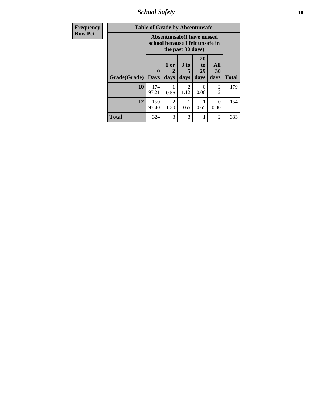*School Safety* **18**

| <b>Frequency</b> |              | <b>Table of Grade by Absentunsafe</b>                                |                        |                                     |                        |                        |              |
|------------------|--------------|----------------------------------------------------------------------|------------------------|-------------------------------------|------------------------|------------------------|--------------|
| <b>Row Pct</b>   |              | <b>Absentunsafe(I have missed</b><br>school because I felt unsafe in |                        |                                     |                        |                        |              |
|                  | Grade(Grade) | $\bf{0}$<br><b>Days</b>                                              | 1 or<br>2<br>days      | 3 to<br>5<br>days                   | 20<br>to<br>29<br>days | All<br>30<br>days      | <b>Total</b> |
|                  | 10           | 174<br>97.21                                                         | 0.56                   | $\mathcal{D}_{\mathcal{L}}$<br>1.12 | 0.00                   | $\mathfrak{D}$<br>1.12 | 179          |
|                  | 12           | 150<br>97.40                                                         | $\overline{2}$<br>1.30 | 0.65                                | 0.65                   | 0<br>0.00              | 154          |
|                  | <b>Total</b> | 324                                                                  | 3                      | 3                                   | 1                      | 2                      | 333          |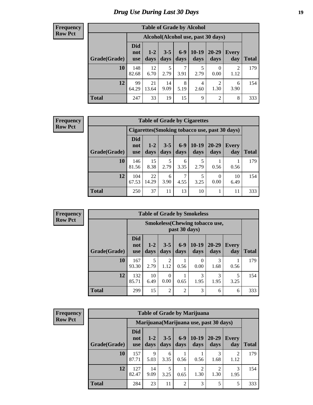# *Drug Use During Last 30 Days* **19**

#### **Frequency Row Pct**

| <b>Table of Grade by Alcohol</b> |                          |                                    |                 |               |                 |                        |              |       |  |  |  |
|----------------------------------|--------------------------|------------------------------------|-----------------|---------------|-----------------|------------------------|--------------|-------|--|--|--|
|                                  |                          | Alcohol(Alcohol use, past 30 days) |                 |               |                 |                        |              |       |  |  |  |
| Grade(Grade)                     | <b>Did</b><br>not<br>use | $1 - 2$<br>days                    | $3 - 5$<br>days | $6-9$<br>days | $10-19$<br>days | 20-29<br>days          | Every<br>day | Total |  |  |  |
| 10                               | 148<br>82.68             | 12<br>6.70                         | 5<br>2.79       | 7<br>3.91     | 5<br>2.79       | 0<br>0.00              | 2<br>1.12    | 179   |  |  |  |
| 12                               | 99<br>64.29              | 21<br>13.64                        | 14<br>9.09      | 8<br>5.19     | 4<br>2.60       | $\overline{2}$<br>1.30 | 6<br>3.90    | 154   |  |  |  |
| <b>Total</b>                     | 247                      | 33                                 | 19              | 15            | 9               | $\overline{2}$         | 8            | 333   |  |  |  |

#### **Frequency Row Pct**

| <b>Table of Grade by Cigarettes</b> |                                 |                                                |                 |               |                 |               |                     |              |  |  |  |
|-------------------------------------|---------------------------------|------------------------------------------------|-----------------|---------------|-----------------|---------------|---------------------|--------------|--|--|--|
|                                     |                                 | Cigarettes (Smoking tobacco use, past 30 days) |                 |               |                 |               |                     |              |  |  |  |
| Grade(Grade)                        | <b>Did</b><br>not<br><b>use</b> | $1-2$<br>days                                  | $3 - 5$<br>days | $6-9$<br>days | $10-19$<br>days | 20-29<br>days | <b>Every</b><br>day | <b>Total</b> |  |  |  |
| 10                                  | 146<br>81.56                    | 15<br>8.38                                     | 5<br>2.79       | 6<br>3.35     | 2.79            | 0.56          | 0.56                | 179          |  |  |  |
| 12                                  | 104<br>67.53                    | 22<br>14.29                                    | 6<br>3.90       | 7<br>4.55     | 5<br>3.25       | 0<br>0.00     | 10<br>6.49          | 154          |  |  |  |
| <b>Total</b>                        | 250                             | 37                                             | 11              | 13            | 10              |               | 11                  | 333          |  |  |  |

**Frequency Row Pct**

| <b>Table of Grade by Smokeless</b> |                                 |                                                         |                        |                 |                 |                   |                     |              |  |  |
|------------------------------------|---------------------------------|---------------------------------------------------------|------------------------|-----------------|-----------------|-------------------|---------------------|--------------|--|--|
|                                    |                                 | <b>Smokeless</b> (Chewing tobacco use,<br>past 30 days) |                        |                 |                 |                   |                     |              |  |  |
| Grade(Grade)                       | <b>Did</b><br>not<br><b>use</b> | $1 - 2$<br>days                                         | $3 - 5$<br>days        | $6 - 9$<br>days | $10-19$<br>days | $20 - 29$<br>days | <b>Every</b><br>day | <b>Total</b> |  |  |
| 10                                 | 167<br>93.30                    | 5<br>2.79                                               | $\overline{2}$<br>1.12 | 0.56            | 0<br>0.00       | 3<br>1.68         | 0.56                | 179          |  |  |
| 12                                 | 132<br>85.71                    | 10<br>6.49                                              | $\Omega$<br>0.00       | 0.65            | 3<br>1.95       | 3<br>1.95         | 5<br>3.25           | 154          |  |  |
| <b>Total</b>                       | 299                             | 15                                                      | $\overline{2}$         | $\overline{2}$  | 3               | 6                 | 6                   | 333          |  |  |

| <b>Table of Grade by Marijuana</b> |                                 |                                         |                 |                 |                 |                   |                        |              |  |  |  |
|------------------------------------|---------------------------------|-----------------------------------------|-----------------|-----------------|-----------------|-------------------|------------------------|--------------|--|--|--|
|                                    |                                 | Marijuana (Marijuana use, past 30 days) |                 |                 |                 |                   |                        |              |  |  |  |
| Grade(Grade)                       | <b>Did</b><br>not<br><b>use</b> | $1 - 2$<br>days                         | $3 - 5$<br>days | $6 - 9$<br>days | $10-19$<br>days | $20 - 29$<br>days | <b>Every</b><br>day    | <b>Total</b> |  |  |  |
| 10                                 | 157<br>87.71                    | 9<br>5.03                               | 6<br>3.35       | 0.56            | 0.56            | 1.68              | $\overline{2}$<br>1.12 | 179          |  |  |  |
| 12                                 | 127<br>82.47                    | 14<br>9.09                              | 5<br>3.25       | 0.65            | 2<br>1.30       | 1.30              | 3<br>1.95              | 154          |  |  |  |
| <b>Total</b>                       | 284                             | 23                                      | 11              | $\overline{2}$  | 3               | 5                 | 5                      | 333          |  |  |  |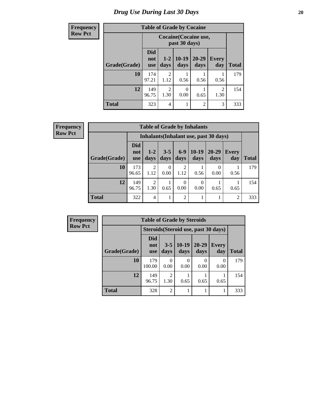# *Drug Use During Last 30 Days* 20

| <b>Frequency</b> |              | <b>Table of Grade by Cocaine</b> |                                               |                  |                   |                        |              |  |  |  |
|------------------|--------------|----------------------------------|-----------------------------------------------|------------------|-------------------|------------------------|--------------|--|--|--|
| <b>Row Pct</b>   |              |                                  | <b>Cocaine</b> (Cocaine use,<br>past 30 days) |                  |                   |                        |              |  |  |  |
|                  | Grade(Grade) | <b>Did</b><br>not<br><b>use</b>  | $1 - 2$<br>days                               | $10-19$<br>days  | $20 - 29$<br>days | <b>Every</b><br>day    | <b>Total</b> |  |  |  |
|                  | 10           | 174<br>97.21                     | $\overline{2}$<br>1.12                        | 0.56             | 0.56              | 0.56                   | 179          |  |  |  |
|                  | 12           | 149<br>96.75                     | $\overline{2}$<br>1.30                        | $\Omega$<br>0.00 | 0.65              | $\overline{2}$<br>1.30 | 154          |  |  |  |
|                  | <b>Total</b> | 323                              | $\overline{4}$                                |                  | $\overline{c}$    | 3                      | 333          |  |  |  |

| <b>Table of Grade by Inhalants</b> |                                 |                                        |                 |                        |                  |                   |              |       |  |
|------------------------------------|---------------------------------|----------------------------------------|-----------------|------------------------|------------------|-------------------|--------------|-------|--|
|                                    |                                 | Inhalants (Inhalant use, past 30 days) |                 |                        |                  |                   |              |       |  |
| Grade(Grade)                       | <b>Did</b><br>not<br><b>use</b> | $1 - 2$<br>days                        | $3 - 5$<br>days | $6-9$<br>days          | $10-19$<br>days  | $20 - 29$<br>days | Every<br>day | Total |  |
| 10                                 | 173<br>96.65                    | $\overline{2}$<br>1.12                 | 0<br>0.00       | $\overline{2}$<br>1.12 | 0.56             | 0<br>0.00         | 0.56         | 179   |  |
| 12                                 | 149<br>96.75                    | $\overline{2}$<br>1.30                 | 0.65            | $\Omega$<br>0.00       | $\theta$<br>0.00 | 0.65              | 0.65         | 154   |  |
| <b>Total</b>                       | 322                             | 4                                      | 1               | $\overline{2}$         | 1                |                   | 2            | 333   |  |

| Frequency      |                     | <b>Table of Grade by Steroids</b>    |                        |                 |                   |                  |              |  |  |
|----------------|---------------------|--------------------------------------|------------------------|-----------------|-------------------|------------------|--------------|--|--|
| <b>Row Pct</b> |                     | Steroids (Steroid use, past 30 days) |                        |                 |                   |                  |              |  |  |
|                | <b>Grade(Grade)</b> | Did<br>not<br><b>use</b>             | $3 - 5$<br>days        | $10-19$<br>days | $20 - 29$<br>days | Every<br>day     | <b>Total</b> |  |  |
|                | 10                  | 179<br>100.00                        | $\theta$<br>0.00       | 0<br>0.00       | 0.00              | $\theta$<br>0.00 | 179          |  |  |
|                | 12                  | 149<br>96.75                         | $\mathfrak{D}$<br>1.30 | 0.65            | 0.65              | 0.65             | 154          |  |  |
|                | <b>Total</b>        | 328                                  | $\overline{2}$         |                 |                   |                  | 333          |  |  |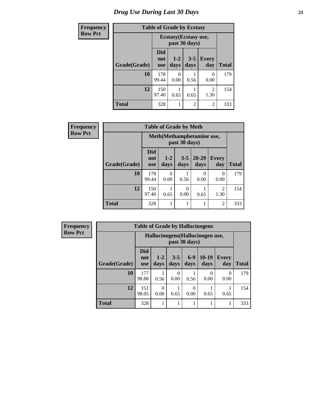# *Drug Use During Last 30 Days* **21**

| <b>Frequency</b> | <b>Table of Grade by Ecstasy</b> |                          |                                        |                 |                     |              |  |
|------------------|----------------------------------|--------------------------|----------------------------------------|-----------------|---------------------|--------------|--|
| <b>Row Pct</b>   |                                  |                          | Ecstasy (Ecstasy use,<br>past 30 days) |                 |                     |              |  |
|                  | Grade(Grade)                     | Did<br>not<br><b>use</b> | $1 - 2$<br>days                        | $3 - 5$<br>days | <b>Every</b><br>day | <b>Total</b> |  |
|                  | 10                               | 178<br>99.44             | 0<br>0.00                              | 0.56            | 0<br>0.00           | 179          |  |
|                  | 12                               | 150<br>97.40             | 0.65                                   | 0.65            | 2<br>1.30           | 154          |  |
|                  | <b>Total</b>                     | 328                      | 1                                      | $\overline{2}$  | $\overline{c}$      | 333          |  |

| Frequency      |              | <b>Table of Grade by Meth</b>   |                                             |                 |                   |                        |              |  |  |
|----------------|--------------|---------------------------------|---------------------------------------------|-----------------|-------------------|------------------------|--------------|--|--|
| <b>Row Pct</b> |              |                                 | Meth (Methamphetamine use,<br>past 30 days) |                 |                   |                        |              |  |  |
|                | Grade(Grade) | <b>Did</b><br>not<br><b>use</b> | $1-2$<br>days                               | $3 - 5$<br>days | $20 - 29$<br>days | <b>Every</b><br>day    | <b>Total</b> |  |  |
|                | 10           | 178<br>99.44                    | 0<br>0.00                                   | 0.56            | 0<br>0.00         | 0<br>0.00              | 179          |  |  |
|                | 12           | 150<br>97.40                    | 0.65                                        | 0<br>0.00       | 0.65              | $\mathfrak{D}$<br>1.30 | 154          |  |  |
|                | <b>Total</b> | 328                             |                                             | 1               |                   | 2                      | 333          |  |  |

| <b>Frequency</b> |  |
|------------------|--|
| <b>Row Pct</b>   |  |

|              | <b>Table of Grade by Hallucinogens</b> |                                                   |                 |               |                  |                     |              |  |  |
|--------------|----------------------------------------|---------------------------------------------------|-----------------|---------------|------------------|---------------------|--------------|--|--|
|              |                                        | Hallucinogens (Hallucinogen use,<br>past 30 days) |                 |               |                  |                     |              |  |  |
| Grade(Grade) | <b>Did</b><br>not<br><b>use</b>        | $1 - 2$<br>days                                   | $3 - 5$<br>days | $6-9$<br>days | $10-19$<br>days  | <b>Every</b><br>day | <b>Total</b> |  |  |
| 10           | 177<br>98.88                           | 0.56                                              | 0.00            | 0.56          | $\Omega$<br>0.00 | 0<br>0.00           | 179          |  |  |
| 12           | 151<br>98.05                           | $\Omega$<br>0.00                                  | 0.65            | 0<br>0.00     | 0.65             | 0.65                | 154          |  |  |
| <b>Total</b> | 328                                    |                                                   |                 |               |                  |                     | 333          |  |  |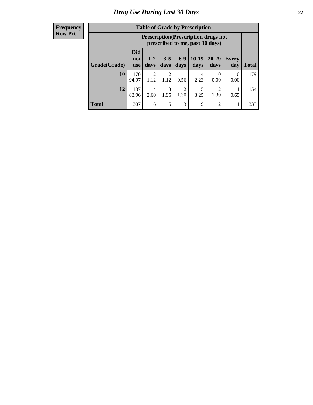| <b>Table of Grade by Prescription</b> |                                 |                                                                                |                 |                        |                 |                   |                     |              |  |  |
|---------------------------------------|---------------------------------|--------------------------------------------------------------------------------|-----------------|------------------------|-----------------|-------------------|---------------------|--------------|--|--|
|                                       |                                 | <b>Prescription</b> (Prescription drugs not<br>prescribed to me, past 30 days) |                 |                        |                 |                   |                     |              |  |  |
| Grade(Grade)                          | <b>Did</b><br>not<br><b>use</b> | $1 - 2$<br>days                                                                | $3 - 5$<br>days | $6-9$<br>days          | $10-19$<br>days | $20 - 29$<br>days | <b>Every</b><br>day | <b>Total</b> |  |  |
| 10                                    | 170<br>94.97                    | $\mathfrak{D}$<br>1.12                                                         | 2<br>1.12       | 0.56                   | 4<br>2.23       | $\Omega$<br>0.00  | $\Omega$<br>0.00    | 179          |  |  |
| 12                                    | 137<br>88.96                    | 4<br>2.60                                                                      | 3<br>1.95       | $\overline{c}$<br>1.30 | 5<br>3.25       | ി<br>1.30         | 0.65                | 154          |  |  |
| <b>Total</b>                          | 307                             | 6                                                                              | 5               | 3                      | 9               | $\mathfrak{D}$    |                     | 333          |  |  |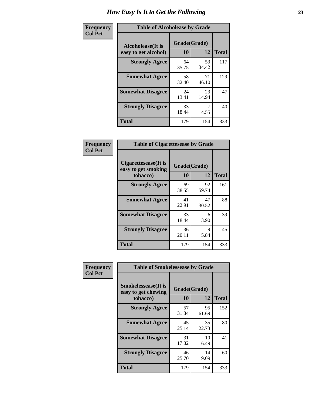| Frequency      | <b>Table of Alcoholease by Grade</b>              |                    |             |              |  |  |
|----------------|---------------------------------------------------|--------------------|-------------|--------------|--|--|
| <b>Col Pct</b> | <b>Alcoholease</b> (It is<br>easy to get alcohol) | Grade(Grade)<br>10 | 12          | <b>Total</b> |  |  |
|                | <b>Strongly Agree</b>                             | 64<br>35.75        | 53<br>34.42 | 117          |  |  |
|                | <b>Somewhat Agree</b>                             | 58<br>32.40        | 71<br>46.10 | 129          |  |  |
|                | <b>Somewhat Disagree</b>                          | 24<br>13.41        | 23<br>14.94 | 47           |  |  |
|                | <b>Strongly Disagree</b>                          | 33<br>18.44        | 4.55        | 40           |  |  |
|                | <b>Total</b>                                      | 179                | 154         | 333          |  |  |

| Frequency      | <b>Table of Cigarettesease by Grade</b>                 |                    |             |              |  |  |
|----------------|---------------------------------------------------------|--------------------|-------------|--------------|--|--|
| <b>Col Pct</b> | Cigarettesease(It is<br>easy to get smoking<br>tobacco) | Grade(Grade)<br>10 | 12          | <b>Total</b> |  |  |
|                | <b>Strongly Agree</b>                                   | 69<br>38.55        | 92<br>59.74 | 161          |  |  |
|                | <b>Somewhat Agree</b>                                   | 41<br>22.91        | 47<br>30.52 | 88           |  |  |
|                | <b>Somewhat Disagree</b>                                | 33<br>18.44        | 6<br>3.90   | 39           |  |  |
|                | <b>Strongly Disagree</b>                                | 36<br>20.11        | 9<br>5.84   | 45           |  |  |
|                | <b>Total</b>                                            | 179                | 154         | 333          |  |  |

| Frequency      | <b>Table of Smokelessease by Grade</b>             |              |             |              |  |  |  |  |
|----------------|----------------------------------------------------|--------------|-------------|--------------|--|--|--|--|
| <b>Col Pct</b> | <b>Smokelessease</b> (It is<br>easy to get chewing | Grade(Grade) |             |              |  |  |  |  |
|                | tobacco)                                           | 10           | 12          | <b>Total</b> |  |  |  |  |
|                | <b>Strongly Agree</b>                              | 57<br>31.84  | 95<br>61.69 | 152          |  |  |  |  |
|                | <b>Somewhat Agree</b>                              | 45<br>25.14  | 35<br>22.73 | 80           |  |  |  |  |
|                | <b>Somewhat Disagree</b>                           | 31<br>17.32  | 10<br>6.49  | 41           |  |  |  |  |
|                | <b>Strongly Disagree</b>                           | 46<br>25.70  | 14<br>9.09  | 60           |  |  |  |  |
|                | <b>Total</b>                                       | 179          | 154         | 333          |  |  |  |  |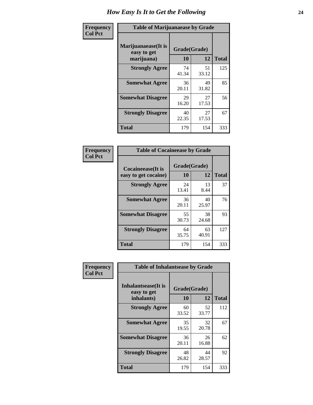| Frequency      | <b>Table of Marijuanaease by Grade</b>            |                           |             |              |  |  |
|----------------|---------------------------------------------------|---------------------------|-------------|--------------|--|--|
| <b>Col Pct</b> | Marijuanaease (It is<br>easy to get<br>marijuana) | Grade(Grade)<br><b>10</b> | 12          | <b>Total</b> |  |  |
|                | <b>Strongly Agree</b>                             | 74<br>41.34               | 51<br>33.12 | 125          |  |  |
|                | <b>Somewhat Agree</b>                             | 36<br>20.11               | 49<br>31.82 | 85           |  |  |
|                | <b>Somewhat Disagree</b>                          | 29<br>16.20               | 27<br>17.53 | 56           |  |  |
|                | <b>Strongly Disagree</b>                          | 40<br>22.35               | 27<br>17.53 | 67           |  |  |
|                | <b>Total</b>                                      | 179                       | 154         | 333          |  |  |

| Frequency<br>  Col Pct |
|------------------------|

| <b>Table of Cocaineease by Grade</b>              |                    |             |              |  |  |  |  |  |  |  |
|---------------------------------------------------|--------------------|-------------|--------------|--|--|--|--|--|--|--|
| <b>Cocaineease</b> (It is<br>easy to get cocaine) | Grade(Grade)<br>10 | 12          | <b>Total</b> |  |  |  |  |  |  |  |
| <b>Strongly Agree</b>                             | 24<br>13.41        | 13<br>8.44  | 37           |  |  |  |  |  |  |  |
| <b>Somewhat Agree</b>                             | 36<br>20.11        | 40<br>25.97 | 76           |  |  |  |  |  |  |  |
| <b>Somewhat Disagree</b>                          | 55<br>30.73        | 38<br>24.68 | 93           |  |  |  |  |  |  |  |
| <b>Strongly Disagree</b>                          | 64<br>35.75        | 63<br>40.91 | 127          |  |  |  |  |  |  |  |
| <b>Total</b>                                      | 179                | 154         | 333          |  |  |  |  |  |  |  |

| Frequency      | <b>Table of Inhalantsease by Grade</b>                   |                    |             |              |
|----------------|----------------------------------------------------------|--------------------|-------------|--------------|
| <b>Col Pct</b> | <b>Inhalantsease</b> (It is<br>easy to get<br>inhalants) | Grade(Grade)<br>10 | 12          | <b>Total</b> |
|                | <b>Strongly Agree</b>                                    | 60<br>33.52        | 52<br>33.77 | 112          |
|                | <b>Somewhat Agree</b>                                    | 35<br>19.55        | 32<br>20.78 | 67           |
|                | <b>Somewhat Disagree</b>                                 | 36<br>20.11        | 26<br>16.88 | 62           |
|                | <b>Strongly Disagree</b>                                 | 48<br>26.82        | 44<br>28.57 | 92           |
|                | <b>Total</b>                                             | 179                | 154         | 333          |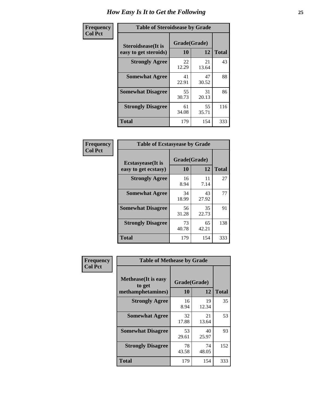| Frequency      | <b>Table of Steroidsease by Grade</b>               |                    |              |     |  |  |  |  |  |  |
|----------------|-----------------------------------------------------|--------------------|--------------|-----|--|--|--|--|--|--|
| <b>Col Pct</b> | <b>Steroidsease</b> (It is<br>easy to get steroids) | Grade(Grade)<br>10 | <b>Total</b> |     |  |  |  |  |  |  |
|                | <b>Strongly Agree</b>                               | 22<br>12.29        | 21<br>13.64  | 43  |  |  |  |  |  |  |
|                | <b>Somewhat Agree</b>                               | 41<br>22.91        | 47<br>30.52  | 88  |  |  |  |  |  |  |
|                | <b>Somewhat Disagree</b>                            | 55<br>30.73        | 31<br>20.13  | 86  |  |  |  |  |  |  |
|                | <b>Strongly Disagree</b>                            | 61<br>34.08        | 55<br>35.71  | 116 |  |  |  |  |  |  |
|                | <b>Total</b>                                        | 179                | 154          | 333 |  |  |  |  |  |  |

| Frequency      | <b>Table of Ecstasyease by Grade</b>              |                    |              |     |  |  |  |  |  |  |  |
|----------------|---------------------------------------------------|--------------------|--------------|-----|--|--|--|--|--|--|--|
| <b>Col Pct</b> | <b>Ecstasyease</b> (It is<br>easy to get ecstasy) | Grade(Grade)<br>10 | <b>Total</b> |     |  |  |  |  |  |  |  |
|                | <b>Strongly Agree</b>                             | 16<br>8.94         | 11<br>7.14   | 27  |  |  |  |  |  |  |  |
|                | <b>Somewhat Agree</b>                             | 34<br>18.99        | 43<br>27.92  | 77  |  |  |  |  |  |  |  |
|                | <b>Somewhat Disagree</b>                          | 56<br>31.28        | 35<br>22.73  | 91  |  |  |  |  |  |  |  |
|                | <b>Strongly Disagree</b>                          | 73<br>40.78        | 65<br>42.21  | 138 |  |  |  |  |  |  |  |
|                | <b>Total</b>                                      | 179                | 154          | 333 |  |  |  |  |  |  |  |

| Frequency<br><b>Col Pct</b> | <b>Table of Methease by Grade</b>                          |                    |                   |     |
|-----------------------------|------------------------------------------------------------|--------------------|-------------------|-----|
|                             | <b>Methease</b> (It is easy<br>to get<br>methamphetamines) | Grade(Grade)<br>10 | <b>Total</b>      |     |
|                             | <b>Strongly Agree</b>                                      | 16<br>8.94         | 12<br>19<br>12.34 | 35  |
|                             | <b>Somewhat Agree</b>                                      | 32<br>17.88        | 21<br>13.64       | 53  |
|                             | <b>Somewhat Disagree</b>                                   | 53<br>29.61        | 40<br>25.97       | 93  |
|                             | <b>Strongly Disagree</b>                                   | 78<br>43.58        | 74<br>48.05       | 152 |
|                             | <b>Total</b>                                               | 179                | 154               | 333 |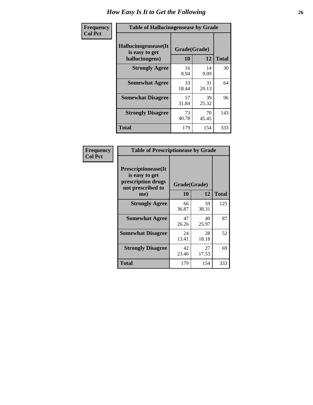| <b>Frequency</b> | <b>Table of Hallucinogensease by Grade</b>               |                    |              |     |  |  |  |  |  |  |
|------------------|----------------------------------------------------------|--------------------|--------------|-----|--|--|--|--|--|--|
| <b>Col Pct</b>   | Hallucinogensease(It<br>is easy to get<br>hallucinogens) | Grade(Grade)<br>10 | <b>Total</b> |     |  |  |  |  |  |  |
|                  | <b>Strongly Agree</b>                                    | 16<br>8.94         | 14<br>9.09   | 30  |  |  |  |  |  |  |
|                  | <b>Somewhat Agree</b>                                    | 33<br>18.44        | 31<br>20.13  | 64  |  |  |  |  |  |  |
|                  | <b>Somewhat Disagree</b>                                 | 57<br>31.84        | 39<br>25.32  | 96  |  |  |  |  |  |  |
|                  | <b>Strongly Disagree</b>                                 | 73<br>40.78        | 70<br>45.45  | 143 |  |  |  |  |  |  |
|                  | <b>Total</b>                                             | 179                | 154          | 333 |  |  |  |  |  |  |

| Frequency<br>  Col Pct |
|------------------------|

| <b>Table of Prescriptionease by Grade</b>                                                |              |             |              |  |  |  |  |  |  |  |
|------------------------------------------------------------------------------------------|--------------|-------------|--------------|--|--|--|--|--|--|--|
| <b>Prescriptionease</b> (It<br>is easy to get<br>prescription drugs<br>not prescribed to | Grade(Grade) |             |              |  |  |  |  |  |  |  |
| me)                                                                                      | 10           | 12          | <b>Total</b> |  |  |  |  |  |  |  |
| <b>Strongly Agree</b>                                                                    | 66<br>36.87  | 59<br>38.31 | 125          |  |  |  |  |  |  |  |
| <b>Somewhat Agree</b>                                                                    | 47<br>26.26  | 40<br>25.97 | 87           |  |  |  |  |  |  |  |
| <b>Somewhat Disagree</b>                                                                 | 24<br>13.41  | 28<br>18.18 | 52           |  |  |  |  |  |  |  |
| <b>Strongly Disagree</b>                                                                 | 42<br>23.46  | 27<br>17.53 | 69           |  |  |  |  |  |  |  |
| Total                                                                                    | 179          | 154         | 333          |  |  |  |  |  |  |  |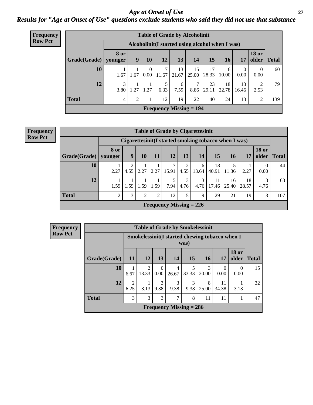*Age at Onset of Use* **27** *Results for "Age at Onset of Use" questions exclude students who said they did not use that substance*

| <b>Frequency</b> | <b>Table of Grade by Alcoholinit</b> |                                                  |                  |                      |            |             |                           |             |             |             |                       |              |
|------------------|--------------------------------------|--------------------------------------------------|------------------|----------------------|------------|-------------|---------------------------|-------------|-------------|-------------|-----------------------|--------------|
| <b>Row Pct</b>   |                                      | Alcoholinit (I started using alcohol when I was) |                  |                      |            |             |                           |             |             |             |                       |              |
|                  | Grade(Grade)   younger               | 8 or                                             | $\boldsymbol{9}$ | <b>10</b>            | <b>12</b>  | 13          | 14                        | 15          | <b>16</b>   | 17          | <b>18 or</b><br>older | <b>Total</b> |
|                  | 10                                   | 1.67                                             | 1.67             | $\Omega$<br>$0.00\,$ | 7<br>11.67 | 13<br>21.67 | 15<br>25.00               | 17<br>28.33 | 6<br>10.00  | 0<br>0.00   | $\theta$<br>0.00      | 60           |
|                  | 12                                   | 3<br>3.80                                        | 1.27             | 1.27                 | 5<br>6.33  | 6<br>7.59   | ⇁<br>8.86                 | 23<br>29.11 | 18<br>22.78 | 13<br>16.46 | 2<br>2.53             | 79           |
|                  | <b>Total</b>                         | 4                                                | $\overline{2}$   |                      | 12         | 19          | 22                        | 40          | 24          | 13          | $\overline{2}$        | 139          |
|                  |                                      |                                                  |                  |                      |            |             | Frequency Missing $= 194$ |             |             |             |                       |              |

| <b>Frequency</b> |  |
|------------------|--|
| <b>Row Pct</b>   |  |

| <b>Table of Grade by Cigarettesinit</b> |                        |      |      |                |                           |           |            |                                                       |             |             |                       |              |  |
|-----------------------------------------|------------------------|------|------|----------------|---------------------------|-----------|------------|-------------------------------------------------------|-------------|-------------|-----------------------|--------------|--|
|                                         |                        |      |      |                |                           |           |            | Cigarettesinit (I started smoking tobacco when I was) |             |             |                       |              |  |
| Grade(Grade)                            | <b>8 or</b><br>younger | 9    | 10   | 11             | 12                        | 13        | 14         | 15                                                    | 16          | 17          | <b>18 or</b><br>older | <b>Total</b> |  |
| 10                                      | 2.27                   | 4.55 | 2.27 | 2.27           | 15.91                     | 4.55      | 6<br>13.64 | 18<br>40.91                                           | 11.36       | 2.27        | $\Omega$<br>0.00      | 44           |  |
| 12                                      | 1.59                   | 1.59 | 1.59 | 1.59           | 7.94                      | 3<br>4.76 | 3<br>4.76  | 11<br>17.46                                           | 16<br>25.40 | 18<br>28.57 | 3<br>4.76             | 63           |  |
| Total                                   | ∍                      | 3    | 2    | $\overline{2}$ | 12                        | 5         | 9          | 29                                                    | 21          | 19          | 3                     | 107          |  |
|                                         |                        |      |      |                | Frequency Missing $= 226$ |           |            |                                                       |             |             |                       |              |  |

| Frequency      | <b>Table of Grade by Smokelessinit</b> |           |            |                      |                                                 |            |            |                  |                       |              |  |  |
|----------------|----------------------------------------|-----------|------------|----------------------|-------------------------------------------------|------------|------------|------------------|-----------------------|--------------|--|--|
| <b>Row Pct</b> |                                        |           |            |                      | Smokelessinit (I started chewing tobacco when I | was)       |            |                  |                       |              |  |  |
|                | Grade(Grade)                           | 11        | <b>12</b>  | 13                   | 14                                              | 15         | 16         | 17               | <b>18 or</b><br>older | <b>Total</b> |  |  |
|                | 10                                     | 6.67      | 2<br>13.33 | $\Omega$<br>$0.00\,$ | 4<br>26.67                                      | 5<br>33.33 | 3<br>20.00 | $\Omega$<br>0.00 | $\Omega$<br>0.00      | 15           |  |  |
|                | 12                                     | 2<br>6.25 | 3.13       | 3<br>9.38            | 3<br>9.38                                       | 3<br>9.38  | 8<br>25.00 | 11<br>34.38      | 3.13                  | 32           |  |  |
|                | <b>Total</b>                           | 3         | 3          | 3                    | 7                                               | 8          | 11         | 11               |                       | 47           |  |  |
|                |                                        |           |            |                      | Frequency Missing $= 286$                       |            |            |                  |                       |              |  |  |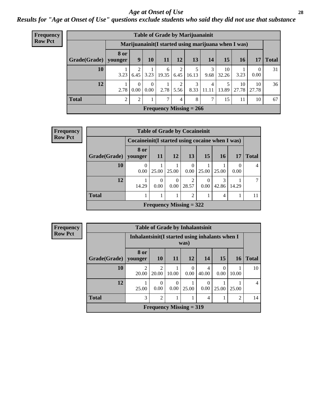#### *Age at Onset of Use* **28**

*Results for "Age at Onset of Use" questions exclude students who said they did not use that substance*

| <b>Frequency</b> | <b>Table of Grade by Marijuanainit</b> |                        |                                                     |                      |                           |           |           |            |             |             |                  |              |
|------------------|----------------------------------------|------------------------|-----------------------------------------------------|----------------------|---------------------------|-----------|-----------|------------|-------------|-------------|------------------|--------------|
| <b>Row Pct</b>   |                                        |                        | Marijuanainit(I started using marijuana when I was) |                      |                           |           |           |            |             |             |                  |              |
|                  | Grade(Grade)                           | <b>8 or</b><br>younger | 9                                                   | 10 <sup>1</sup>      | <b>11</b>                 | 12        | 13        | 14         | 15          | 16          | 17               | <b>Total</b> |
|                  | 10                                     | 3.23                   | 6.45                                                | 3.23                 | 6<br>19.35                | 2<br>6.45 | 16.13     | 3<br>9.68  | 10<br>32.26 | 3.23        | $\theta$<br>0.00 | 31           |
|                  | 12                                     | 2.78                   | $0.00\,$                                            | $\Omega$<br>$0.00\,$ | 2.78                      | 2<br>5.56 | 3<br>8.33 | 4<br>11.11 | 13.89       | 10<br>27.78 | 10<br>27.78      | 36           |
|                  | <b>Total</b>                           | 2                      | 2                                                   |                      | 7                         | 4         | 8         | 7          | 15          | 11          | 10               | 67           |
|                  |                                        |                        |                                                     |                      | Frequency Missing $= 266$ |           |           |            |             |             |                  |              |

| Frequency      |                        | <b>Table of Grade by Cocaineinit</b> |                                                    |                  |               |                 |           |       |              |  |  |  |
|----------------|------------------------|--------------------------------------|----------------------------------------------------|------------------|---------------|-----------------|-----------|-------|--------------|--|--|--|
| <b>Row Pct</b> |                        |                                      | Cocaine in it (I started using cocaine when I was) |                  |               |                 |           |       |              |  |  |  |
|                | Grade(Grade)   younger | 8 or                                 | <b>11</b>                                          | 12               | 13            | 15 <sup>1</sup> | <b>16</b> | 17    | <b>Total</b> |  |  |  |
|                | 10                     | 0.00                                 | 25.00                                              | 25.00            | 0<br>$0.00\,$ | 25.00           | 25.00     | 0.00  |              |  |  |  |
|                | 12                     | 14.29                                | $\Omega$<br>0.00                                   | $\Omega$<br>0.00 | 2<br>28.57    | 0.00            | 42.86     | 14.29 |              |  |  |  |
|                | <b>Total</b>           |                                      | $\overline{2}$<br>4                                |                  |               |                 |           |       |              |  |  |  |
|                |                        |                                      | Frequency Missing $= 322$                          |                  |               |                 |           |       |              |  |  |  |

| <b>Frequency</b> |                        |                                                 | <b>Table of Grade by Inhalantsinit</b>     |                  |                  |            |                  |           |                |  |  |
|------------------|------------------------|-------------------------------------------------|--------------------------------------------|------------------|------------------|------------|------------------|-----------|----------------|--|--|
| <b>Row Pct</b>   |                        | Inhalantsinit (I started using inhalants when I |                                            |                  | was)             |            |                  |           |                |  |  |
|                  | Grade(Grade)   younger | 8 or                                            | <b>10</b>                                  | <b>11</b>        | <b>12</b>        | 14         | 15               | <b>16</b> | <b>Total</b>   |  |  |
|                  | 10                     | $\overline{2}$<br>20.00                         | $\mathfrak{D}$<br>20.00                    | 10.00            | $\Omega$<br>0.00 | 4<br>40.00 | $\Omega$<br>0.00 | 10.00     | 10             |  |  |
|                  | 12                     | 25.00                                           | $\Omega$<br>0.00                           | $\Omega$<br>0.00 | 25.00            | 0.00       | 25.00            | 25.00     | $\overline{4}$ |  |  |
|                  | <b>Total</b>           | 3                                               | $\overline{2}$<br>1<br>$\mathfrak{D}$<br>4 |                  |                  |            |                  |           |                |  |  |
|                  |                        |                                                 | <b>Frequency Missing = 319</b>             |                  |                  |            |                  |           |                |  |  |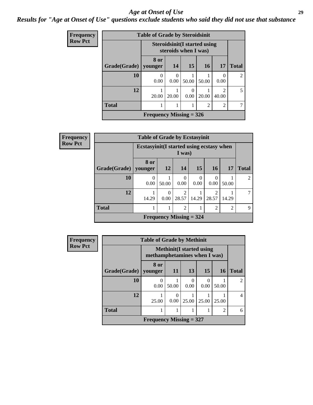#### *Age at Onset of Use* **29**

*Results for "Age at Onset of Use" questions exclude students who said they did not use that substance*

| <b>Frequency</b> |              | <b>Table of Grade by Steroidsinit</b>                        |           |                  |       |                                      |                |  |
|------------------|--------------|--------------------------------------------------------------|-----------|------------------|-------|--------------------------------------|----------------|--|
| <b>Row Pct</b>   |              | <b>Steroidsinit (I started using</b><br>steroids when I was) |           |                  |       |                                      |                |  |
|                  | Grade(Grade) | 8 or<br>younger                                              | 14        | 15               | 16    | 17                                   | <b>Total</b>   |  |
|                  | 10           | 0.00                                                         | 0<br>0.00 | 50.00            | 50.00 | $\Omega$<br>0.00                     | $\mathfrak{D}$ |  |
|                  | 12           | 20.00                                                        | 20.00     | $\Omega$<br>0.00 | 20.00 | $\mathcal{D}_{\mathcal{L}}$<br>40.00 | 5              |  |
|                  | <b>Total</b> | $\overline{2}$<br>$\overline{2}$                             |           |                  |       |                                      |                |  |
|                  |              | Frequency Missing $=$ 326                                    |           |                  |       |                                      |                |  |

| Frequency      |              | <b>Table of Grade by Ecstasyinit</b>                    |           |                                |           |                  |           |                |
|----------------|--------------|---------------------------------------------------------|-----------|--------------------------------|-----------|------------------|-----------|----------------|
| <b>Row Pct</b> |              | Ecstasyinit (I started using ecstasy when               |           |                                |           |                  |           |                |
|                | Grade(Grade) | 8 or<br>  younger                                       | <b>12</b> | 14                             | 15        | <b>16</b>        | <b>17</b> | <b>Total</b>   |
|                | 10           | 0.00                                                    | 50.00     | $\theta$<br>0.00               | 0<br>0.00 | $\Omega$<br>0.00 | 50.00     | $\overline{2}$ |
|                | 12           | 14.29                                                   | 0<br>0.00 | 2<br>28.57                     | 14.29     | 2<br>28.57       | 14.29     | 7              |
|                | <b>Total</b> | $\overline{2}$<br>$\overline{2}$<br>$\overline{2}$<br>1 |           |                                |           |                  |           |                |
|                |              |                                                         |           | <b>Frequency Missing = 324</b> |           |                  |           |                |

| <b>Frequency</b> |              | <b>Table of Grade by Methinit</b>                                |           |           |       |           |                |  |  |
|------------------|--------------|------------------------------------------------------------------|-----------|-----------|-------|-----------|----------------|--|--|
| <b>Row Pct</b>   |              | <b>Methinit</b> (I started using<br>methamphetamines when I was) |           |           |       |           |                |  |  |
|                  | Grade(Grade) | 8 or<br>vounger                                                  | <b>11</b> | 13        | 15    | <b>16</b> | <b>Total</b>   |  |  |
|                  | 10           | 0.00                                                             | 50.00     | 0<br>0.00 | 0.00  | 50.00     | $\mathfrak{D}$ |  |  |
|                  | 12           | 25.00                                                            | 0.00      | 25.00     | 25.00 | 25.00     | 4              |  |  |
|                  | <b>Total</b> |                                                                  |           |           |       | 2         | 6              |  |  |
|                  |              | Frequency Missing $= 327$                                        |           |           |       |           |                |  |  |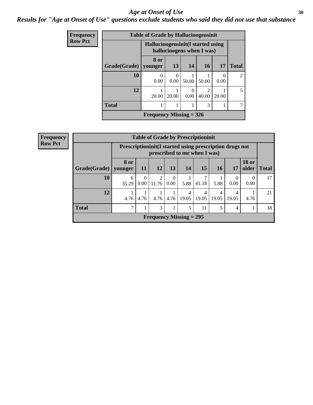#### Age at Onset of Use **30**

#### *Results for "Age at Onset of Use" questions exclude students who said they did not use that substance*

| Frequency      |              | <b>Table of Grade by Hallucinogensinit</b>                      |           |                  |                        |           |                |  |  |
|----------------|--------------|-----------------------------------------------------------------|-----------|------------------|------------------------|-----------|----------------|--|--|
| <b>Row Pct</b> |              | Hallucinogensinit (I started using<br>hallucinogens when I was) |           |                  |                        |           |                |  |  |
|                | Grade(Grade) | 8 or<br>vounger                                                 | 13        | 14               | 16                     | 17        | <b>Total</b>   |  |  |
|                | 10           | $\theta$<br>0.00                                                | 0<br>0.00 | 50.00            | 50.00                  | 0<br>0.00 | $\mathfrak{D}$ |  |  |
|                | 12           | 20.00                                                           | 20.00     | $\theta$<br>0.00 | $\mathcal{D}$<br>40.00 | 20.00     | 5              |  |  |
|                | <b>Total</b> | 3                                                               |           |                  |                        |           |                |  |  |
|                |              | Frequency Missing $=$ 326                                       |           |                  |                        |           |                |  |  |

| <b>Frequency</b> |                                   |                 |                                                                                            |                         |                  |                           | <b>Table of Grade by Prescriptioninit</b> |                 |       |                       |              |
|------------------|-----------------------------------|-----------------|--------------------------------------------------------------------------------------------|-------------------------|------------------|---------------------------|-------------------------------------------|-----------------|-------|-----------------------|--------------|
| <b>Row Pct</b>   |                                   |                 | Prescription in it (I started using prescription drugs not<br>prescribed to me when I was) |                         |                  |                           |                                           |                 |       |                       |              |
|                  | Grade(Grade)                      | 8 or<br>younger | <b>11</b>                                                                                  | 12                      | 13               | 14                        | <b>15</b>                                 | 16 <sup>1</sup> | 17    | <b>18 or</b><br>older | <b>Total</b> |
|                  | 10                                | 6<br>35.29      | $\Omega$<br>$0.00^{\circ}$                                                                 | $\overline{2}$<br>11.76 | $\left($<br>0.00 | 5.88                      | 41.18                                     | 5.88            | 0.00  | $\Omega$<br>0.00      | 17           |
|                  | 12                                | 4.76            | 4.76                                                                                       |                         | $4.76$   4.76    |                           | 4<br>$19.05$   19.05                      | 19.05           | 19.05 | 4.76                  | 21           |
|                  | <b>Total</b><br>3<br>11<br>5<br>4 |                 |                                                                                            |                         |                  |                           |                                           |                 | 38    |                       |              |
|                  |                                   |                 |                                                                                            |                         |                  | Frequency Missing $= 295$ |                                           |                 |       |                       |              |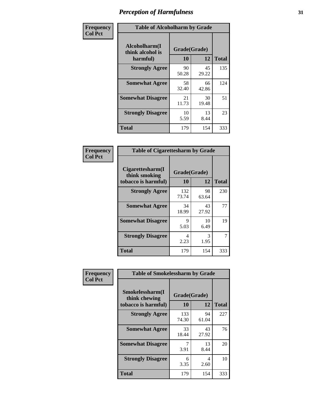| Frequency      |                                               | <b>Table of Alcoholharm by Grade</b> |             |              |  |  |  |  |  |
|----------------|-----------------------------------------------|--------------------------------------|-------------|--------------|--|--|--|--|--|
| <b>Col Pct</b> | Alcoholharm(I<br>think alcohol is<br>harmful) | Grade(Grade)<br>10                   | 12          | <b>Total</b> |  |  |  |  |  |
|                | <b>Strongly Agree</b>                         | 90<br>50.28                          | 45<br>29.22 | 135          |  |  |  |  |  |
|                | <b>Somewhat Agree</b>                         | 58<br>32.40                          | 66<br>42.86 | 124          |  |  |  |  |  |
|                | <b>Somewhat Disagree</b>                      | 21<br>11.73                          | 30<br>19.48 | 51           |  |  |  |  |  |
|                | <b>Strongly Disagree</b>                      | 10<br>5.59                           | 13<br>8.44  | 23           |  |  |  |  |  |
|                | <b>Total</b>                                  | 179                                  | 154         | 333          |  |  |  |  |  |

| <b>Table of Cigarettesharm by Grade</b>                  |                    |             |              |  |  |  |  |
|----------------------------------------------------------|--------------------|-------------|--------------|--|--|--|--|
| Cigarettesharm(I<br>think smoking<br>tobacco is harmful) | Grade(Grade)<br>10 | 12          | <b>Total</b> |  |  |  |  |
| <b>Strongly Agree</b>                                    | 132<br>73.74       | 98<br>63.64 | 230          |  |  |  |  |
| <b>Somewhat Agree</b>                                    | 34<br>18.99        | 43<br>27.92 | 77           |  |  |  |  |
| <b>Somewhat Disagree</b>                                 | 9<br>5.03          | 10<br>6.49  | 19           |  |  |  |  |
| <b>Strongly Disagree</b>                                 | 4<br>2.23          | 3<br>1.95   | 7            |  |  |  |  |
| <b>Total</b>                                             | 179                | 154         | 333          |  |  |  |  |

| Frequency      | <b>Table of Smokelessharm by Grade</b>                  |                    |             |              |
|----------------|---------------------------------------------------------|--------------------|-------------|--------------|
| <b>Col Pct</b> | Smokelessharm(I<br>think chewing<br>tobacco is harmful) | Grade(Grade)<br>10 | 12          | <b>Total</b> |
|                | <b>Strongly Agree</b>                                   | 133<br>74.30       | 94<br>61.04 | 227          |
|                | <b>Somewhat Agree</b>                                   | 33<br>18.44        | 43<br>27.92 | 76           |
|                | <b>Somewhat Disagree</b>                                | 3.91               | 13<br>8.44  | 20           |
|                | <b>Strongly Disagree</b>                                | 6<br>3.35          | 4<br>2.60   | 10           |
|                | <b>Total</b>                                            | 179                | 154         | 333          |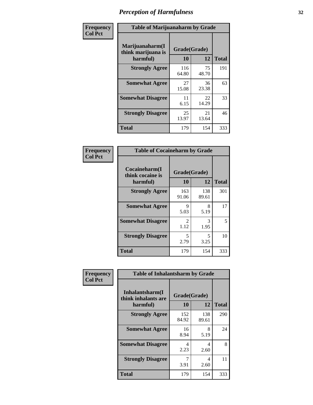| Frequency      |                                                   | <b>Table of Marijuanaharm by Grade</b> |             |              |  |  |  |  |  |
|----------------|---------------------------------------------------|----------------------------------------|-------------|--------------|--|--|--|--|--|
| <b>Col Pct</b> | Marijuanaharm(I<br>think marijuana is<br>harmful) | Grade(Grade)<br>10                     | 12          | <b>Total</b> |  |  |  |  |  |
|                | <b>Strongly Agree</b>                             | 116<br>64.80                           | 75<br>48.70 | 191          |  |  |  |  |  |
|                | <b>Somewhat Agree</b>                             | 27<br>15.08                            | 36<br>23.38 | 63           |  |  |  |  |  |
|                | <b>Somewhat Disagree</b>                          | 11<br>6.15                             | 22<br>14.29 | 33           |  |  |  |  |  |
|                | <b>Strongly Disagree</b>                          | 25<br>13.97                            | 21<br>13.64 | 46           |  |  |  |  |  |
|                | <b>Total</b>                                      | 179                                    | 154         | 333          |  |  |  |  |  |

| <b>Table of Cocaineharm by Grade</b>          |                    |              |              |  |  |
|-----------------------------------------------|--------------------|--------------|--------------|--|--|
| Cocaineharm(I<br>think cocaine is<br>harmful) | Grade(Grade)<br>10 | 12           | <b>Total</b> |  |  |
| <b>Strongly Agree</b>                         | 163<br>91.06       | 138<br>89.61 | 301          |  |  |
| <b>Somewhat Agree</b>                         | 9<br>5.03          | 8<br>5.19    | 17           |  |  |
| <b>Somewhat Disagree</b>                      | 2<br>1.12          | 3<br>1.95    | 5            |  |  |
| <b>Strongly Disagree</b>                      | 5<br>2.79          | 5<br>3.25    | 10           |  |  |
| <b>Total</b>                                  | 179                | 154          | 333          |  |  |

| Frequency      | <b>Table of Inhalantsharm by Grade</b>             |                           |              |              |  |
|----------------|----------------------------------------------------|---------------------------|--------------|--------------|--|
| <b>Col Pct</b> | Inhalantsharm(I<br>think inhalants are<br>harmful) | Grade(Grade)<br><b>10</b> | 12           | <b>Total</b> |  |
|                | <b>Strongly Agree</b>                              | 152<br>84.92              | 138<br>89.61 | 290          |  |
|                | <b>Somewhat Agree</b>                              | 16<br>8.94                | 8<br>5.19    | 24           |  |
|                | <b>Somewhat Disagree</b>                           | 4<br>2.23                 | 4<br>2.60    | 8            |  |
|                | <b>Strongly Disagree</b>                           | 3.91                      | 4<br>2.60    | 11           |  |
|                | <b>Total</b>                                       | 179                       | 154          | 333          |  |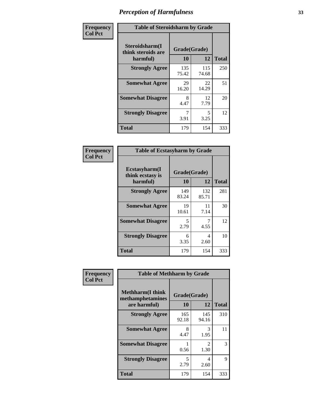| Frequency      | <b>Table of Steroidsharm by Grade</b>            |                    |              |              |
|----------------|--------------------------------------------------|--------------------|--------------|--------------|
| <b>Col Pct</b> | Steroidsharm(I<br>think steroids are<br>harmful) | Grade(Grade)<br>10 | 12           | <b>Total</b> |
|                | <b>Strongly Agree</b>                            | 135<br>75.42       | 115<br>74.68 | 250          |
|                | <b>Somewhat Agree</b>                            | 29<br>16.20        | 22<br>14.29  | 51           |
|                | <b>Somewhat Disagree</b>                         | 8<br>4.47          | 12<br>7.79   | 20           |
|                | <b>Strongly Disagree</b>                         | 3.91               | 5<br>3.25    | 12           |
|                | <b>Total</b>                                     | 179                | 154          | 333          |

| <b>Table of Ecstasyharm by Grade</b>          |                    |              |     |  |  |
|-----------------------------------------------|--------------------|--------------|-----|--|--|
| Ecstasyharm(I<br>think ecstasy is<br>harmful) | Grade(Grade)<br>10 | <b>Total</b> |     |  |  |
| <b>Strongly Agree</b>                         | 149<br>83.24       | 132<br>85.71 | 281 |  |  |
| <b>Somewhat Agree</b>                         | 19<br>10.61        | 11<br>7.14   | 30  |  |  |
| <b>Somewhat Disagree</b>                      | 5<br>2.79          | 4.55         | 12  |  |  |
| <b>Strongly Disagree</b>                      | 6<br>3.35          | 4<br>2.60    | 10  |  |  |
| <b>Total</b>                                  | 179                | 154          | 333 |  |  |

| Frequency      | <b>Table of Methharm by Grade</b>                            |                           |                       |              |
|----------------|--------------------------------------------------------------|---------------------------|-----------------------|--------------|
| <b>Col Pct</b> | <b>Methharm</b> (I think<br>methamphetamines<br>are harmful) | Grade(Grade)<br><b>10</b> | <b>12</b>             | <b>Total</b> |
|                | <b>Strongly Agree</b>                                        | 165<br>92.18              | 145<br>94.16          | 310          |
|                | <b>Somewhat Agree</b>                                        | 8<br>4.47                 | 3<br>1.95             | 11           |
|                | <b>Somewhat Disagree</b>                                     | 0.56                      | $\mathcal{L}$<br>1.30 | 3            |
|                | <b>Strongly Disagree</b>                                     | 5<br>2.79                 | 4<br>2.60             | 9            |
|                | Total                                                        | 179                       | 154                   | 333          |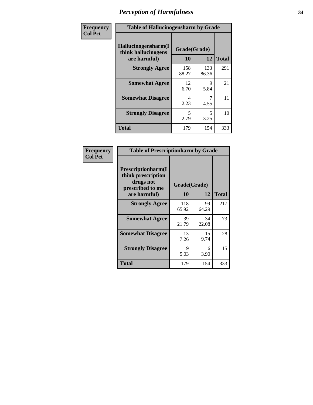| Frequency      | <b>Table of Hallucinogensharm by Grade</b>                 |                    |              |              |
|----------------|------------------------------------------------------------|--------------------|--------------|--------------|
| <b>Col Pct</b> | Hallucinogensharm(I<br>think hallucinogens<br>are harmful) | Grade(Grade)<br>10 | 12           | <b>Total</b> |
|                | <b>Strongly Agree</b>                                      | 158<br>88.27       | 133<br>86.36 | 291          |
|                | <b>Somewhat Agree</b>                                      | 12<br>6.70         | 9<br>5.84    | 21           |
|                | <b>Somewhat Disagree</b>                                   | 4<br>2.23          | 4.55         | 11           |
|                | <b>Strongly Disagree</b>                                   | 5<br>2.79          | 5<br>3.25    | 10           |
|                | <b>Total</b>                                               | 179                | 154          | 333          |

| <b>Table of Prescriptionharm by Grade</b>                                         |              |             |              |  |
|-----------------------------------------------------------------------------------|--------------|-------------|--------------|--|
| <b>Prescriptionharm</b> (I<br>think prescription<br>drugs not<br>prescribed to me | Grade(Grade) |             |              |  |
| are harmful)                                                                      | 10           | 12          | <b>Total</b> |  |
| <b>Strongly Agree</b>                                                             | 118<br>65.92 | 99<br>64.29 | 217          |  |
| <b>Somewhat Agree</b>                                                             | 39<br>21.79  | 34<br>22.08 | 73           |  |
| <b>Somewhat Disagree</b>                                                          | 13<br>7.26   | 15<br>9.74  | 28           |  |
| <b>Strongly Disagree</b>                                                          | 9<br>5.03    | 6<br>3.90   | 15           |  |
| <b>Total</b>                                                                      | 179          | 154         | 333          |  |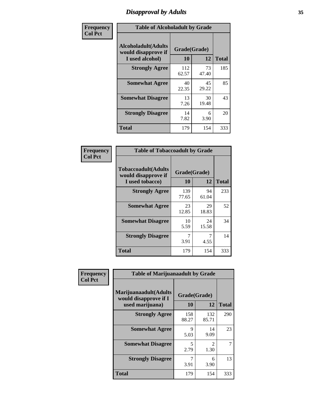# *Disapproval by Adults* **35**

| Frequency      | <b>Table of Alcoholadult by Grade</b>                                 |                    |             |              |  |
|----------------|-----------------------------------------------------------------------|--------------------|-------------|--------------|--|
| <b>Col Pct</b> | <b>Alcoholadult</b> (Adults<br>would disapprove if<br>I used alcohol) | Grade(Grade)<br>10 | 12          | <b>Total</b> |  |
|                | <b>Strongly Agree</b>                                                 | 112<br>62.57       | 73<br>47.40 | 185          |  |
|                | <b>Somewhat Agree</b>                                                 | 40<br>22.35        | 45<br>29.22 | 85           |  |
|                | <b>Somewhat Disagree</b>                                              | 13<br>7.26         | 30<br>19.48 | 43           |  |
|                | <b>Strongly Disagree</b>                                              | 14<br>7.82         | 6<br>3.90   | 20           |  |
|                | <b>Total</b>                                                          | 179                | 154         | 333          |  |

| <b>Table of Tobaccoadult by Grade</b>                                |                    |             |              |  |
|----------------------------------------------------------------------|--------------------|-------------|--------------|--|
| <b>Tobaccoadult(Adults</b><br>would disapprove if<br>I used tobacco) | Grade(Grade)<br>10 | 12          | <b>Total</b> |  |
| <b>Strongly Agree</b>                                                | 139<br>77.65       | 94<br>61.04 | 233          |  |
| <b>Somewhat Agree</b>                                                | 23<br>12.85        | 29<br>18.83 | 52           |  |
| <b>Somewhat Disagree</b>                                             | 10<br>5.59         | 24<br>15.58 | 34           |  |
| <b>Strongly Disagree</b>                                             | 7<br>3.91          | 4.55        | 14           |  |
| <b>Total</b>                                                         | 179                | 154         | 333          |  |

| Frequency      | <b>Table of Marijuanaadult by Grade</b>                           |                    |              |              |
|----------------|-------------------------------------------------------------------|--------------------|--------------|--------------|
| <b>Col Pct</b> | Marijuanaadult(Adults<br>would disapprove if I<br>used marijuana) | Grade(Grade)<br>10 | 12           | <b>Total</b> |
|                | <b>Strongly Agree</b>                                             | 158<br>88.27       | 132<br>85.71 | 290          |
|                | <b>Somewhat Agree</b>                                             | 9<br>5.03          | 14<br>9.09   | 23           |
|                | <b>Somewhat Disagree</b>                                          | 5<br>2.79          | 2<br>1.30    |              |
|                | <b>Strongly Disagree</b>                                          | 3.91               | 6<br>3.90    | 13           |
|                | <b>Total</b>                                                      | 179                | 154          | 333          |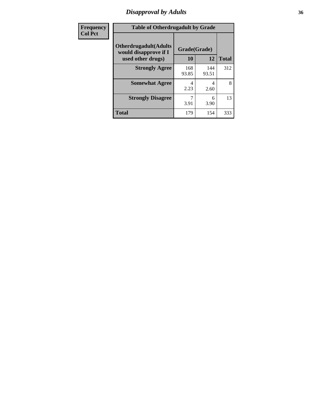# *Disapproval by Adults* **36**

| Frequency      | <b>Table of Otherdrugadult by Grade</b>                                     |                    |              |              |  |
|----------------|-----------------------------------------------------------------------------|--------------------|--------------|--------------|--|
| <b>Col Pct</b> | <b>Otherdrugadult</b> (Adults<br>would disapprove if I<br>used other drugs) | Grade(Grade)<br>10 | 12           | <b>Total</b> |  |
|                | <b>Strongly Agree</b>                                                       | 168<br>93.85       | 144<br>93.51 | 312          |  |
|                | <b>Somewhat Agree</b>                                                       | 4<br>2.23          | 4<br>2.60    | 8            |  |
|                | <b>Strongly Disagree</b>                                                    | 3.91               | 6<br>3.90    | 13           |  |
|                | <b>Total</b>                                                                | 179                | 154          | 333          |  |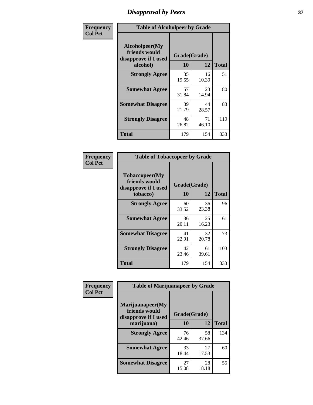# *Disapproval by Peers* **37**

| Frequency      | <b>Table of Alcoholpeer by Grade</b>                    |              |             |              |  |
|----------------|---------------------------------------------------------|--------------|-------------|--------------|--|
| <b>Col Pct</b> | Alcoholpeer(My<br>friends would<br>disapprove if I used | Grade(Grade) |             |              |  |
|                | alcohol)                                                | 10           | 12          | <b>Total</b> |  |
|                | <b>Strongly Agree</b>                                   | 35<br>19.55  | 16<br>10.39 | 51           |  |
|                | <b>Somewhat Agree</b>                                   | 57<br>31.84  | 23<br>14.94 | 80           |  |
|                | <b>Somewhat Disagree</b>                                | 39<br>21.79  | 44<br>28.57 | 83           |  |
|                | <b>Strongly Disagree</b>                                | 48<br>26.82  | 71<br>46.10 | 119          |  |
|                | Total                                                   | 179          | 154         | 333          |  |

| Frequency      | <b>Table of Tobaccopeer by Grade</b>                                |                    |             |              |
|----------------|---------------------------------------------------------------------|--------------------|-------------|--------------|
| <b>Col Pct</b> | Tobaccopeer(My<br>friends would<br>disapprove if I used<br>tobacco) | Grade(Grade)<br>10 | 12          | <b>Total</b> |
|                | <b>Strongly Agree</b>                                               | 60<br>33.52        | 36<br>23.38 | 96           |
|                | <b>Somewhat Agree</b>                                               | 36<br>20.11        | 25<br>16.23 | 61           |
|                | <b>Somewhat Disagree</b>                                            | 41<br>22.91        | 32<br>20.78 | 73           |
|                | <b>Strongly Disagree</b>                                            | 42<br>23.46        | 61<br>39.61 | 103          |
|                | Total                                                               | 179                | 154         | 333          |

| Frequency      | <b>Table of Marijuanapeer by Grade</b>                    |              |             |              |
|----------------|-----------------------------------------------------------|--------------|-------------|--------------|
| <b>Col Pct</b> | Marijuanapeer(My<br>friends would<br>disapprove if I used | Grade(Grade) |             |              |
|                | marijuana)                                                | 10           | 12          | <b>Total</b> |
|                | <b>Strongly Agree</b>                                     | 76<br>42.46  | 58<br>37.66 | 134          |
|                | <b>Somewhat Agree</b>                                     | 33<br>18.44  | 27<br>17.53 | 60           |
|                | <b>Somewhat Disagree</b>                                  | 27<br>15.08  | 28<br>18.18 | 55           |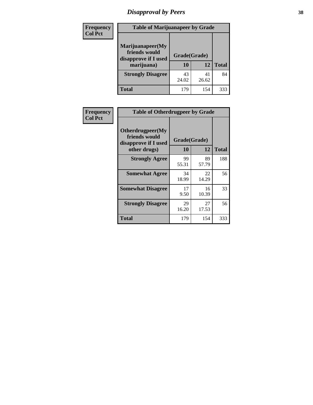# *Disapproval by Peers* **38**

| <b>Frequency</b> | <b>Table of Marijuanapeer by Grade</b>                                  |                    |             |              |  |
|------------------|-------------------------------------------------------------------------|--------------------|-------------|--------------|--|
| <b>Col Pct</b>   | Marijuanapeer(My<br>friends would<br>disapprove if I used<br>marijuana) | Grade(Grade)<br>10 | 12          | <b>Total</b> |  |
|                  | <b>Strongly Disagree</b>                                                | 43<br>24.02        | 41<br>26.62 | 84           |  |
|                  | <b>Total</b>                                                            | 179                | 154         | 333          |  |

| <b>Frequency</b> | <b>Table of Otherdrugpeer by Grade</b>                                    |                    |             |              |
|------------------|---------------------------------------------------------------------------|--------------------|-------------|--------------|
| <b>Col Pct</b>   | Otherdrugpeer(My<br>friends would<br>disapprove if I used<br>other drugs) | Grade(Grade)<br>10 | 12          | <b>Total</b> |
|                  |                                                                           |                    |             |              |
|                  | <b>Strongly Agree</b>                                                     | 99<br>55.31        | 89<br>57.79 | 188          |
|                  | <b>Somewhat Agree</b>                                                     | 34<br>18.99        | 22<br>14.29 | 56           |
|                  | <b>Somewhat Disagree</b>                                                  | 17<br>9.50         | 16<br>10.39 | 33           |
|                  | <b>Strongly Disagree</b>                                                  | 29<br>16.20        | 27<br>17.53 | 56           |
|                  | Total                                                                     | 179                | 154         | 333          |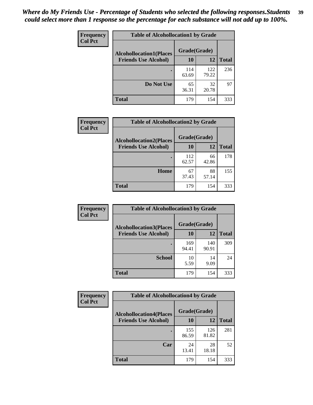| Frequency<br><b>Col Pct</b> | <b>Table of Alcohollocation1 by Grade</b> |              |              |              |
|-----------------------------|-------------------------------------------|--------------|--------------|--------------|
|                             | <b>Alcohollocation1(Places</b>            | Grade(Grade) |              |              |
|                             | <b>Friends Use Alcohol)</b>               | 10           | 12           | <b>Total</b> |
|                             |                                           | 114<br>63.69 | 122<br>79.22 | 236          |
|                             | Do Not Use                                | 65<br>36.31  | 32<br>20.78  | 97           |
|                             | <b>Total</b>                              | 179          | 154          | 333          |

| Frequency      | <b>Table of Alcohollocation2 by Grade</b>                     |                    |             |              |
|----------------|---------------------------------------------------------------|--------------------|-------------|--------------|
| <b>Col Pct</b> | <b>Alcohollocation2(Places</b><br><b>Friends Use Alcohol)</b> | Grade(Grade)<br>10 | <b>12</b>   | <b>Total</b> |
|                |                                                               | 112<br>62.57       | 66<br>42.86 | 178          |
|                | Home                                                          | 67<br>37.43        | 88<br>57.14 | 155          |
|                | <b>Total</b>                                                  | 179                | 154         | 333          |

| Frequency<br><b>Col Pct</b> | <b>Table of Alcohollocation 3 by Grade</b>                    |                    |              |              |
|-----------------------------|---------------------------------------------------------------|--------------------|--------------|--------------|
|                             | <b>Alcohollocation3(Places</b><br><b>Friends Use Alcohol)</b> | Grade(Grade)<br>10 | 12           | <b>Total</b> |
|                             |                                                               | 169<br>94.41       | 140<br>90.91 | 309          |
|                             | <b>School</b>                                                 | 10<br>5.59         | 14<br>9.09   | 24           |
|                             | <b>Total</b>                                                  | 179                | 154          | 333          |

| <b>Frequency</b> | <b>Table of Alcohollocation4 by Grade</b> |              |              |              |  |
|------------------|-------------------------------------------|--------------|--------------|--------------|--|
| <b>Col Pct</b>   | <b>Alcohollocation4(Places</b>            | Grade(Grade) |              |              |  |
|                  | <b>Friends Use Alcohol)</b>               | 10           | 12           | <b>Total</b> |  |
|                  |                                           | 155<br>86.59 | 126<br>81.82 | 281          |  |
|                  | Car                                       | 24<br>13.41  | 28<br>18.18  | 52           |  |
|                  | <b>Total</b>                              | 179          | 154          | 333          |  |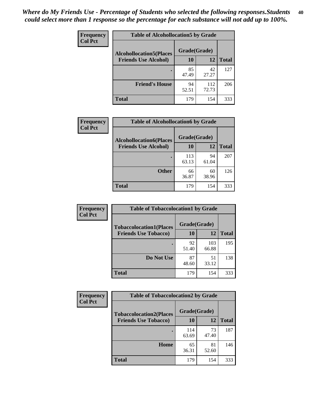| Frequency<br><b>Col Pct</b> | <b>Table of Alcohollocation5 by Grade</b> |              |              |              |  |
|-----------------------------|-------------------------------------------|--------------|--------------|--------------|--|
|                             | <b>Alcohollocation5(Places</b>            | Grade(Grade) |              |              |  |
|                             | <b>Friends Use Alcohol)</b>               | 10           | 12           | <b>Total</b> |  |
|                             |                                           | 85<br>47.49  | 42<br>27.27  | 127          |  |
|                             | <b>Friend's House</b>                     | 94<br>52.51  | 112<br>72.73 | 206          |  |
|                             | <b>Total</b>                              | 179          | 154          | 333          |  |

| <b>Frequency</b> | <b>Table of Alcohollocation6 by Grade</b> |              |             |              |
|------------------|-------------------------------------------|--------------|-------------|--------------|
| <b>Col Pct</b>   | <b>Alcohollocation6(Places</b>            | Grade(Grade) |             |              |
|                  | <b>Friends Use Alcohol)</b>               | 10           | 12          | <b>Total</b> |
|                  |                                           | 113<br>63.13 | 94<br>61.04 | 207          |
|                  | <b>Other</b>                              | 66<br>36.87  | 60<br>38.96 | 126          |
|                  | <b>Total</b>                              | 179          | 154         | 333          |

| Frequency      | <b>Table of Tobaccolocation1 by Grade</b> |              |              |              |
|----------------|-------------------------------------------|--------------|--------------|--------------|
| <b>Col Pct</b> | <b>Tobaccolocation1(Places</b>            | Grade(Grade) |              |              |
|                | <b>Friends Use Tobacco)</b>               | 10           | <b>12</b>    | <b>Total</b> |
|                |                                           | 92<br>51.40  | 103<br>66.88 | 195          |
|                | Do Not Use                                | 87<br>48.60  | 51<br>33.12  | 138          |
|                | <b>Total</b>                              | 179          | 154          | 333          |

| <b>Frequency</b><br><b>Col Pct</b> | <b>Table of Tobaccolocation2 by Grade</b> |              |             |              |
|------------------------------------|-------------------------------------------|--------------|-------------|--------------|
|                                    | <b>Tobaccolocation2(Places</b>            | Grade(Grade) |             |              |
|                                    | <b>Friends Use Tobacco)</b>               | 10           | 12          | <b>Total</b> |
|                                    |                                           | 114<br>63.69 | 73<br>47.40 | 187          |
|                                    | Home                                      | 65<br>36.31  | 81<br>52.60 | 146          |
|                                    | <b>Total</b>                              | 179          | 154         | 333          |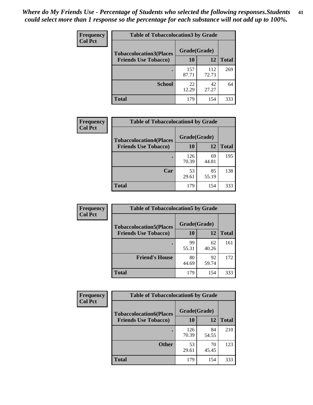| Frequency      | <b>Table of Tobaccolocation 3 by Grade</b> |              |              |              |
|----------------|--------------------------------------------|--------------|--------------|--------------|
| <b>Col Pct</b> | <b>Tobaccolocation3(Places</b>             | Grade(Grade) |              |              |
|                | <b>Friends Use Tobacco)</b>                | 10           | 12           | <b>Total</b> |
|                |                                            | 157<br>87.71 | 112<br>72.73 | 269          |
|                | <b>School</b>                              | 22<br>12.29  | 42<br>27.27  | 64           |
|                | <b>Total</b>                               | 179          | 154          | 333          |

| Frequency<br><b>Col Pct</b> | <b>Table of Tobaccolocation4 by Grade</b> |              |             |              |  |
|-----------------------------|-------------------------------------------|--------------|-------------|--------------|--|
|                             | <b>Tobaccolocation4(Places</b>            | Grade(Grade) |             |              |  |
|                             | <b>Friends Use Tobacco)</b>               | 10           | <b>12</b>   | <b>Total</b> |  |
|                             |                                           | 126<br>70.39 | 69<br>44.81 | 195          |  |
|                             | Car                                       | 53<br>29.61  | 85<br>55.19 | 138          |  |
|                             | <b>Total</b>                              | 179          | 154         | 333          |  |

| Frequency      | <b>Table of Tobaccolocation5 by Grade</b> |              |             |              |
|----------------|-------------------------------------------|--------------|-------------|--------------|
| <b>Col Pct</b> | <b>Tobaccolocation5(Places</b>            | Grade(Grade) |             |              |
|                | <b>Friends Use Tobacco)</b>               | 10           | 12          | <b>Total</b> |
|                |                                           | 99<br>55.31  | 62<br>40.26 | 161          |
|                | <b>Friend's House</b>                     | 80<br>44.69  | 92<br>59.74 | 172          |
|                | <b>Total</b>                              | 179          | 154         | 333          |

| Frequency      | <b>Table of Tobaccolocation6 by Grade</b> |              |             |              |  |
|----------------|-------------------------------------------|--------------|-------------|--------------|--|
| <b>Col Pct</b> | <b>Tobaccolocation6(Places</b>            | Grade(Grade) |             |              |  |
|                | <b>Friends Use Tobacco)</b>               | 10           | 12          | <b>Total</b> |  |
|                |                                           | 126<br>70.39 | 84<br>54.55 | 210          |  |
|                | <b>Other</b>                              | 53<br>29.61  | 70<br>45.45 | 123          |  |
|                | <b>Total</b>                              | 179          | 154         | 333          |  |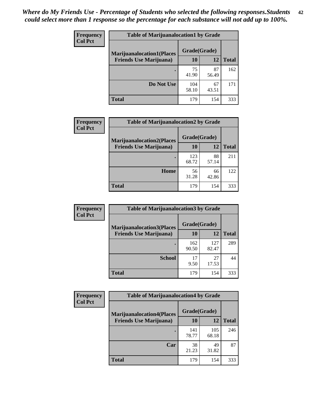| <b>Frequency</b> | <b>Table of Marijuanalocation1 by Grade</b> |              |             |              |
|------------------|---------------------------------------------|--------------|-------------|--------------|
| <b>Col Pct</b>   | <b>Marijuanalocation1(Places</b>            | Grade(Grade) |             |              |
|                  | <b>Friends Use Marijuana</b> )              | 10           | 12          | <b>Total</b> |
|                  |                                             | 75<br>41.90  | 87<br>56.49 | 162          |
|                  | Do Not Use                                  | 104<br>58.10 | 67<br>43.51 | 171          |
|                  | <b>Total</b>                                | 179          | 154         | 333          |

| <b>Frequency</b> | <b>Table of Marijuanalocation2 by Grade</b>                        |                    |             |              |
|------------------|--------------------------------------------------------------------|--------------------|-------------|--------------|
| <b>Col Pct</b>   | <b>Marijuanalocation2(Places</b><br><b>Friends Use Marijuana</b> ) | Grade(Grade)<br>10 | 12          | <b>Total</b> |
|                  |                                                                    | 123<br>68.72       | 88<br>57.14 | 211          |
|                  | Home                                                               | 56<br>31.28        | 66<br>42.86 | 122          |
|                  | <b>Total</b>                                                       | 179                | 154         | 333          |

| Frequency<br><b>Col Pct</b> | <b>Table of Marijuanalocation3 by Grade</b> |              |              |              |
|-----------------------------|---------------------------------------------|--------------|--------------|--------------|
|                             | <b>Marijuanalocation3</b> (Places           | Grade(Grade) |              |              |
|                             | <b>Friends Use Marijuana</b> )              | <b>10</b>    | 12           | <b>Total</b> |
|                             |                                             | 162<br>90.50 | 127<br>82.47 | 289          |
|                             | <b>School</b>                               | 17<br>9.50   | 27<br>17.53  | 44           |
|                             | <b>Total</b>                                | 179          | 154          | 333          |

| <b>Frequency</b> | <b>Table of Marijuanalocation4 by Grade</b> |              |              |              |  |
|------------------|---------------------------------------------|--------------|--------------|--------------|--|
| <b>Col Pct</b>   | <b>Marijuanalocation4(Places</b>            | Grade(Grade) |              |              |  |
|                  | <b>Friends Use Marijuana</b> )              | <b>10</b>    | 12           | <b>Total</b> |  |
|                  |                                             | 141<br>78.77 | 105<br>68.18 | 246          |  |
|                  | Car                                         | 38<br>21.23  | 49<br>31.82  | 87           |  |
|                  | <b>Total</b>                                | 179          | 154          | 333          |  |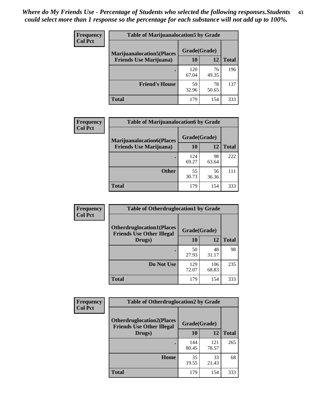| <b>Frequency</b> | <b>Table of Marijuanalocation5 by Grade</b> |              |             |              |
|------------------|---------------------------------------------|--------------|-------------|--------------|
| <b>Col Pct</b>   | <b>Marijuanalocation5</b> (Places           | Grade(Grade) |             |              |
|                  | <b>Friends Use Marijuana</b> )              | 10           | 12          | <b>Total</b> |
|                  |                                             | 120<br>67.04 | 76<br>49.35 | 196          |
|                  | <b>Friend's House</b>                       | 59<br>32.96  | 78<br>50.65 | 137          |
|                  | <b>Total</b>                                | 179          | 154         | 333          |

| <b>Frequency</b> | <b>Table of Marijuanalocation6 by Grade</b>                        |                    |             |              |
|------------------|--------------------------------------------------------------------|--------------------|-------------|--------------|
| <b>Col Pct</b>   | <b>Marijuanalocation6(Places</b><br><b>Friends Use Marijuana</b> ) | Grade(Grade)<br>10 | 12          | <b>Total</b> |
|                  |                                                                    | 124<br>69.27       | 98<br>63.64 | 222          |
|                  | <b>Other</b>                                                       | 55<br>30.73        | 56<br>36.36 | 111          |
|                  | <b>Total</b>                                                       | 179                | 154         | 333          |

| Frequency      | <b>Table of Otherdruglocation1 by Grade</b>                          |              |              |              |
|----------------|----------------------------------------------------------------------|--------------|--------------|--------------|
| <b>Col Pct</b> | <b>Otherdruglocation1(Places</b><br><b>Friends Use Other Illegal</b> | Grade(Grade) |              |              |
|                | Drugs)                                                               | 10           | 12           | <b>Total</b> |
|                |                                                                      | 50<br>27.93  | 48<br>31.17  | 98           |
|                | Do Not Use                                                           | 129<br>72.07 | 106<br>68.83 | 235          |
|                | <b>Total</b>                                                         | 179          | 154          | 333          |

| <b>Frequency</b> | <b>Table of Otherdruglocation2 by Grade</b>                          |              |              |              |
|------------------|----------------------------------------------------------------------|--------------|--------------|--------------|
| <b>Col Pct</b>   | <b>Otherdruglocation2(Places</b><br><b>Friends Use Other Illegal</b> | Grade(Grade) |              |              |
|                  | Drugs)                                                               | 10           | 12           | <b>Total</b> |
|                  |                                                                      | 144<br>80.45 | 121<br>78.57 | 265          |
|                  | Home                                                                 | 35<br>19.55  | 33<br>21.43  | 68           |
|                  | <b>Total</b>                                                         | 179          | 154          | 333          |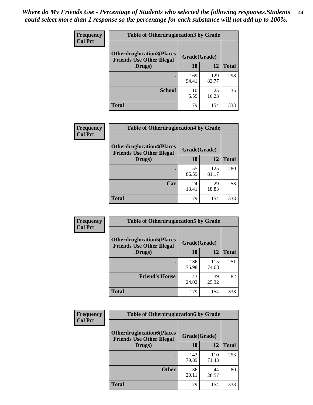| <b>Frequency</b> | <b>Table of Otherdruglocation 3 by Grade</b>                         |              |              |              |
|------------------|----------------------------------------------------------------------|--------------|--------------|--------------|
| <b>Col Pct</b>   | <b>Otherdruglocation3(Places</b><br><b>Friends Use Other Illegal</b> | Grade(Grade) |              |              |
|                  | Drugs)                                                               | 10           | 12           | <b>Total</b> |
|                  |                                                                      | 169<br>94.41 | 129<br>83.77 | 298          |
|                  | <b>School</b>                                                        | 10<br>5.59   | 25<br>16.23  | 35           |
|                  | <b>Total</b>                                                         | 179          | 154          | 333          |

| <b>Frequency</b> | <b>Table of Otherdruglocation4 by Grade</b>                          |              |              |              |
|------------------|----------------------------------------------------------------------|--------------|--------------|--------------|
| <b>Col Pct</b>   | <b>Otherdruglocation4(Places</b><br><b>Friends Use Other Illegal</b> |              | Grade(Grade) |              |
|                  | Drugs)                                                               | 10           | 12           | <b>Total</b> |
|                  |                                                                      | 155<br>86.59 | 125<br>81.17 | 280          |
|                  | Car                                                                  | 24<br>13.41  | 29<br>18.83  | 53           |
|                  | <b>Total</b>                                                         | 179          | 154          | 333          |

| <b>Frequency</b> | <b>Table of Otherdruglocation5 by Grade</b>                          |              |              |              |
|------------------|----------------------------------------------------------------------|--------------|--------------|--------------|
| <b>Col Pct</b>   | <b>Otherdruglocation5(Places</b><br><b>Friends Use Other Illegal</b> | Grade(Grade) |              |              |
|                  | Drugs)                                                               | 10           | 12           | <b>Total</b> |
|                  |                                                                      | 136<br>75.98 | 115<br>74.68 | 251          |
|                  | <b>Friend's House</b>                                                | 43<br>24.02  | 39<br>25.32  | 82           |
|                  | <b>Total</b>                                                         | 179          | 154          | 333          |

| <b>Frequency</b>                                                                       | <b>Table of Otherdruglocation6 by Grade</b> |              |              |              |
|----------------------------------------------------------------------------------------|---------------------------------------------|--------------|--------------|--------------|
| <b>Col Pct</b><br><b>Otherdruglocation6(Places</b><br><b>Friends Use Other Illegal</b> |                                             | Grade(Grade) |              |              |
|                                                                                        | Drugs)                                      | 10           | 12           | <b>Total</b> |
|                                                                                        |                                             | 143<br>79.89 | 110<br>71.43 | 253          |
|                                                                                        | <b>Other</b>                                | 36<br>20.11  | 44<br>28.57  | 80           |
|                                                                                        | <b>Total</b>                                | 179          | 154          | 333          |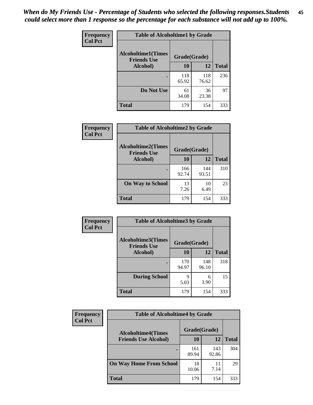| Frequency      | <b>Table of Alcoholtime1 by Grade</b>           |              |              |              |
|----------------|-------------------------------------------------|--------------|--------------|--------------|
| <b>Col Pct</b> | <b>Alcoholtime1(Times</b><br><b>Friends Use</b> | Grade(Grade) |              |              |
|                | Alcohol)                                        | 10           | 12           | <b>Total</b> |
|                |                                                 | 118<br>65.92 | 118<br>76.62 | 236          |
|                | Do Not Use                                      | 61<br>34.08  | 36<br>23.38  | 97           |
|                | <b>Total</b>                                    | 179          | 154          | 333          |

| Frequency      | <b>Table of Alcoholtime2 by Grade</b>           |              |              |              |
|----------------|-------------------------------------------------|--------------|--------------|--------------|
| <b>Col Pct</b> | <b>Alcoholtime2(Times</b><br><b>Friends Use</b> | Grade(Grade) |              |              |
|                | Alcohol)                                        | 10           | 12           | <b>Total</b> |
|                |                                                 | 166<br>92.74 | 144<br>93.51 | 310          |
|                | <b>On Way to School</b>                         | 13<br>7.26   | 10<br>6.49   | 23           |
|                | <b>Total</b>                                    | 179          | 154          | 333          |

| Frequency<br><b>Col Pct</b> | <b>Table of Alcoholtime3 by Grade</b>           |              |              |              |
|-----------------------------|-------------------------------------------------|--------------|--------------|--------------|
|                             | <b>Alcoholtime3(Times</b><br><b>Friends Use</b> | Grade(Grade) |              |              |
|                             | Alcohol)                                        | 10           | 12           | <b>Total</b> |
|                             |                                                 | 170<br>94.97 | 148<br>96.10 | 318          |
|                             | <b>During School</b>                            | 9<br>5.03    | 6<br>3.90    | 15           |
|                             | <b>Total</b>                                    | 179          | 154          | 333          |

| <b>Frequency</b> | <b>Table of Alcoholtime4 by Grade</b> |              |              |              |
|------------------|---------------------------------------|--------------|--------------|--------------|
| <b>Col Pct</b>   | <b>Alcoholtime4(Times</b>             | Grade(Grade) |              |              |
|                  | <b>Friends Use Alcohol)</b>           | 10           | 12           | <b>Total</b> |
|                  |                                       | 161<br>89.94 | 143<br>92.86 | 304          |
|                  | <b>On Way Home From School</b>        | 18<br>10.06  | 11<br>7.14   | 29           |
|                  | <b>Total</b>                          | 179          | 154          | 333          |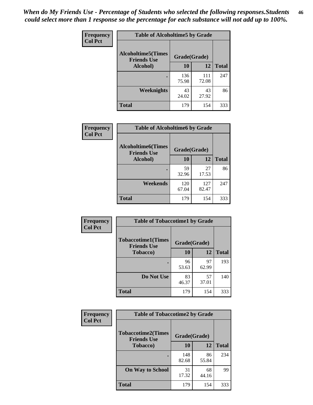*When do My Friends Use - Percentage of Students who selected the following responses.Students could select more than 1 response so the percentage for each substance will not add up to 100%.* **46**

| <b>Frequency</b> | <b>Table of Alcoholtime5 by Grade</b>           |              |              |              |
|------------------|-------------------------------------------------|--------------|--------------|--------------|
| <b>Col Pct</b>   | <b>Alcoholtime5(Times</b><br><b>Friends Use</b> | Grade(Grade) |              |              |
|                  | Alcohol)                                        | 10           | 12           | <b>Total</b> |
|                  |                                                 | 136<br>75.98 | 111<br>72.08 | 247          |
|                  | Weeknights                                      | 43<br>24.02  | 43<br>27.92  | 86           |
|                  | <b>Total</b>                                    | 179          | 154          | 333          |

| Frequency      | <b>Table of Alcoholtime6 by Grade</b>           |              |              |              |
|----------------|-------------------------------------------------|--------------|--------------|--------------|
| <b>Col Pct</b> | <b>Alcoholtime6(Times</b><br><b>Friends Use</b> | Grade(Grade) |              |              |
|                | Alcohol)                                        | 10           | 12           | <b>Total</b> |
|                |                                                 | 59<br>32.96  | 27<br>17.53  | 86           |
|                | Weekends                                        | 120<br>67.04 | 127<br>82.47 | 247          |
|                | <b>Total</b>                                    | 179          | 154          | 333          |

| Frequency      | <b>Table of Tobaccotime1 by Grade</b>           |              |             |              |
|----------------|-------------------------------------------------|--------------|-------------|--------------|
| <b>Col Pct</b> | <b>Tobaccotime1(Times</b><br><b>Friends Use</b> | Grade(Grade) |             |              |
|                | <b>Tobacco</b> )                                | 10           | 12          | <b>Total</b> |
|                | ٠                                               | 96<br>53.63  | 97<br>62.99 | 193          |
|                | Do Not Use                                      | 83<br>46.37  | 57<br>37.01 | 140          |
|                | <b>Total</b>                                    | 179          | 154         | 333          |

| <b>Frequency</b> | <b>Table of Tobaccotime2 by Grade</b>           |              |             |              |
|------------------|-------------------------------------------------|--------------|-------------|--------------|
| <b>Col Pct</b>   | <b>Tobaccotime2(Times</b><br><b>Friends Use</b> | Grade(Grade) |             |              |
|                  | <b>Tobacco</b> )                                | 10           | 12          | <b>Total</b> |
|                  |                                                 | 148<br>82.68 | 86<br>55.84 | 234          |
|                  | <b>On Way to School</b>                         | 31<br>17.32  | 68<br>44.16 | 99           |
|                  | <b>Total</b>                                    | 179          | 154         | 333          |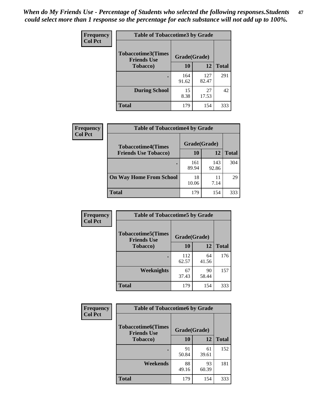*When do My Friends Use - Percentage of Students who selected the following responses.Students could select more than 1 response so the percentage for each substance will not add up to 100%.* **47**

| <b>Frequency</b> | <b>Table of Tobaccotime3 by Grade</b>           |              |              |              |  |
|------------------|-------------------------------------------------|--------------|--------------|--------------|--|
| <b>Col Pct</b>   | <b>Tobaccotime3(Times</b><br><b>Friends Use</b> | Grade(Grade) |              |              |  |
|                  | <b>Tobacco</b> )                                | 10           | 12           | <b>Total</b> |  |
|                  |                                                 | 164<br>91.62 | 127<br>82.47 | 291          |  |
|                  | <b>During School</b>                            | 15<br>8.38   | 27<br>17.53  | 42           |  |
|                  | <b>Total</b>                                    | 179          | 154          | 333          |  |

| Frequency<br><b>Col Pct</b> | <b>Table of Tobaccotime4 by Grade</b> |              |              |              |
|-----------------------------|---------------------------------------|--------------|--------------|--------------|
|                             | <b>Tobaccotime4(Times</b>             | Grade(Grade) |              |              |
|                             | <b>Friends Use Tobacco)</b>           | 10           | 12           | <b>Total</b> |
|                             |                                       | 161<br>89.94 | 143<br>92.86 | 304          |
|                             | <b>On Way Home From School</b>        | 18<br>10.06  | 11<br>7.14   | 29           |
|                             | Total                                 | 179          | 154          | 333          |

| Frequency      | <b>Table of Tobaccotime5 by Grade</b>           |              |             |              |
|----------------|-------------------------------------------------|--------------|-------------|--------------|
| <b>Col Pct</b> | <b>Tobaccotime5(Times</b><br><b>Friends Use</b> | Grade(Grade) |             |              |
|                | Tobacco)                                        | 10           | 12          | <b>Total</b> |
|                |                                                 | 112<br>62.57 | 64<br>41.56 | 176          |
|                | Weeknights                                      | 67<br>37.43  | 90<br>58.44 | 157          |
|                | <b>Total</b>                                    | 179          | 154         | 333          |

| Frequency<br><b>Col Pct</b> | <b>Table of Tobaccotime6 by Grade</b>                           |             |             |              |  |
|-----------------------------|-----------------------------------------------------------------|-------------|-------------|--------------|--|
|                             | <b>Tobaccotime6(Times</b><br>Grade(Grade)<br><b>Friends Use</b> |             |             |              |  |
|                             | <b>Tobacco</b> )                                                | 10          | 12          | <b>Total</b> |  |
|                             | ٠                                                               | 91<br>50.84 | 61<br>39.61 | 152          |  |
|                             | Weekends                                                        | 88<br>49.16 | 93<br>60.39 | 181          |  |
|                             | <b>Total</b>                                                    | 179         | 154         | 333          |  |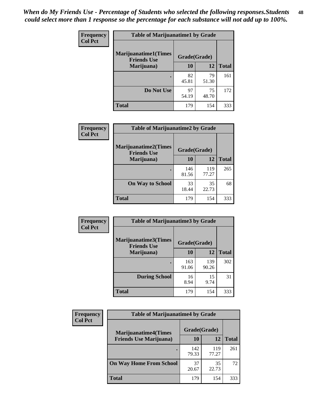| Frequency      | <b>Table of Marijuanatime1 by Grade</b>           |              |             |              |  |
|----------------|---------------------------------------------------|--------------|-------------|--------------|--|
| <b>Col Pct</b> | <b>Marijuanatime1(Times</b><br><b>Friends Use</b> | Grade(Grade) |             |              |  |
|                | Marijuana)                                        | 10           | 12          | <b>Total</b> |  |
|                |                                                   | 82<br>45.81  | 79<br>51.30 | 161          |  |
|                | Do Not Use                                        | 97<br>54.19  | 75<br>48.70 | 172          |  |
|                | <b>Total</b>                                      | 179          | 154         | 333          |  |

| Frequency      | <b>Table of Marijuanatime2 by Grade</b>           |              |              |              |
|----------------|---------------------------------------------------|--------------|--------------|--------------|
| <b>Col Pct</b> | <b>Marijuanatime2(Times</b><br><b>Friends Use</b> | Grade(Grade) |              |              |
|                | Marijuana)                                        | 10           | 12           | <b>Total</b> |
|                |                                                   | 146<br>81.56 | 119<br>77.27 | 265          |
|                | <b>On Way to School</b>                           | 33<br>18.44  | 35<br>22.73  | 68           |
|                | <b>Total</b>                                      | 179          | 154          | 333          |

| Frequency<br><b>Col Pct</b> | <b>Table of Marijuanatime3 by Grade</b>    |              |              |              |
|-----------------------------|--------------------------------------------|--------------|--------------|--------------|
|                             | Marijuanatime3(Times<br><b>Friends Use</b> | Grade(Grade) |              |              |
|                             | Marijuana)                                 | 10           | 12           | <b>Total</b> |
|                             |                                            | 163<br>91.06 | 139<br>90.26 | 302          |
|                             | <b>During School</b>                       | 16<br>8.94   | 15<br>9.74   | 31           |
|                             | <b>Total</b>                               | 179          | 154          | 333          |

| <b>Frequency</b> | <b>Table of Marijuanatime4 by Grade</b> |              |              |              |
|------------------|-----------------------------------------|--------------|--------------|--------------|
| <b>Col Pct</b>   | <b>Marijuanatime4</b> (Times            | Grade(Grade) |              |              |
|                  | <b>Friends Use Marijuana</b> )          | 10           | 12           | <b>Total</b> |
|                  |                                         | 142<br>79.33 | 119<br>77.27 | 261          |
|                  | <b>On Way Home From School</b>          | 37<br>20.67  | 35<br>22.73  | 72           |
|                  | <b>Total</b>                            | 179          | 154          | 333          |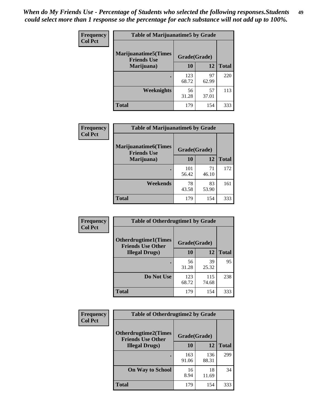| Frequency      | <b>Table of Marijuanatime5 by Grade</b>            |              |             |              |
|----------------|----------------------------------------------------|--------------|-------------|--------------|
| <b>Col Pct</b> | <b>Marijuanatime5</b> (Times<br><b>Friends Use</b> | Grade(Grade) |             |              |
|                | Marijuana)                                         | 10           | 12          | <b>Total</b> |
|                |                                                    | 123<br>68.72 | 97<br>62.99 | 220          |
|                | Weeknights                                         | 56<br>31.28  | 57<br>37.01 | 113          |
|                | <b>Total</b>                                       | 179          | 154         | 333          |

| Frequency      | <b>Table of Marijuanatime6 by Grade</b>    |              |             |              |
|----------------|--------------------------------------------|--------------|-------------|--------------|
| <b>Col Pct</b> | Marijuanatime6(Times<br><b>Friends Use</b> | Grade(Grade) |             |              |
|                | Marijuana)                                 | 10           | 12          | <b>Total</b> |
|                |                                            | 101<br>56.42 | 71<br>46.10 | 172          |
|                | Weekends                                   | 78<br>43.58  | 83<br>53.90 | 161          |
|                | <b>Total</b>                               | 179          | 154         | 333          |

| Frequency      | <b>Table of Otherdrugtime1 by Grade</b>                 |              |              |              |
|----------------|---------------------------------------------------------|--------------|--------------|--------------|
| <b>Col Pct</b> | <b>Otherdrugtime1(Times</b><br><b>Friends Use Other</b> | Grade(Grade) |              |              |
|                | <b>Illegal Drugs</b> )                                  | 10           | 12           | <b>Total</b> |
|                |                                                         | 56<br>31.28  | 39<br>25.32  | 95           |
|                | Do Not Use                                              | 123<br>68.72 | 115<br>74.68 | 238          |
|                | Total                                                   | 179          | 154          | 333          |

| Frequency      | <b>Table of Otherdrugtime2 by Grade</b>                 |              |              |              |  |
|----------------|---------------------------------------------------------|--------------|--------------|--------------|--|
| <b>Col Pct</b> | <b>Otherdrugtime2(Times</b><br><b>Friends Use Other</b> | Grade(Grade) |              |              |  |
|                | <b>Illegal Drugs</b> )                                  | 10           | 12           | <b>Total</b> |  |
|                |                                                         | 163<br>91.06 | 136<br>88.31 | 299          |  |
|                | <b>On Way to School</b>                                 | 16<br>8.94   | 18<br>11.69  | 34           |  |
|                | Total                                                   | 179          | 154          | 333          |  |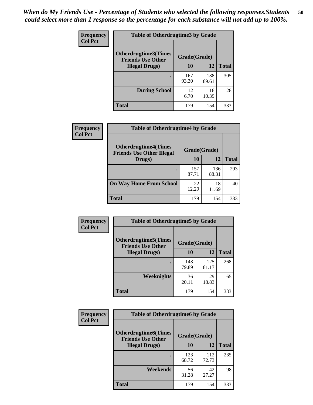| <b>Frequency</b> | <b>Table of Otherdrugtime3 by Grade</b>                 |              |              |              |  |  |
|------------------|---------------------------------------------------------|--------------|--------------|--------------|--|--|
| <b>Col Pct</b>   | <b>Otherdrugtime3(Times</b><br><b>Friends Use Other</b> | Grade(Grade) |              |              |  |  |
|                  | <b>Illegal Drugs</b> )                                  | 10           | 12           | <b>Total</b> |  |  |
|                  |                                                         | 167<br>93.30 | 138<br>89.61 | 305          |  |  |
|                  | <b>During School</b>                                    | 12<br>6.70   | 16<br>10.39  | 28           |  |  |
|                  | Total                                                   | 179          | 154          | 333          |  |  |

| <b>Frequency</b> | <b>Table of Otherdrugtime4 by Grade</b>                         |              |              |              |  |  |
|------------------|-----------------------------------------------------------------|--------------|--------------|--------------|--|--|
| <b>Col Pct</b>   | <b>Otherdrugtime4(Times</b><br><b>Friends Use Other Illegal</b> | Grade(Grade) |              |              |  |  |
|                  | Drugs)                                                          | 10           | 12           | <b>Total</b> |  |  |
|                  |                                                                 | 157<br>87.71 | 136<br>88.31 | 293          |  |  |
|                  | <b>On Way Home From School</b>                                  | 22<br>12.29  | 18<br>11.69  | 40           |  |  |
|                  | <b>Total</b>                                                    | 179          | 154          | 333          |  |  |

| <b>Frequency</b> | <b>Table of Otherdrugtime5 by Grade</b>                  |              |              |              |  |  |
|------------------|----------------------------------------------------------|--------------|--------------|--------------|--|--|
| <b>Col Pct</b>   | <b>Otherdrugtime5</b> (Times<br><b>Friends Use Other</b> | Grade(Grade) |              |              |  |  |
|                  | <b>Illegal Drugs</b> )                                   | 10           | 12           | <b>Total</b> |  |  |
|                  |                                                          | 143<br>79.89 | 125<br>81.17 | 268          |  |  |
|                  | Weeknights                                               | 36<br>20.11  | 29<br>18.83  | 65           |  |  |
|                  | Total                                                    | 179          | 154          | 333          |  |  |

| <b>Frequency</b> | <b>Table of Otherdrugtime6 by Grade</b>                  |              |              |              |  |  |
|------------------|----------------------------------------------------------|--------------|--------------|--------------|--|--|
| <b>Col Pct</b>   | <b>Otherdrugtime6</b> (Times<br><b>Friends Use Other</b> | Grade(Grade) |              |              |  |  |
|                  | <b>Illegal Drugs</b> )                                   | 10           | 12           | <b>Total</b> |  |  |
|                  | ٠                                                        | 123<br>68.72 | 112<br>72.73 | 235          |  |  |
|                  | Weekends                                                 | 56<br>31.28  | 42<br>27.27  | 98           |  |  |
|                  | <b>Total</b>                                             | 179          | 154          | 333          |  |  |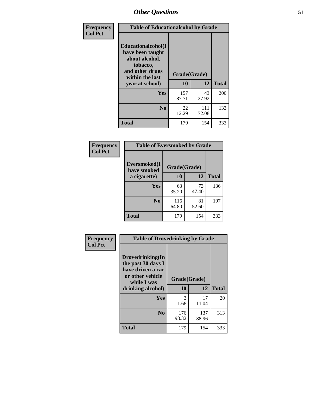| Frequency      | <b>Table of Educationalcohol by Grade</b>                                                                  |              |              |              |  |  |
|----------------|------------------------------------------------------------------------------------------------------------|--------------|--------------|--------------|--|--|
| <b>Col Pct</b> | Educationalcohol(I<br>have been taught<br>about alcohol,<br>tobacco,<br>and other drugs<br>within the last | Grade(Grade) |              |              |  |  |
|                | year at school)                                                                                            | 10           | 12           | <b>Total</b> |  |  |
|                | Yes                                                                                                        | 157<br>87.71 | 43<br>27.92  | 200          |  |  |
|                | N <sub>0</sub>                                                                                             | 22<br>12.29  | 111<br>72.08 | 133          |  |  |
|                | <b>Total</b>                                                                                               | 179          | 154          | 333          |  |  |

| Frequency      | <b>Table of Eversmoked by Grade</b> |              |             |              |  |  |
|----------------|-------------------------------------|--------------|-------------|--------------|--|--|
| <b>Col Pct</b> | Eversmoked(I<br>have smoked         | Grade(Grade) |             |              |  |  |
|                | a cigarette)                        | 10           | 12          | <b>Total</b> |  |  |
|                | Yes                                 | 63<br>35.20  | 73<br>47.40 | 136          |  |  |
|                | N <sub>0</sub>                      | 116<br>64.80 | 81<br>52.60 | 197          |  |  |
|                | <b>Total</b>                        | 179          | 154         | 333          |  |  |

| Frequency      | <b>Table of Drovedrinking by Grade</b>                                                         |              |              |              |
|----------------|------------------------------------------------------------------------------------------------|--------------|--------------|--------------|
| <b>Col Pct</b> | Drovedrinking(In<br>the past 30 days I<br>have driven a car<br>or other vehicle<br>while I was | Grade(Grade) |              |              |
|                | drinking alcohol)                                                                              | 10           | 12           | <b>Total</b> |
|                | Yes                                                                                            | 3<br>1.68    | 17<br>11.04  | 20           |
|                | N <sub>0</sub>                                                                                 | 176<br>98.32 | 137<br>88.96 | 313          |
|                | <b>Total</b>                                                                                   | 179          | 154          | 333          |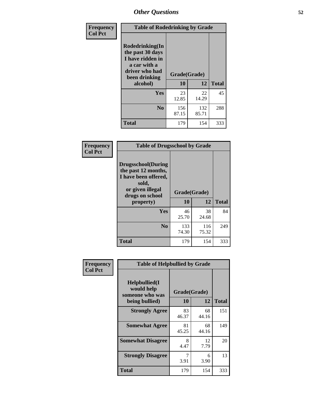| Frequency      | <b>Table of Rodedrinking by Grade</b>                                                                                  |                    |              |              |  |  |  |
|----------------|------------------------------------------------------------------------------------------------------------------------|--------------------|--------------|--------------|--|--|--|
| <b>Col Pct</b> | Rodedrinking(In<br>the past 30 days<br>I have ridden in<br>a car with a<br>driver who had<br>been drinking<br>alcohol) | Grade(Grade)<br>10 | 12           | <b>Total</b> |  |  |  |
|                |                                                                                                                        |                    |              |              |  |  |  |
|                | <b>Yes</b>                                                                                                             | 23<br>12.85        | 22<br>14.29  | 45           |  |  |  |
|                | N <sub>0</sub>                                                                                                         | 156<br>87.15       | 132<br>85.71 | 288          |  |  |  |
|                | <b>Total</b>                                                                                                           | 179                | 154          | 333          |  |  |  |

#### **Frequency Col Pct**

| <b>Table of Drugsschool by Grade</b>                                                                                      |              |              |              |  |  |  |  |
|---------------------------------------------------------------------------------------------------------------------------|--------------|--------------|--------------|--|--|--|--|
| <b>Drugsschool</b> (During<br>the past 12 months,<br>I have been offered,<br>sold,<br>or given illegal<br>drugs on school |              | Grade(Grade) |              |  |  |  |  |
| property)                                                                                                                 | 10           | 12           | <b>Total</b> |  |  |  |  |
| Yes                                                                                                                       | 46<br>25.70  | 38<br>24.68  | 84           |  |  |  |  |
| N <sub>0</sub>                                                                                                            | 133<br>74.30 | 116<br>75.32 | 249          |  |  |  |  |
| <b>Total</b>                                                                                                              | 179          | 154          | 333          |  |  |  |  |

| Frequency      | <b>Table of Helpbullied by Grade</b>                           |             |             |              |  |  |  |
|----------------|----------------------------------------------------------------|-------------|-------------|--------------|--|--|--|
| <b>Col Pct</b> | Helpbullied(I<br>would help<br>Grade(Grade)<br>someone who was |             |             |              |  |  |  |
|                | being bullied)                                                 | 10          | 12          | <b>Total</b> |  |  |  |
|                | <b>Strongly Agree</b>                                          | 83<br>46.37 | 68<br>44.16 | 151          |  |  |  |
|                | <b>Somewhat Agree</b>                                          | 81<br>45.25 | 68<br>44.16 | 149          |  |  |  |
|                | <b>Somewhat Disagree</b>                                       | 8<br>4.47   | 12<br>7.79  | 20           |  |  |  |
|                | <b>Strongly Disagree</b>                                       | 3.91        | 6<br>3.90   | 13           |  |  |  |
|                | <b>Total</b>                                                   | 179         | 154         | 333          |  |  |  |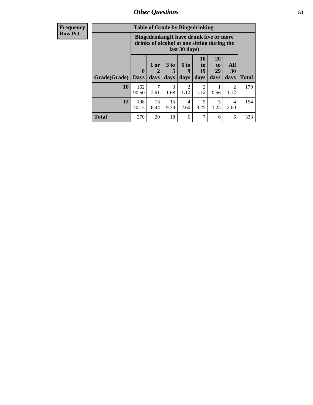| <b>Frequency</b> |              | <b>Table of Grade by Bingedrinking</b>                                                                          |                     |                              |                        |                               |                               |                        |              |
|------------------|--------------|-----------------------------------------------------------------------------------------------------------------|---------------------|------------------------------|------------------------|-------------------------------|-------------------------------|------------------------|--------------|
| <b>Row Pct</b>   |              | <b>Bingedrinking</b> (I have drunk five or more<br>drinks of alcohol at one sitting during the<br>last 30 days) |                     |                              |                        |                               |                               |                        |              |
|                  | Grade(Grade) | $\boldsymbol{0}$<br><b>Days</b>                                                                                 | $1$ or<br>2<br>days | 3 <sub>to</sub><br>5<br>days | 6 to<br>q<br>days      | <b>10</b><br>to<br>19<br>days | <b>20</b><br>to<br>29<br>days | All<br>30<br>days      | <b>Total</b> |
|                  | 10           | 162<br>90.50                                                                                                    | 7<br>3.91           | 3<br>1.68                    | $\mathfrak{D}$<br>1.12 | $\mathfrak{D}$<br>1.12        | 0.56                          | $\overline{2}$<br>1.12 | 179          |
|                  | 12           | 108<br>70.13                                                                                                    | 13<br>8.44          | 15<br>9.74                   | $\overline{4}$<br>2.60 | 5<br>3.25                     | 5<br>3.25                     | 4<br>2.60              | 154          |
|                  | <b>Total</b> | 270                                                                                                             | 20                  | 18                           | 6                      | $\mathcal{I}$                 | 6                             | 6                      | 333          |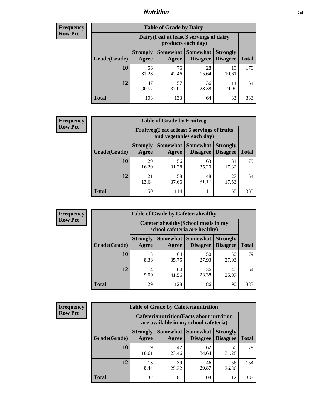## *Nutrition* **54**

| Frequency |
|-----------|
| Row Pct   |

| <b>Table of Grade by Dairy</b> |                          |                                                                 |                                    |                                    |              |  |
|--------------------------------|--------------------------|-----------------------------------------------------------------|------------------------------------|------------------------------------|--------------|--|
|                                |                          | Dairy (I eat at least 3 servings of dairy<br>products each day) |                                    |                                    |              |  |
| Grade(Grade)                   | <b>Strongly</b><br>Agree | Somewhat  <br>Agree                                             | <b>Somewhat</b><br><b>Disagree</b> | <b>Strongly</b><br><b>Disagree</b> | <b>Total</b> |  |
| 10                             | 56<br>31.28              | 76<br>42.46                                                     | 28<br>15.64                        | 19<br>10.61                        | 179          |  |
| 12                             | 47<br>30.52              | 57<br>37.01                                                     | 36<br>23.38                        | 14<br>9.09                         | 154          |  |
| <b>Total</b>                   | 103                      | 133                                                             | 64                                 | 33                                 | 333          |  |

| <b>Frequency</b> |  |
|------------------|--|
| <b>Row Pct</b>   |  |

| <b>Table of Grade by Fruitveg</b> |                          |                                                                          |                               |                                    |              |
|-----------------------------------|--------------------------|--------------------------------------------------------------------------|-------------------------------|------------------------------------|--------------|
|                                   |                          | Fruitveg(I eat at least 5 servings of fruits<br>and vegetables each day) |                               |                                    |              |
| Grade(Grade)                      | <b>Strongly</b><br>Agree | Agree                                                                    | Somewhat Somewhat<br>Disagree | <b>Strongly</b><br><b>Disagree</b> | <b>Total</b> |
| 10                                | 29<br>16.20              | 56<br>31.28                                                              | 63<br>35.20                   | 31<br>17.32                        | 179          |
| 12                                | 21<br>13.64              | 58<br>37.66                                                              | 48<br>31.17                   | 27<br>17.53                        | 154          |
| <b>Total</b>                      | 50                       | 114                                                                      | 111                           | 58                                 | 333          |

| Frequency      | <b>Table of Grade by Cafeteriahealthy</b> |                          |                                                                       |                                    |                                    |              |
|----------------|-------------------------------------------|--------------------------|-----------------------------------------------------------------------|------------------------------------|------------------------------------|--------------|
| <b>Row Pct</b> |                                           |                          | Cafeteriahealthy (School meals in my<br>school cafeteria are healthy) |                                    |                                    |              |
|                | Grade(Grade)                              | <b>Strongly</b><br>Agree | Somewhat  <br>Agree                                                   | <b>Somewhat</b><br><b>Disagree</b> | <b>Strongly</b><br><b>Disagree</b> | <b>Total</b> |
|                | <b>10</b>                                 | 15<br>8.38               | 64<br>35.75                                                           | 50<br>27.93                        | 50<br>27.93                        | 179          |
|                | 12                                        | 14<br>9.09               | 64<br>41.56                                                           | 36<br>23.38                        | 40<br>25.97                        | 154          |
|                | <b>Total</b>                              | 29                       | 128                                                                   | 86                                 | 90                                 | 333          |

| <b>Frequency</b> |
|------------------|
| <b>Row Pct</b>   |

| <b>Table of Grade by Cafeterianutrition</b> |                          |                                                                                           |                                    |                                    |              |  |
|---------------------------------------------|--------------------------|-------------------------------------------------------------------------------------------|------------------------------------|------------------------------------|--------------|--|
|                                             |                          | <b>Cafeterianutrition</b> (Facts about nutrition<br>are available in my school cafeteria) |                                    |                                    |              |  |
| Grade(Grade)                                | <b>Strongly</b><br>Agree | Somewhat  <br>Agree                                                                       | <b>Somewhat</b><br><b>Disagree</b> | <b>Strongly</b><br><b>Disagree</b> | <b>Total</b> |  |
| 10                                          | 19<br>10.61              | 42<br>23.46                                                                               | 62<br>34.64                        | 56<br>31.28                        | 179          |  |
| 12                                          | 13<br>8.44               | 39<br>25.32                                                                               | 46<br>29.87                        | 56<br>36.36                        | 154          |  |
| <b>Total</b>                                | 32                       | 81                                                                                        | 108                                | 112                                | 333          |  |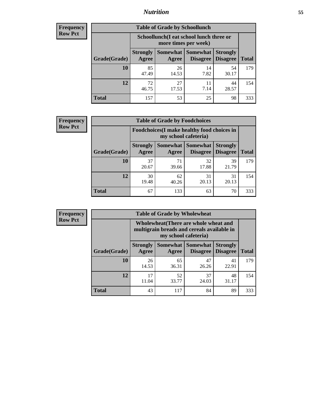## *Nutrition* **55**

| Frequency |
|-----------|
| Row Pct   |

| <b>Table of Grade by Schoollunch</b> |                          |                                                                 |                                 |                                    |              |
|--------------------------------------|--------------------------|-----------------------------------------------------------------|---------------------------------|------------------------------------|--------------|
|                                      |                          | Schoollunch(I eat school lunch three or<br>more times per week) |                                 |                                    |              |
| Grade(Grade)                         | <b>Strongly</b><br>Agree | Agree                                                           | Somewhat   Somewhat<br>Disagree | <b>Strongly</b><br><b>Disagree</b> | <b>Total</b> |
| 10                                   | 85<br>47.49              | 26<br>14.53                                                     | 14<br>7.82                      | 54<br>30.17                        | 179          |
| 12                                   | 72<br>46.75              | 27<br>17.53                                                     | 11<br>7.14                      | 44<br>28.57                        | 154          |
| <b>Total</b>                         | 157                      | 53                                                              | 25                              | 98                                 | 333          |

| <b>Frequency</b> |  |
|------------------|--|
| <b>Row Pct</b>   |  |

| <b>Table of Grade by Foodchoices</b> |                          |                                                                     |                                      |                                    |              |  |
|--------------------------------------|--------------------------|---------------------------------------------------------------------|--------------------------------------|------------------------------------|--------------|--|
|                                      |                          | Foodchoices (I make healthy food choices in<br>my school cafeteria) |                                      |                                    |              |  |
| Grade(Grade)                         | <b>Strongly</b><br>Agree | Agree                                                               | Somewhat Somewhat<br><b>Disagree</b> | <b>Strongly</b><br><b>Disagree</b> | <b>Total</b> |  |
| 10                                   | 37<br>20.67              | 71<br>39.66                                                         | 32<br>17.88                          | 39<br>21.79                        | 179          |  |
| 12                                   | 30<br>19.48              | 62<br>40.26                                                         | 31<br>20.13                          | 31<br>20.13                        | 154          |  |
| <b>Total</b>                         | 67                       | 133                                                                 | 63                                   | 70                                 | 333          |  |

| <b>Frequency</b> |
|------------------|
| Row Pct          |

| <b>Table of Grade by Wholewheat</b> |                                                                                                             |             |                                        |                                    |              |  |
|-------------------------------------|-------------------------------------------------------------------------------------------------------------|-------------|----------------------------------------|------------------------------------|--------------|--|
|                                     | Wholewheat (There are whole wheat and<br>multigrain breads and cereals available in<br>my school cafeteria) |             |                                        |                                    |              |  |
| Grade(Grade)                        | <b>Strongly</b><br>Agree                                                                                    | Agree       | <b>Somewhat   Somewhat</b><br>Disagree | <b>Strongly</b><br><b>Disagree</b> | <b>Total</b> |  |
| 10                                  | 26<br>14.53                                                                                                 | 65<br>36.31 | 47<br>26.26                            | 41<br>22.91                        | 179          |  |
| 12                                  | 17<br>11.04                                                                                                 | 52<br>33.77 | 37<br>24.03                            | 48<br>31.17                        | 154          |  |
| <b>Total</b>                        | 43                                                                                                          | 117         | 84                                     | 89                                 | 333          |  |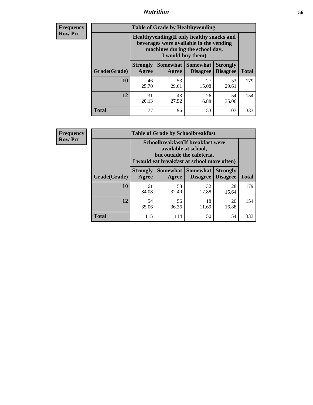## *Nutrition* **56**

**Frequency Row Pct**

| <b>Table of Grade by Healthyvending</b> |                                                                                                                                               |                          |                                    |                                    |              |  |  |
|-----------------------------------------|-----------------------------------------------------------------------------------------------------------------------------------------------|--------------------------|------------------------------------|------------------------------------|--------------|--|--|
|                                         | Healthyvending (If only healthy snacks and<br>beverages were available in the vending<br>machines during the school day,<br>I would buy them) |                          |                                    |                                    |              |  |  |
| Grade(Grade)                            | <b>Strongly</b><br>Agree                                                                                                                      | <b>Somewhat</b><br>Agree | <b>Somewhat</b><br><b>Disagree</b> | <b>Strongly</b><br><b>Disagree</b> | <b>Total</b> |  |  |
| 10                                      | 46<br>25.70                                                                                                                                   | 53<br>29.61              | 27<br>15.08                        | 53<br>29.61                        | 179          |  |  |
| 12                                      | 31<br>20.13                                                                                                                                   | 43<br>27.92              | 26<br>16.88                        | 54<br>35.06                        | 154          |  |  |
| <b>Total</b>                            | 77                                                                                                                                            | 96                       | 53                                 | 107                                | 333          |  |  |

**Frequency Row Pct**

| <b>Table of Grade by Schoolbreakfast</b> |                                                                                                                                        |             |                                 |                                    |              |  |  |
|------------------------------------------|----------------------------------------------------------------------------------------------------------------------------------------|-------------|---------------------------------|------------------------------------|--------------|--|--|
|                                          | Schoolbreakfast(If breakfast were<br>available at school,<br>but outside the cafeteria,<br>I would eat breakfast at school more often) |             |                                 |                                    |              |  |  |
| Grade(Grade)                             | <b>Strongly</b><br>Agree                                                                                                               | Agree       | Somewhat   Somewhat<br>Disagree | <b>Strongly</b><br><b>Disagree</b> | <b>Total</b> |  |  |
| 10                                       | 61<br>34.08                                                                                                                            | 58<br>32.40 | 32<br>17.88                     | 28<br>15.64                        | 179          |  |  |
| 12                                       | 54<br>35.06                                                                                                                            | 56<br>36.36 | 18<br>11.69                     | 26<br>16.88                        | 154          |  |  |
| <b>Total</b>                             | 115                                                                                                                                    | 114         | 50                              | 54                                 | 333          |  |  |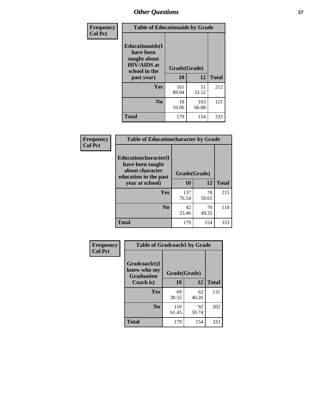| Frequency<br><b>Col Pct</b> | <b>Table of Educationaids by Grade</b>                                                                    |                    |              |              |
|-----------------------------|-----------------------------------------------------------------------------------------------------------|--------------------|--------------|--------------|
|                             | <b>Educationaids</b> (I<br>have been<br>taught about<br><b>HIV/AIDS</b> at<br>school in the<br>past year) | Grade(Grade)<br>10 | 12           | <b>Total</b> |
|                             | Yes                                                                                                       | 161<br>89.94       | 51<br>33.12  | 212          |
|                             | N <sub>0</sub>                                                                                            | 18<br>10.06        | 103<br>66.88 | 121          |
|                             | <b>Total</b>                                                                                              | 179                | 154          | 333          |

| Frequency      | <b>Table of Educationcharacter by Grade</b>                         |              |             |              |  |  |
|----------------|---------------------------------------------------------------------|--------------|-------------|--------------|--|--|
| <b>Col Pct</b> | <b>Educationcharacter(I)</b><br>have been taught<br>about character |              |             |              |  |  |
|                | education in the past                                               | Grade(Grade) |             |              |  |  |
|                | year at school)                                                     | 10           | 12          | <b>Total</b> |  |  |
|                | Yes                                                                 | 137<br>76.54 | 78<br>50.65 | 215          |  |  |
|                | N <sub>0</sub>                                                      | 42<br>23.46  | 76<br>49.35 | 118          |  |  |
|                | <b>Total</b>                                                        | 179          | 154         | 333          |  |  |

| Frequency      | <b>Table of Gradcoach1 by Grade</b>              |              |             |              |  |
|----------------|--------------------------------------------------|--------------|-------------|--------------|--|
| <b>Col Pct</b> | Gradcoach1(I<br>know who my<br><b>Graduation</b> | Grade(Grade) |             |              |  |
|                | Coach is)                                        | 10           | 12          | <b>Total</b> |  |
|                | Yes                                              | 69<br>38.55  | 62<br>40.26 | 131          |  |
|                | N <sub>0</sub>                                   | 110<br>61.45 | 92<br>59.74 | 202          |  |
|                | <b>Total</b>                                     | 179          | 154         | 333          |  |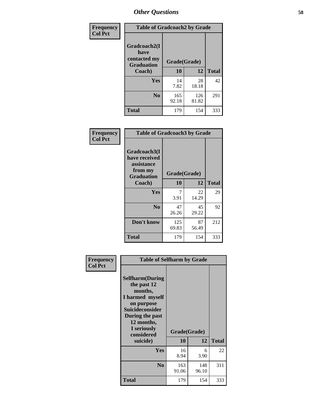| Frequency      | <b>Table of Gradcoach2 by Grade</b> |              |              |              |
|----------------|-------------------------------------|--------------|--------------|--------------|
| <b>Col Pct</b> |                                     |              |              |              |
|                | Gradcoach2(I<br>have                |              |              |              |
|                | contacted my<br><b>Graduation</b>   | Grade(Grade) |              |              |
|                | Coach)                              | 10           | 12           | <b>Total</b> |
|                | Yes                                 | 14<br>7.82   | 28<br>18.18  | 42           |
|                | N <sub>0</sub>                      | 165<br>92.18 | 126<br>81.82 | 291          |
|                | <b>Total</b>                        | 179          | 154          | 333          |

| Frequency<br><b>Col Pct</b> | <b>Table of Gradcoach3 by Grade</b>                                         |              |             |              |  |
|-----------------------------|-----------------------------------------------------------------------------|--------------|-------------|--------------|--|
|                             | Gradcoach3(I<br>have received<br>assistance<br>from my<br><b>Graduation</b> | Grade(Grade) |             |              |  |
|                             | Coach)                                                                      | 10           | 12          | <b>Total</b> |  |
|                             | Yes                                                                         | 7<br>3.91    | 22<br>14.29 | 29           |  |
|                             | N <sub>0</sub>                                                              | 47<br>26.26  | 45<br>29.22 | 92           |  |
|                             | Don't know                                                                  | 125<br>69.83 | 87<br>56.49 | 212          |  |
|                             | <b>Total</b>                                                                | 179          | 154         | 333          |  |

| Frequency<br><b>Col Pct</b> | <b>Table of Selfharm by Grade</b>                                                                                                                                                      |                    |              |              |
|-----------------------------|----------------------------------------------------------------------------------------------------------------------------------------------------------------------------------------|--------------------|--------------|--------------|
|                             | <b>Selfharm</b> (During<br>the past 12<br>months,<br>I harmed myself<br>on purpose<br><b>Suicideconsider</b><br>During the past<br>12 months,<br>I seriously<br>considered<br>suicide) | Grade(Grade)<br>10 | 12           | <b>Total</b> |
|                             | Yes                                                                                                                                                                                    | 16                 | 6            | 22           |
|                             |                                                                                                                                                                                        | 8.94               | 3.90         |              |
|                             | N <sub>0</sub>                                                                                                                                                                         | 163<br>91.06       | 148<br>96.10 | 311          |
|                             | <b>Total</b>                                                                                                                                                                           | 179                | 154          | 333          |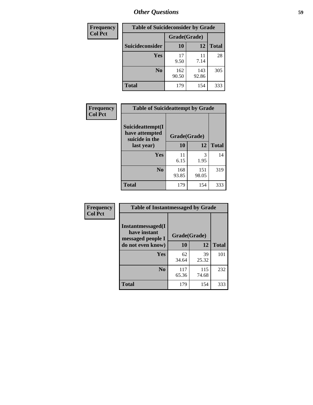| <b>Frequency</b> | <b>Table of Suicideconsider by Grade</b> |              |              |              |
|------------------|------------------------------------------|--------------|--------------|--------------|
| <b>Col Pct</b>   |                                          | Grade(Grade) |              |              |
|                  | Suicideconsider                          | <b>10</b>    | 12           | <b>Total</b> |
|                  | Yes                                      | 17<br>9.50   | 11<br>7.14   | 28           |
|                  | N <sub>0</sub>                           | 162<br>90.50 | 143<br>92.86 | 305          |
|                  | Total                                    | 179          | 154          | 333          |

| Frequency      | <b>Table of Suicideattempt by Grade</b>              |              |              |              |
|----------------|------------------------------------------------------|--------------|--------------|--------------|
| <b>Col Pct</b> | Suicideattempt(I<br>have attempted<br>suicide in the | Grade(Grade) |              |              |
|                | last year)                                           | 10           | 12           | <b>Total</b> |
|                | Yes                                                  | 11<br>6.15   | 3<br>1.95    | 14           |
|                | N <sub>0</sub>                                       | 168<br>93.85 | 151<br>98.05 | 319          |
|                | <b>Total</b>                                         | 179          | 154          | 333          |

| Frequency      | <b>Table of Instantmessaged by Grade</b>               |              |              |              |
|----------------|--------------------------------------------------------|--------------|--------------|--------------|
| <b>Col Pct</b> | Instantmessaged(I<br>have instant<br>messaged people I | Grade(Grade) |              |              |
|                | do not even know)                                      | 10           | 12           | <b>Total</b> |
|                | <b>Yes</b>                                             | 62<br>34.64  | 39<br>25.32  | 101          |
|                | N <sub>0</sub>                                         | 117<br>65.36 | 115<br>74.68 | 232          |
|                | <b>Total</b>                                           | 179          | 154          | 333          |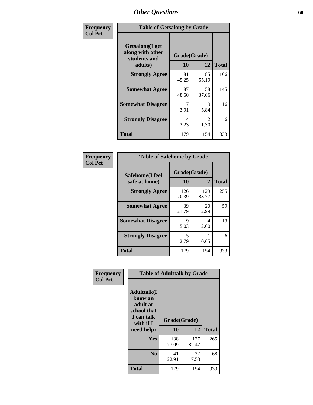| Frequency      | <b>Table of Getsalong by Grade</b>                          |              |                        |              |  |  |  |
|----------------|-------------------------------------------------------------|--------------|------------------------|--------------|--|--|--|
| <b>Col Pct</b> | <b>Getsalong</b> (I get<br>along with other<br>students and | Grade(Grade) |                        |              |  |  |  |
|                | adults)                                                     | 10           | 12                     | <b>Total</b> |  |  |  |
|                | <b>Strongly Agree</b>                                       | 81<br>45.25  | 85<br>55.19            | 166          |  |  |  |
|                | <b>Somewhat Agree</b>                                       | 87<br>48.60  | 58<br>37.66            | 145          |  |  |  |
|                | <b>Somewhat Disagree</b>                                    | 7<br>3.91    | 9<br>5.84              | 16           |  |  |  |
|                | <b>Strongly Disagree</b>                                    | 4<br>2.23    | $\mathfrak{D}$<br>1.30 | 6            |  |  |  |
|                | <b>Total</b>                                                | 179          | 154                    | 333          |  |  |  |

| <b>Frequency</b><br><b>Col Pct</b> | <b>Table of Safehome by Grade</b> |              |  |  |  |  |  |  |
|------------------------------------|-----------------------------------|--------------|--|--|--|--|--|--|
| Safehome(I feel                    |                                   | Grade(Grade) |  |  |  |  |  |  |
| safe at home)                      | 10                                | 12           |  |  |  |  |  |  |
| <b>Strongly Agree</b>              | 126<br>70.39                      | 129<br>83.77 |  |  |  |  |  |  |
| <b>Somewhat Agree</b>              | 39<br>21.79                       | 20<br>12.99  |  |  |  |  |  |  |

| Safehome(I feel          | Grade(Grade) |              |              |
|--------------------------|--------------|--------------|--------------|
| safe at home)            | 10           | 12           | <b>Total</b> |
| <b>Strongly Agree</b>    | 126<br>70.39 | 129<br>83.77 | 255          |
| <b>Somewhat Agree</b>    | 39<br>21.79  | 20<br>12.99  | 59           |
| <b>Somewhat Disagree</b> | 9<br>5.03    | 4<br>2.60    | 13           |
| <b>Strongly Disagree</b> | 5<br>2.79    | 0.65         | 6            |
| <b>Total</b>             | 179          | 154          | 333          |

| Frequency      |                                                                                                   | <b>Table of Adulttalk by Grade</b> |             |              |
|----------------|---------------------------------------------------------------------------------------------------|------------------------------------|-------------|--------------|
| <b>Col Pct</b> | <b>Adulttalk(I</b><br>know an<br>adult at<br>school that<br>I can talk<br>with if I<br>need help) | Grade(Grade)<br>10                 | 12          | <b>Total</b> |
|                | <b>Yes</b>                                                                                        | 138                                | 127         | 265          |
|                |                                                                                                   | 77.09                              | 82.47       |              |
|                | N <sub>0</sub>                                                                                    | 41<br>22.91                        | 27<br>17.53 | 68           |
|                | <b>Total</b>                                                                                      | 179                                | 154         | 333          |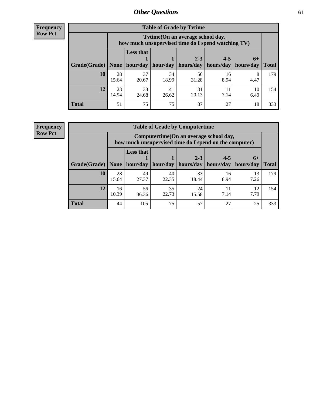**Frequency Row Pct**

| <b>Table of Grade by Tytime</b> |             |                                                                                        |             |                                                                    |            |            |              |  |  |  |  |
|---------------------------------|-------------|----------------------------------------------------------------------------------------|-------------|--------------------------------------------------------------------|------------|------------|--------------|--|--|--|--|
|                                 |             | Tvtime(On an average school day,<br>how much unsupervised time do I spend watching TV) |             |                                                                    |            |            |              |  |  |  |  |
| Grade(Grade)   None             |             | <b>Less that</b>                                                                       |             | $2 - 3$<br>hour/day   hour/day   hours/day   hours/day   hours/day | $4 - 5$    | $6+$       | <b>Total</b> |  |  |  |  |
| 10                              | 28<br>15.64 | 37<br>20.67                                                                            | 34<br>18.99 | 56<br>31.28                                                        | 16<br>8.94 | 8<br>4.47  | 179          |  |  |  |  |
| 12                              | 23<br>14.94 | 38<br>24.68                                                                            | 41<br>26.62 | 31<br>20.13                                                        | 7.14       | 10<br>6.49 | 154          |  |  |  |  |
| <b>Total</b>                    | 51          | 75                                                                                     | 75          | 87                                                                 | 27         | 18         | 333          |  |  |  |  |

**Frequency Row Pct**

| <b>Table of Grade by Computertime</b> |             |                                                                                                   |                     |                      |                      |                   |              |  |  |  |  |
|---------------------------------------|-------------|---------------------------------------------------------------------------------------------------|---------------------|----------------------|----------------------|-------------------|--------------|--|--|--|--|
|                                       |             | Computertime (On an average school day,<br>how much unsupervised time do I spend on the computer) |                     |                      |                      |                   |              |  |  |  |  |
| Grade(Grade)                          | None        | <b>Less that</b>                                                                                  | hour/day   hour/day | $2 - 3$<br>hours/day | $4 - 5$<br>hours/day | $6+$<br>hours/day | <b>Total</b> |  |  |  |  |
| 10                                    | 28<br>15.64 | 49<br>27.37                                                                                       | 40<br>22.35         | 33<br>18.44          | 16<br>8.94           | 13<br>7.26        | 179          |  |  |  |  |
| 12                                    | 16<br>10.39 | 56<br>36.36                                                                                       | 35<br>22.73         | 24<br>15.58          | 11<br>7.14           | 12<br>7.79        | 154          |  |  |  |  |
| <b>Total</b>                          | 44          | 105                                                                                               | 75                  | 57                   | 27                   | 25                | 333          |  |  |  |  |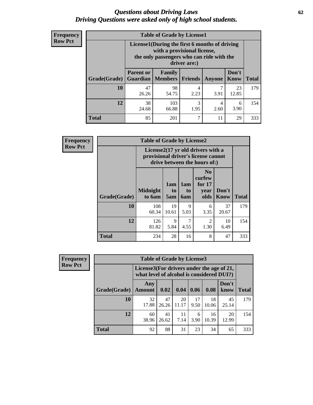#### *Questions about Driving Laws* **62** *Driving Questions were asked only of high school students.*

| <b>Frequency</b> |
|------------------|
| <b>Row Pct</b>   |

| <b>Table of Grade by License1</b> |                                     |                                                                                                                                           |                |           |                      |              |  |  |  |  |  |
|-----------------------------------|-------------------------------------|-------------------------------------------------------------------------------------------------------------------------------------------|----------------|-----------|----------------------|--------------|--|--|--|--|--|
|                                   |                                     | License1(During the first 6 months of driving<br>with a provisional license,<br>the only passengers who can ride with the<br>driver are:) |                |           |                      |              |  |  |  |  |  |
| Grade(Grade)                      | <b>Parent or</b><br><b>Guardian</b> | Family<br>  Members                                                                                                                       | <b>Friends</b> | Anyone    | Don't<br><b>Know</b> | <b>Total</b> |  |  |  |  |  |
| 10                                | 47<br>26.26                         | 98<br>54.75                                                                                                                               | 4<br>2.23      | 3.91      | 23<br>12.85          | 179          |  |  |  |  |  |
| 12                                | 38<br>24.68                         | 103<br>66.88                                                                                                                              | 3<br>1.95      | 4<br>2.60 | 6<br>3.90            | 154          |  |  |  |  |  |
| <b>Total</b>                      | 85                                  | 201                                                                                                                                       | 7              | 11        | 29                   | 333          |  |  |  |  |  |

| Frequency      |              | <b>Table of Grade by License2</b>                                                                        |                  |                  |                                                      |                      |              |  |  |  |
|----------------|--------------|----------------------------------------------------------------------------------------------------------|------------------|------------------|------------------------------------------------------|----------------------|--------------|--|--|--|
| <b>Row Pct</b> |              | License2(17 yr old drivers with a<br>provisional driver's license cannot<br>drive between the hours of:) |                  |                  |                                                      |                      |              |  |  |  |
|                | Grade(Grade) | <b>Midnight</b><br>to 6am                                                                                | 1am<br>to<br>5am | 1am<br>to<br>6am | N <sub>0</sub><br>curfew<br>for $17$<br>year<br>olds | Don't<br><b>Know</b> | <b>Total</b> |  |  |  |
|                | 10           | 108<br>60.34                                                                                             | 19<br>10.61      | 9<br>5.03        | 6<br>3.35                                            | 37<br>20.67          | 179          |  |  |  |
|                | 12           | 126<br>81.82                                                                                             | 9<br>5.84        | 7<br>4.55        | $\overline{2}$<br>1.30                               | 10<br>6.49           | 154          |  |  |  |
|                | <b>Total</b> | 234                                                                                                      | 28               | 16               | 8                                                    | 47                   | 333          |  |  |  |

| <b>Frequency</b> | <b>Table of Grade by License3</b> |                                                                                        |             |             |            |             |               |              |
|------------------|-----------------------------------|----------------------------------------------------------------------------------------|-------------|-------------|------------|-------------|---------------|--------------|
| <b>Row Pct</b>   |                                   | License3(For drivers under the age of 21,<br>what level of alcohol is considered DUI?) |             |             |            |             |               |              |
|                  | Grade(Grade)                      | Any<br><b>Amount</b>                                                                   | 0.02        | 0.04        | 0.06       | 0.08        | Don't<br>know | <b>Total</b> |
|                  | <b>10</b>                         | 32<br>17.88                                                                            | 47<br>26.26 | 20<br>11.17 | 17<br>9.50 | 18<br>10.06 | 45<br>25.14   | 179          |
|                  | 12                                | 60<br>38.96                                                                            | 41<br>26.62 | 11<br>7.14  | 6<br>3.90  | 16<br>10.39 | 20<br>12.99   | 154          |
|                  | <b>Total</b>                      | 92                                                                                     | 88          | 31          | 23         | 34          | 65            | 333          |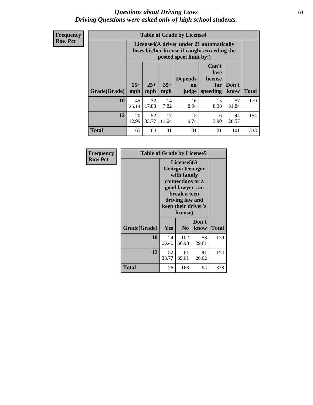#### *Questions about Driving Laws* **63** *Driving Questions were asked only of high school students.*

**Frequency Row Pct**

| <b>Table of Grade by License4</b> |              |                                                                                                                      |              |                               |                                             |               |              |  |  |  |
|-----------------------------------|--------------|----------------------------------------------------------------------------------------------------------------------|--------------|-------------------------------|---------------------------------------------|---------------|--------------|--|--|--|
|                                   |              | License4(A driver under 21 automatically<br>loses his/her license if caught exceeding the<br>posted speet limit by:) |              |                               |                                             |               |              |  |  |  |
| Grade(Grade)                      | $15+$<br>mph | $25+$<br>mph                                                                                                         | $35+$<br>mph | <b>Depends</b><br>on<br>judge | Can't<br>lose<br>license<br>for<br>speeding | Don't<br>know | <b>Total</b> |  |  |  |
| 10                                | 45<br>25.14  | 32<br>17.88                                                                                                          | 14<br>7.82   | 16<br>8.94                    | 15<br>8.38                                  | 57<br>31.84   | 179          |  |  |  |
| 12                                | 20<br>12.99  | 52<br>33.77                                                                                                          | 17<br>11.04  | 15<br>9.74                    | 6<br>3.90                                   | 44<br>28.57   | 154          |  |  |  |
| <b>Total</b>                      | 65           | 84                                                                                                                   | 31           | 31                            | 21                                          | 101           | 333          |  |  |  |

| Frequency      | <b>Table of Grade by License5</b> |                                                                                                                                                             |                |               |       |  |  |
|----------------|-----------------------------------|-------------------------------------------------------------------------------------------------------------------------------------------------------------|----------------|---------------|-------|--|--|
| <b>Row Pct</b> |                                   | License5(A)<br>Georgia teenager<br>with family<br>connections or a<br>good lawyer can<br>break a teen<br>driving law and<br>keep their driver's<br>license) |                |               |       |  |  |
|                | Grade(Grade)                      | <b>Yes</b>                                                                                                                                                  | N <sub>0</sub> | Don't<br>know | Total |  |  |
|                | 10                                | 24<br>13.41                                                                                                                                                 | 102<br>56.98   | 53<br>29.61   | 179   |  |  |
|                | 12                                | 52<br>33.77                                                                                                                                                 | 61<br>39.61    | 41<br>26.62   | 154   |  |  |
|                | <b>Total</b>                      | 76                                                                                                                                                          | 163            | 94            | 333   |  |  |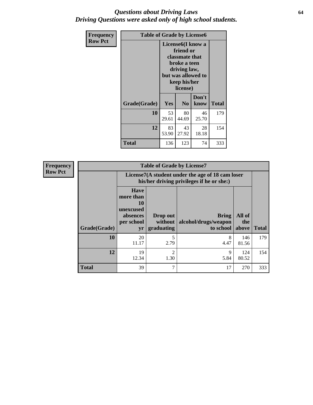### *Questions about Driving Laws* **64** *Driving Questions were asked only of high school students.*

| <b>Frequency</b> | <b>Table of Grade by License6</b> |                                                                                                                                                 |                |               |              |
|------------------|-----------------------------------|-------------------------------------------------------------------------------------------------------------------------------------------------|----------------|---------------|--------------|
| <b>Row Pct</b>   |                                   | License <sub>6</sub> (I know a<br>friend or<br>classmate that<br>broke a teen<br>driving law,<br>but was allowed to<br>keep his/her<br>license) |                |               |              |
|                  | Grade(Grade)                      | Yes                                                                                                                                             | N <sub>0</sub> | Don't<br>know | <b>Total</b> |
|                  | 10                                | 53<br>29.61                                                                                                                                     | 80<br>44.69    | 46<br>25.70   | 179          |
|                  | 12                                | 83<br>53.90                                                                                                                                     | 43<br>27.92    | 28<br>18.18   | 154          |
|                  | <b>Total</b>                      | 136                                                                                                                                             | 123            | 74            | 333          |

| <b>Frequency</b> | <b>Table of Grade by License7</b> |                                                                             |                                                                                               |                                                   |                        |              |  |
|------------------|-----------------------------------|-----------------------------------------------------------------------------|-----------------------------------------------------------------------------------------------|---------------------------------------------------|------------------------|--------------|--|
| <b>Row Pct</b>   |                                   |                                                                             | License7(A student under the age of 18 cam loser<br>his/her driving privileges if he or she:) |                                                   |                        |              |  |
|                  | Grade(Grade)                      | <b>Have</b><br>more than<br>10<br>unexcused<br>absences<br>per school<br>yr | Drop out<br>without  <br>graduating                                                           | <b>Bring</b><br>alcohol/drugs/weapon<br>to school | All of<br>the<br>above | <b>Total</b> |  |
|                  | 10                                | 20<br>11.17                                                                 | 5<br>2.79                                                                                     | 8<br>4.47                                         | 146<br>81.56           | 179          |  |
|                  | 12                                | 19<br>12.34                                                                 | $\overline{2}$<br>1.30                                                                        | 9<br>5.84                                         | 124<br>80.52           | 154          |  |
|                  | <b>Total</b>                      | 39                                                                          | 7                                                                                             | 17                                                | 270                    | 333          |  |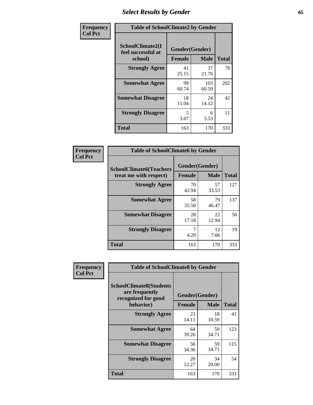# *Select Results by Gender* **65**

| Frequency      | <b>Table of SchoolClimate2 by Gender</b> |                              |                            |              |
|----------------|------------------------------------------|------------------------------|----------------------------|--------------|
| <b>Col Pct</b> | SchoolClimate2(I<br>feel successful at   | Gender(Gender)               |                            | <b>Total</b> |
|                | school)<br><b>Strongly Agree</b>         | <b>Female</b><br>41<br>25.15 | <b>Male</b><br>37<br>21.76 | 78           |
|                | <b>Somewhat Agree</b>                    | 99<br>60.74                  | 103<br>60.59               | 202          |
|                | <b>Somewhat Disagree</b>                 | 18<br>11.04                  | 24<br>14.12                | 42           |
|                | <b>Strongly Disagree</b>                 | 5<br>3.07                    | 6<br>3.53                  | 11           |
|                | <b>Total</b>                             | 163                          | 170                        | 333          |

| Frequency      | <b>Table of SchoolClimate6 by Gender</b>                 |                                 |             |              |  |
|----------------|----------------------------------------------------------|---------------------------------|-------------|--------------|--|
| <b>Col Pct</b> | <b>SchoolClimate6(Teachers</b><br>treat me with respect) | Gender(Gender)<br><b>Female</b> | <b>Male</b> | <b>Total</b> |  |
|                | <b>Strongly Agree</b>                                    | 70<br>42.94                     | 57<br>33.53 | 127          |  |
|                | <b>Somewhat Agree</b>                                    | 58<br>35.58                     | 79<br>46.47 | 137          |  |
|                | <b>Somewhat Disagree</b>                                 | 28<br>17.18                     | 22<br>12.94 | 50           |  |
|                | <b>Strongly Disagree</b>                                 | 7<br>4.29                       | 12<br>7.06  | 19           |  |
|                | <b>Total</b>                                             | 163                             | 170         | 333          |  |

| <b>Frequency</b> | <b>Table of SchoolClimate8 by Gender</b>                                             |                                                |             |              |
|------------------|--------------------------------------------------------------------------------------|------------------------------------------------|-------------|--------------|
| <b>Col Pct</b>   | <b>SchoolClimate8(Students</b><br>are frequently<br>recognized for good<br>behavior) | Gender(Gender)<br><b>Male</b><br><b>Female</b> |             | <b>Total</b> |
|                  | <b>Strongly Agree</b>                                                                | 23<br>14.11                                    | 18<br>10.59 | 41           |
|                  | <b>Somewhat Agree</b>                                                                | 64<br>39.26                                    | 59<br>34.71 | 123          |
|                  | <b>Somewhat Disagree</b>                                                             | 56<br>34.36                                    | 59<br>34.71 | 115          |
|                  | <b>Strongly Disagree</b>                                                             | 20<br>12.27                                    | 34<br>20.00 | 54           |
|                  | <b>Total</b>                                                                         | 163                                            | 170         | 333          |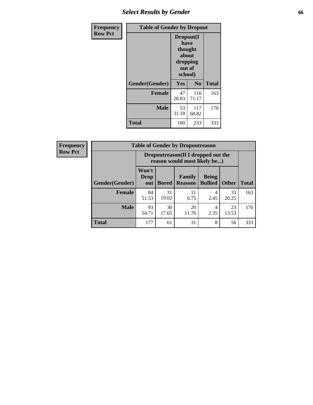# *Select Results by Gender* **66**

| <b>Frequency</b> | <b>Table of Gender by Dropout</b> |                                                                        |                |              |  |
|------------------|-----------------------------------|------------------------------------------------------------------------|----------------|--------------|--|
| <b>Row Pct</b>   |                                   | Dropout(I<br>have<br>thought<br>about<br>dropping<br>out of<br>school) |                |              |  |
|                  | Gender(Gender)                    | Yes                                                                    | N <sub>0</sub> | <b>Total</b> |  |
|                  | <b>Female</b>                     | 47<br>28.83                                                            | 116<br>71.17   | 163          |  |
|                  | <b>Male</b>                       | 53<br>31.18                                                            | 117<br>68.82   | 170          |  |
|                  | <b>Total</b>                      | 100                                                                    | 233            | 333          |  |

| <b>Frequency</b> |                       | <b>Table of Gender by Dropoutreason</b>                             |              |                                 |                                |              |              |
|------------------|-----------------------|---------------------------------------------------------------------|--------------|---------------------------------|--------------------------------|--------------|--------------|
| <b>Row Pct</b>   |                       | Dropoutreason (If I dropped out the<br>reason would most likely be) |              |                                 |                                |              |              |
|                  | <b>Gender(Gender)</b> | Won't<br>Drop<br>out                                                | <b>Bored</b> | <b>Family</b><br><b>Reasons</b> | <b>Being</b><br><b>Bullied</b> | <b>Other</b> | <b>Total</b> |
|                  | <b>Female</b>         | 84<br>51.53                                                         | 31<br>19.02  | 11<br>6.75                      | 4<br>2.45                      | 33<br>20.25  | 163          |
|                  | <b>Male</b>           | 93<br>54.71                                                         | 30<br>17.65  | 20<br>11.76                     | 4<br>2.35                      | 23<br>13.53  | 170          |
|                  | <b>Total</b>          | 177                                                                 | 61           | 31                              | 8                              | 56           | 333          |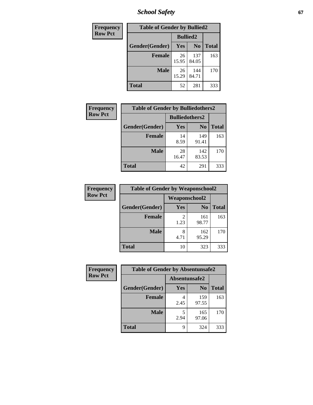*School Safety* **67**

| Frequency      | <b>Table of Gender by Bullied2</b> |                 |                |              |  |
|----------------|------------------------------------|-----------------|----------------|--------------|--|
| <b>Row Pct</b> |                                    | <b>Bullied2</b> |                |              |  |
|                | Gender(Gender)                     | Yes             | N <sub>0</sub> | <b>Total</b> |  |
|                | <b>Female</b>                      | 26<br>15.95     | 137<br>84.05   | 163          |  |
|                | <b>Male</b>                        | 26<br>15.29     | 144<br>84.71   | 170          |  |
|                | <b>Total</b>                       | 52              | 281            | 333          |  |

| Frequency      | <b>Table of Gender by Bulliedothers2</b> |                       |                |              |
|----------------|------------------------------------------|-----------------------|----------------|--------------|
| <b>Row Pct</b> |                                          | <b>Bulliedothers2</b> |                |              |
|                | Gender(Gender)                           | Yes                   | N <sub>0</sub> | <b>Total</b> |
|                | <b>Female</b>                            | 14<br>8.59            | 149<br>91.41   | 163          |
|                | <b>Male</b>                              | 28<br>16.47           | 142<br>83.53   | 170          |
|                | <b>Total</b>                             | 42                    | 291            | 333          |

| Frequency      | <b>Table of Gender by Weaponschool2</b> |               |                |              |  |
|----------------|-----------------------------------------|---------------|----------------|--------------|--|
| <b>Row Pct</b> |                                         | Weaponschool2 |                |              |  |
|                | Gender(Gender)                          | Yes           | N <sub>0</sub> | <b>Total</b> |  |
|                | <b>Female</b>                           | 1.23          | 161<br>98.77   | 163          |  |
|                | <b>Male</b>                             | 8<br>4.71     | 162<br>95.29   | 170          |  |
|                | <b>Total</b>                            | 10            | 323            | 333          |  |

| Frequency      | <b>Table of Gender by Absentunsafe2</b> |               |                |              |  |
|----------------|-----------------------------------------|---------------|----------------|--------------|--|
| <b>Row Pct</b> |                                         | Absentunsafe2 |                |              |  |
|                | Gender(Gender)                          | Yes           | N <sub>0</sub> | <b>Total</b> |  |
|                | <b>Female</b>                           | 2.45          | 159<br>97.55   | 163          |  |
|                | <b>Male</b>                             | 2.94          | 165<br>97.06   | 170          |  |
|                | <b>Total</b>                            | q             | 324            | 333          |  |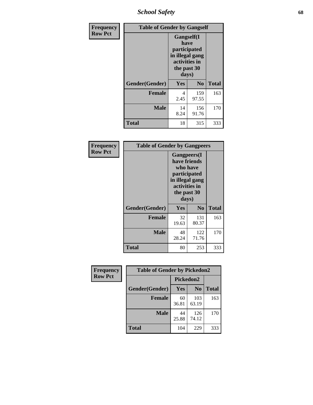*School Safety* **68**

| Frequency      | <b>Table of Gender by Gangself</b> |                                                                                                        |                |              |  |
|----------------|------------------------------------|--------------------------------------------------------------------------------------------------------|----------------|--------------|--|
| <b>Row Pct</b> |                                    | <b>Gangself</b> (I<br>have<br>participated<br>in illegal gang<br>activities in<br>the past 30<br>days) |                |              |  |
|                | Gender(Gender)                     | Yes                                                                                                    | N <sub>0</sub> | <b>Total</b> |  |
|                | <b>Female</b>                      | 4<br>2.45                                                                                              | 159<br>97.55   | 163          |  |
|                | <b>Male</b>                        | 14<br>8.24                                                                                             | 156<br>91.76   | 170          |  |
|                | <b>Total</b>                       | 18                                                                                                     | 315            | 333          |  |

| Frequency      | <b>Table of Gender by Gangpeers</b> |                                                                                                                             |                |              |
|----------------|-------------------------------------|-----------------------------------------------------------------------------------------------------------------------------|----------------|--------------|
| <b>Row Pct</b> |                                     | <b>Gangpeers</b> (I<br>have friends<br>who have<br>participated<br>in illegal gang<br>activities in<br>the past 30<br>days) |                |              |
|                | Gender(Gender)                      | Yes                                                                                                                         | N <sub>0</sub> | <b>Total</b> |
|                | <b>Female</b>                       | 32<br>19.63                                                                                                                 | 131<br>80.37   | 163          |
|                | <b>Male</b>                         | 48<br>28.24                                                                                                                 | 122<br>71.76   | 170          |
|                | Total                               | 80                                                                                                                          | 253            | 333          |

| <b>Frequency</b> | <b>Table of Gender by Pickedon2</b> |             |                |              |
|------------------|-------------------------------------|-------------|----------------|--------------|
| <b>Row Pct</b>   |                                     | Pickedon2   |                |              |
|                  | Gender(Gender)                      | Yes         | N <sub>o</sub> | <b>Total</b> |
|                  | <b>Female</b>                       | 60<br>36.81 | 103<br>63.19   | 163          |
|                  | <b>Male</b>                         | 44<br>25.88 | 126<br>74.12   | 170          |
|                  | <b>Total</b>                        | 104         | 229            | 333          |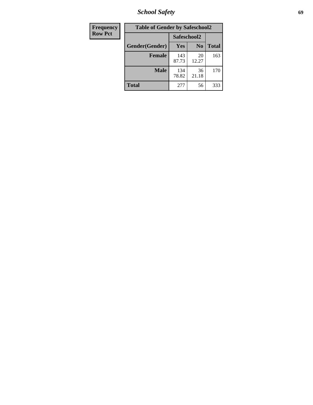*School Safety* **69**

| Frequency      | <b>Table of Gender by Safeschool2</b> |              |                |              |
|----------------|---------------------------------------|--------------|----------------|--------------|
| <b>Row Pct</b> |                                       | Safeschool2  |                |              |
|                | Gender(Gender)                        | <b>Yes</b>   | N <sub>0</sub> | <b>Total</b> |
|                | <b>Female</b>                         | 143<br>87.73 | 20<br>12.27    | 163          |
|                | <b>Male</b>                           | 134<br>78.82 | 36<br>21.18    | 170          |
|                | <b>Total</b>                          | 277          | 56             | 333          |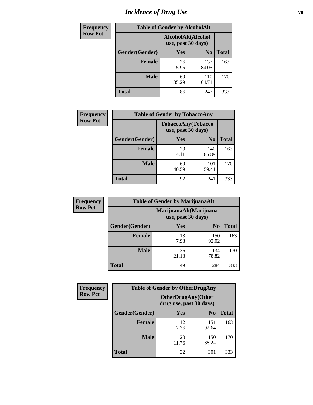# *Incidence of Drug Use* **70**

| <b>Frequency</b> |                | <b>Table of Gender by AlcoholAlt</b>     |                |              |
|------------------|----------------|------------------------------------------|----------------|--------------|
| <b>Row Pct</b>   |                | AlcoholAlt(Alcohol<br>use, past 30 days) |                |              |
|                  | Gender(Gender) | <b>Yes</b>                               | N <sub>0</sub> | <b>Total</b> |
|                  | <b>Female</b>  | 26<br>15.95                              | 137<br>84.05   | 163          |
|                  | <b>Male</b>    | 60<br>35.29                              | 110<br>64.71   | 170          |
|                  | <b>Total</b>   | 86                                       | 247            | 333          |

| Frequency      | <b>Table of Gender by TobaccoAny</b> |                                          |                |              |
|----------------|--------------------------------------|------------------------------------------|----------------|--------------|
| <b>Row Pct</b> |                                      | TobaccoAny(Tobacco<br>use, past 30 days) |                |              |
|                | Gender(Gender)                       | Yes                                      | N <sub>0</sub> | <b>Total</b> |
|                | <b>Female</b>                        | 23<br>14.11                              | 140<br>85.89   | 163          |
|                | <b>Male</b>                          | 69<br>40.59                              | 101<br>59.41   | 170          |
|                | Total                                | 92                                       | 241            | 333          |

| <b>Frequency</b> | <b>Table of Gender by MarijuanaAlt</b> |                                              |                |              |
|------------------|----------------------------------------|----------------------------------------------|----------------|--------------|
| <b>Row Pct</b>   |                                        | MarijuanaAlt(Marijuana<br>use, past 30 days) |                |              |
|                  | Gender(Gender)                         | <b>Yes</b>                                   | N <sub>0</sub> | <b>Total</b> |
|                  | <b>Female</b>                          | 13<br>7.98                                   | 150<br>92.02   | 163          |
|                  | <b>Male</b>                            | 36<br>21.18                                  | 134<br>78.82   | 170          |
|                  | <b>Total</b>                           | 49                                           | 284            | 333          |

| <b>Frequency</b> | <b>Table of Gender by OtherDrugAny</b> |                         |                            |              |
|------------------|----------------------------------------|-------------------------|----------------------------|--------------|
| <b>Row Pct</b>   |                                        | drug use, past 30 days) | <b>OtherDrugAny</b> (Other |              |
|                  | Gender(Gender)                         | <b>Yes</b>              | N <sub>0</sub>             | <b>Total</b> |
|                  | <b>Female</b>                          | 12<br>7.36              | 151<br>92.64               | 163          |
|                  | <b>Male</b>                            | 20<br>11.76             | 150<br>88.24               | 170          |
|                  | <b>Total</b>                           | 32                      | 301                        | 333          |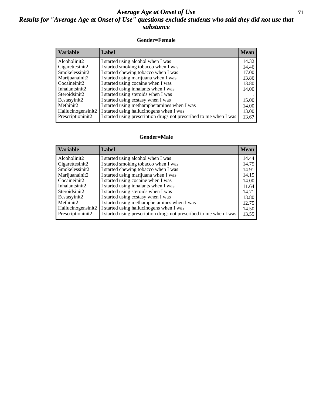### *Average Age at Onset of Use* **71** *Results for "Average Age at Onset of Use" questions exclude students who said they did not use that substance*

#### **Gender=Female**

| Variable           | <b>Label</b>                                                       | <b>Mean</b> |
|--------------------|--------------------------------------------------------------------|-------------|
| Alcoholinit2       | I started using alcohol when I was                                 | 14.32       |
| Cigarettesinit2    | I started smoking tobacco when I was                               | 14.46       |
| Smokelessinit2     | I started chewing tobacco when I was                               | 17.00       |
| Marijuanainit2     | I started using marijuana when I was                               | 13.86       |
| Cocaineinit2       | I started using cocaine when I was                                 | 13.80       |
| Inhalantsinit2     | I started using inhalants when I was                               | 14.00       |
| Steroidsinit2      | I started using steroids when I was                                |             |
| Ecstasyinit2       | I started using ecstasy when I was                                 | 15.00       |
| Methinit2          | I started using methamphetamines when I was                        | 14.00       |
| Hallucinogensinit2 | I started using hallucinogens when I was                           | 13.00       |
| Prescription in t2 | I started using prescription drugs not prescribed to me when I was | 13.67       |

#### **Gender=Male**

| <b>Variable</b>       | Label                                                              | <b>Mean</b> |
|-----------------------|--------------------------------------------------------------------|-------------|
| Alcoholinit2          | I started using alcohol when I was                                 | 14.44       |
| Cigarettesinit2       | I started smoking tobacco when I was                               | 14.75       |
| Smokelessinit2        | I started chewing tobacco when I was                               | 14.91       |
| Marijuanainit2        | I started using marijuana when I was                               | 14.15       |
| Cocaineinit2          | I started using cocaine when I was                                 | 14.00       |
| Inhalantsinit2        | I started using inhalants when I was                               | 11.64       |
| Steroidsinit2         | I started using steroids when I was                                | 14.71       |
| Ecstasyinit2          | I started using ecstasy when I was                                 | 13.80       |
| Methinit <sub>2</sub> | I started using methamphetamines when I was                        | 12.75       |
| Hallucinogensinit2    | I started using hallucinogens when I was                           | 14.50       |
| Prescriptioninit2     | I started using prescription drugs not prescribed to me when I was | 13.55       |
|                       |                                                                    |             |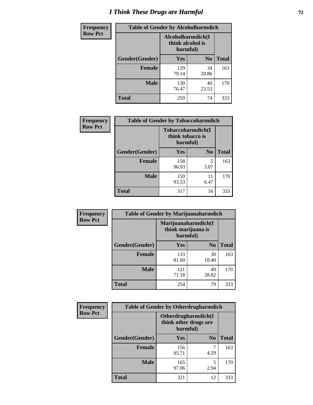# *I Think These Drugs are Harmful* **72**

| <b>Frequency</b> | <b>Table of Gender by Alcoholharmdich</b> |                                                   |                |              |
|------------------|-------------------------------------------|---------------------------------------------------|----------------|--------------|
| <b>Row Pct</b>   |                                           | Alcoholharmdich(I<br>think alcohol is<br>harmful) |                |              |
|                  | Gender(Gender)                            | Yes                                               | N <sub>0</sub> | <b>Total</b> |
|                  | Female                                    | 129<br>79.14                                      | 34<br>20.86    | 163          |
|                  | <b>Male</b>                               | 130<br>76.47                                      | 40<br>23.53    | 170          |
|                  | <b>Total</b>                              | 259                                               | 74             | 333          |

| Frequency      | <b>Table of Gender by Tobaccoharmdich</b> |                                                   |                |              |
|----------------|-------------------------------------------|---------------------------------------------------|----------------|--------------|
| <b>Row Pct</b> |                                           | Tobaccoharmdich(I<br>think tobacco is<br>harmful) |                |              |
|                | Gender(Gender)                            | Yes                                               | N <sub>0</sub> | <b>Total</b> |
|                | <b>Female</b>                             | 158<br>96.93                                      | 5<br>3.07      | 163          |
|                | <b>Male</b>                               | 159<br>93.53                                      | 11<br>6.47     | 170          |
|                | <b>Total</b>                              | 317                                               | 16             | 333          |

| Frequency      | <b>Table of Gender by Marijuanaharmdich</b> |                                                       |                |              |
|----------------|---------------------------------------------|-------------------------------------------------------|----------------|--------------|
| <b>Row Pct</b> |                                             | Marijuanaharmdich(I<br>think marijuana is<br>harmful) |                |              |
|                | Gender(Gender)                              | <b>Yes</b>                                            | N <sub>0</sub> | <b>Total</b> |
|                | <b>Female</b>                               | 133<br>81.60                                          | 30<br>18.40    | 163          |
|                | <b>Male</b>                                 | 121<br>71.18                                          | 49<br>28.82    | 170          |
|                | <b>Total</b>                                | 254                                                   | 79             | 333          |

| Frequency      | <b>Table of Gender by Otherdrugharmdich</b> |                                                          |                |              |
|----------------|---------------------------------------------|----------------------------------------------------------|----------------|--------------|
| <b>Row Pct</b> |                                             | Otherdrugharmdich(I<br>think other drugs are<br>harmful) |                |              |
|                | Gender(Gender)                              | <b>Yes</b>                                               | N <sub>0</sub> | <b>Total</b> |
|                | <b>Female</b>                               | 156<br>95.71                                             | 4.29           | 163          |
|                | <b>Male</b>                                 | 165<br>97.06                                             | 5<br>2.94      | 170          |
|                | <b>Total</b>                                | 321                                                      | 12             | 333          |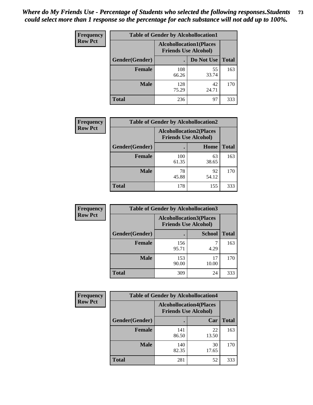| <b>Frequency</b> | <b>Table of Gender by Alcohollocation1</b> |              |                                                               |              |
|------------------|--------------------------------------------|--------------|---------------------------------------------------------------|--------------|
| <b>Row Pct</b>   |                                            |              | <b>Alcohollocation1(Places</b><br><b>Friends Use Alcohol)</b> |              |
|                  | <b>Gender</b> (Gender)                     |              | Do Not Use                                                    | <b>Total</b> |
|                  | <b>Female</b>                              | 108<br>66.26 | 55<br>33.74                                                   | 163          |
|                  | <b>Male</b>                                | 128<br>75.29 | 42<br>24.71                                                   | 170          |
|                  | <b>Total</b>                               | 236          | 97                                                            | 333          |

| <b>Frequency</b> | <b>Table of Gender by Alcohollocation2</b> |                                                               |             |              |
|------------------|--------------------------------------------|---------------------------------------------------------------|-------------|--------------|
| <b>Row Pct</b>   |                                            | <b>Alcohollocation2(Places</b><br><b>Friends Use Alcohol)</b> |             |              |
|                  | Gender(Gender)                             |                                                               | Home        | <b>Total</b> |
|                  | <b>Female</b>                              | 100<br>61.35                                                  | 63<br>38.65 | 163          |
|                  | <b>Male</b>                                | 78<br>45.88                                                   | 92<br>54.12 | 170          |
|                  | <b>Total</b>                               | 178                                                           | 155         | 333          |

| Frequency      |                | <b>Table of Gender by Alcohollocation3</b>                    |               |              |  |
|----------------|----------------|---------------------------------------------------------------|---------------|--------------|--|
| <b>Row Pct</b> |                | <b>Alcohollocation3(Places</b><br><b>Friends Use Alcohol)</b> |               |              |  |
|                | Gender(Gender) |                                                               | <b>School</b> | <b>Total</b> |  |
|                | <b>Female</b>  | 156<br>95.71                                                  | 4.29          | 163          |  |
|                | <b>Male</b>    | 153<br>90.00                                                  | 17<br>10.00   | 170          |  |
|                | <b>Total</b>   | 309                                                           | 24            | 333          |  |

| Frequency      | <b>Table of Gender by Alcohollocation4</b> |                                                               |             |              |  |
|----------------|--------------------------------------------|---------------------------------------------------------------|-------------|--------------|--|
| <b>Row Pct</b> |                                            | <b>Alcohollocation4(Places</b><br><b>Friends Use Alcohol)</b> |             |              |  |
|                | Gender(Gender)                             |                                                               | Car         | <b>Total</b> |  |
|                | <b>Female</b>                              | 141<br>86.50                                                  | 22<br>13.50 | 163          |  |
|                | <b>Male</b>                                | 140<br>82.35                                                  | 30<br>17.65 | 170          |  |
|                | <b>Total</b>                               | 281                                                           | 52          | 333          |  |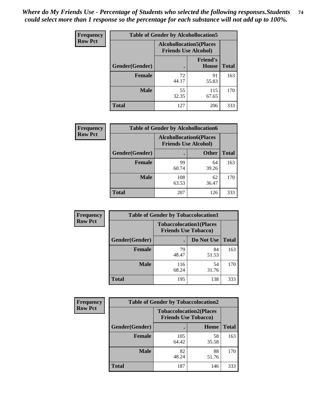| <b>Frequency</b> | <b>Table of Gender by Alcohollocation5</b> |                                                               |                                 |              |
|------------------|--------------------------------------------|---------------------------------------------------------------|---------------------------------|--------------|
| <b>Row Pct</b>   |                                            | <b>Alcohollocation5(Places</b><br><b>Friends Use Alcohol)</b> |                                 |              |
|                  | Gender(Gender)                             | $\bullet$                                                     | <b>Friend's</b><br><b>House</b> | <b>Total</b> |
|                  | <b>Female</b>                              | 72<br>44.17                                                   | 91<br>55.83                     | 163          |
|                  | <b>Male</b>                                | 55<br>32.35                                                   | 115<br>67.65                    | 170          |
|                  | <b>Total</b>                               | 127                                                           | 206                             | 333          |

| Frequency      | <b>Table of Gender by Alcohollocation6</b> |                                                               |              |              |  |
|----------------|--------------------------------------------|---------------------------------------------------------------|--------------|--------------|--|
| <b>Row Pct</b> |                                            | <b>Alcohollocation6(Places</b><br><b>Friends Use Alcohol)</b> |              |              |  |
|                | <b>Gender</b> (Gender)                     |                                                               | <b>Other</b> | <b>Total</b> |  |
|                | <b>Female</b>                              | 99<br>60.74                                                   | 64<br>39.26  | 163          |  |
|                | <b>Male</b>                                | 108<br>63.53                                                  | 62<br>36.47  | 170          |  |
|                | <b>Total</b>                               | 207                                                           | 126          | 333          |  |

| Frequency      | <b>Table of Gender by Tobaccolocation1</b> |                                                               |             |              |  |
|----------------|--------------------------------------------|---------------------------------------------------------------|-------------|--------------|--|
| <b>Row Pct</b> |                                            | <b>Tobaccolocation1(Places</b><br><b>Friends Use Tobacco)</b> |             |              |  |
|                | Gender(Gender)                             |                                                               | Do Not Use  | <b>Total</b> |  |
|                | <b>Female</b>                              | 79<br>48.47                                                   | 84<br>51.53 | 163          |  |
|                | <b>Male</b>                                | 116<br>68.24                                                  | 54<br>31.76 | 170          |  |
|                | <b>Total</b>                               | 195                                                           | 138         | 333          |  |

| <b>Frequency</b> | <b>Table of Gender by Tobaccolocation2</b> |                                                               |             |              |
|------------------|--------------------------------------------|---------------------------------------------------------------|-------------|--------------|
| <b>Row Pct</b>   |                                            | <b>Tobaccolocation2(Places</b><br><b>Friends Use Tobacco)</b> |             |              |
|                  | Gender(Gender)                             |                                                               | <b>Home</b> | <b>Total</b> |
|                  | Female                                     | 105<br>64.42                                                  | 58<br>35.58 | 163          |
|                  | <b>Male</b>                                | 82<br>48.24                                                   | 88<br>51.76 | 170          |
|                  | <b>Total</b>                               | 187                                                           | 146         | 333          |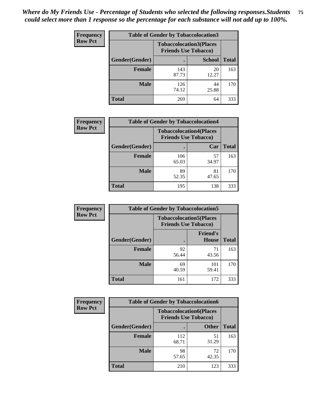| <b>Frequency</b> | <b>Table of Gender by Tobaccolocation3</b> |                                                               |               |              |
|------------------|--------------------------------------------|---------------------------------------------------------------|---------------|--------------|
| <b>Row Pct</b>   |                                            | <b>Tobaccolocation3(Places</b><br><b>Friends Use Tobacco)</b> |               |              |
|                  | Gender(Gender)                             |                                                               | <b>School</b> | <b>Total</b> |
|                  | <b>Female</b>                              | 143<br>87.73                                                  | 20<br>12.27   | 163          |
|                  | <b>Male</b>                                | 126<br>74.12                                                  | 44<br>25.88   | 170          |
|                  | <b>Total</b>                               | 269                                                           | 64            | 333          |

| <b>Frequency</b> | <b>Table of Gender by Tobaccolocation4</b> |                                                               |             |              |
|------------------|--------------------------------------------|---------------------------------------------------------------|-------------|--------------|
| <b>Row Pct</b>   |                                            | <b>Tobaccolocation4(Places</b><br><b>Friends Use Tobacco)</b> |             |              |
|                  | Gender(Gender)                             |                                                               | Car         | <b>Total</b> |
|                  | <b>Female</b>                              | 106<br>65.03                                                  | 57<br>34.97 | 163          |
|                  | <b>Male</b>                                | 89<br>52.35                                                   | 81<br>47.65 | 170          |
|                  | <b>Total</b>                               | 195                                                           | 138         | 333          |

| <b>Frequency</b> | <b>Table of Gender by Tobaccolocation5</b> |                                                               |                                 |              |
|------------------|--------------------------------------------|---------------------------------------------------------------|---------------------------------|--------------|
| <b>Row Pct</b>   |                                            | <b>Tobaccolocation5(Places</b><br><b>Friends Use Tobacco)</b> |                                 |              |
|                  | Gender(Gender)                             |                                                               | <b>Friend's</b><br><b>House</b> | <b>Total</b> |
|                  | <b>Female</b>                              | 92<br>56.44                                                   | 71<br>43.56                     | 163          |
|                  | <b>Male</b>                                | 69<br>40.59                                                   | 101<br>59.41                    | 170          |
|                  | <b>Total</b>                               | 161                                                           | 172                             | 333          |

| <b>Frequency</b> | <b>Table of Gender by Tobaccolocation6</b> |                                                               |              |              |
|------------------|--------------------------------------------|---------------------------------------------------------------|--------------|--------------|
| <b>Row Pct</b>   |                                            | <b>Tobaccolocation6(Places</b><br><b>Friends Use Tobacco)</b> |              |              |
|                  | Gender(Gender)                             |                                                               | <b>Other</b> | <b>Total</b> |
|                  | Female                                     | 112<br>68.71                                                  | 51<br>31.29  | 163          |
|                  | <b>Male</b>                                | 98<br>57.65                                                   | 72<br>42.35  | 170          |
|                  | <b>Total</b>                               | 210                                                           | 123          | 333          |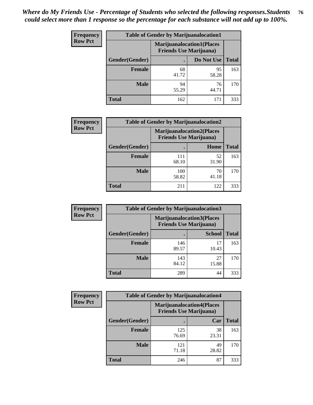| <b>Frequency</b> | <b>Table of Gender by Marijuanalocation1</b> |                                                                    |             |              |
|------------------|----------------------------------------------|--------------------------------------------------------------------|-------------|--------------|
| <b>Row Pct</b>   |                                              | <b>Marijuanalocation1(Places</b><br><b>Friends Use Marijuana</b> ) |             |              |
|                  | Gender(Gender)                               |                                                                    | Do Not Use  | <b>Total</b> |
|                  | <b>Female</b>                                | 68<br>41.72                                                        | 95<br>58.28 | 163          |
|                  | <b>Male</b>                                  | 94<br>55.29                                                        | 76<br>44.71 | 170          |
|                  | Total                                        | 162                                                                | 171         | 333          |

| <b>Frequency</b> | <b>Table of Gender by Marijuanalocation2</b> |                                                                    |             |              |  |
|------------------|----------------------------------------------|--------------------------------------------------------------------|-------------|--------------|--|
| <b>Row Pct</b>   |                                              | <b>Marijuanalocation2(Places</b><br><b>Friends Use Marijuana</b> ) |             |              |  |
|                  | Gender(Gender)                               |                                                                    | Home        | <b>Total</b> |  |
|                  | Female                                       | 111<br>68.10                                                       | 52<br>31.90 | 163          |  |
|                  | <b>Male</b>                                  | 100<br>58.82                                                       | 70<br>41.18 | 170          |  |
|                  | <b>Total</b>                                 | 211                                                                | 122         | 333          |  |

| Frequency      | <b>Table of Gender by Marijuanalocation3</b> |                                                                    |               |              |  |
|----------------|----------------------------------------------|--------------------------------------------------------------------|---------------|--------------|--|
| <b>Row Pct</b> |                                              | <b>Marijuanalocation3(Places</b><br><b>Friends Use Marijuana</b> ) |               |              |  |
|                | Gender(Gender)                               |                                                                    | <b>School</b> | <b>Total</b> |  |
|                | Female                                       | 146<br>89.57                                                       | 17<br>10.43   | 163          |  |
|                | <b>Male</b>                                  | 143<br>84.12                                                       | 27<br>15.88   | 170          |  |
|                | <b>Total</b>                                 | 289                                                                | 44            | 333          |  |

| Frequency      | <b>Table of Gender by Marijuanalocation4</b> |                                |                                  |              |  |
|----------------|----------------------------------------------|--------------------------------|----------------------------------|--------------|--|
| <b>Row Pct</b> |                                              | <b>Friends Use Marijuana</b> ) | <b>Marijuanalocation4(Places</b> |              |  |
|                | <b>Gender</b> (Gender)                       |                                | Car                              | <b>Total</b> |  |
|                | <b>Female</b>                                | 125<br>76.69                   | 38<br>23.31                      | 163          |  |
|                | <b>Male</b>                                  | 121<br>71.18                   | 49<br>28.82                      | 170          |  |
|                | <b>Total</b>                                 | 246                            | 87                               | 333          |  |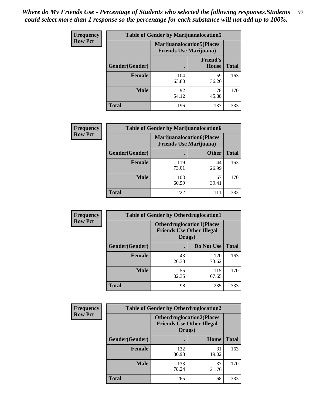| <b>Frequency</b> | <b>Table of Gender by Marijuanalocation5</b> |                                                                    |                          |              |
|------------------|----------------------------------------------|--------------------------------------------------------------------|--------------------------|--------------|
| <b>Row Pct</b>   |                                              | <b>Marijuanalocation5(Places</b><br><b>Friends Use Marijuana</b> ) |                          |              |
|                  | Gender(Gender)                               |                                                                    | <b>Friend's</b><br>House | <b>Total</b> |
|                  | <b>Female</b>                                | 104<br>63.80                                                       | 59<br>36.20              | 163          |
|                  | <b>Male</b>                                  | 92<br>54.12                                                        | 78<br>45.88              | 170          |
|                  | <b>Total</b>                                 | 196                                                                | 137                      | 333          |

| <b>Frequency</b> | <b>Table of Gender by Marijuanalocation6</b> |                                |                                  |              |
|------------------|----------------------------------------------|--------------------------------|----------------------------------|--------------|
| <b>Row Pct</b>   |                                              | <b>Friends Use Marijuana</b> ) | <b>Marijuanalocation6(Places</b> |              |
|                  | <b>Gender</b> (Gender)                       |                                | <b>Other</b>                     | <b>Total</b> |
|                  | Female                                       | 119<br>73.01                   | 44<br>26.99                      | 163          |
|                  | <b>Male</b>                                  | 103<br>60.59                   | 67<br>39.41                      | 170          |
|                  | Total                                        | 222                            | 111                              | 333          |

| Frequency      | <b>Table of Gender by Otherdruglocation1</b> |                                                                                |              |              |
|----------------|----------------------------------------------|--------------------------------------------------------------------------------|--------------|--------------|
| <b>Row Pct</b> |                                              | <b>Otherdruglocation1(Places</b><br><b>Friends Use Other Illegal</b><br>Drugs) |              |              |
|                | Gender(Gender)                               |                                                                                | Do Not Use   | <b>Total</b> |
|                | Female                                       | 43<br>26.38                                                                    | 120<br>73.62 | 163          |
|                | <b>Male</b>                                  | 55<br>32.35                                                                    | 115<br>67.65 | 170          |
|                | <b>Total</b>                                 | 98                                                                             | 235          | 333          |

| <b>Frequency</b> | <b>Table of Gender by Otherdruglocation2</b> |              |                                                                                |              |
|------------------|----------------------------------------------|--------------|--------------------------------------------------------------------------------|--------------|
| <b>Row Pct</b>   |                                              |              | <b>Otherdruglocation2(Places</b><br><b>Friends Use Other Illegal</b><br>Drugs) |              |
|                  | Gender(Gender)                               |              | Home                                                                           | <b>Total</b> |
|                  | Female                                       | 132<br>80.98 | 31<br>19.02                                                                    | 163          |
|                  | <b>Male</b>                                  | 133<br>78.24 | 37<br>21.76                                                                    | 170          |
|                  | <b>Total</b>                                 | 265          | 68                                                                             | 333          |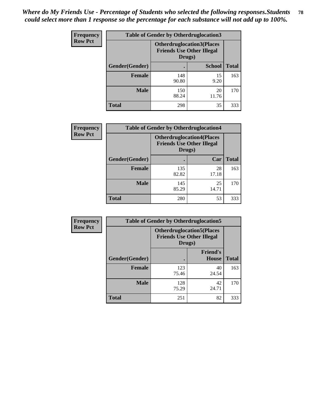| Frequency      | <b>Table of Gender by Otherdruglocation3</b> |                                                                                |               |              |
|----------------|----------------------------------------------|--------------------------------------------------------------------------------|---------------|--------------|
| <b>Row Pct</b> |                                              | <b>Otherdruglocation3(Places</b><br><b>Friends Use Other Illegal</b><br>Drugs) |               |              |
|                | Gender(Gender)                               |                                                                                | <b>School</b> | <b>Total</b> |
|                | <b>Female</b>                                | 148<br>90.80                                                                   | 15<br>9.20    | 163          |
|                | <b>Male</b>                                  | 150<br>88.24                                                                   | 20<br>11.76   | 170          |
|                | <b>Total</b>                                 | 298                                                                            | 35            | 333          |

| <b>Frequency</b> | <b>Table of Gender by Otherdruglocation4</b> |                                            |                                  |              |
|------------------|----------------------------------------------|--------------------------------------------|----------------------------------|--------------|
| <b>Row Pct</b>   |                                              | <b>Friends Use Other Illegal</b><br>Drugs) | <b>Otherdruglocation4(Places</b> |              |
|                  | <b>Gender</b> (Gender)                       |                                            | Car                              | <b>Total</b> |
|                  | Female                                       | 135<br>82.82                               | 28<br>17.18                      | 163          |
|                  | <b>Male</b>                                  | 145<br>85.29                               | 25<br>14.71                      | 170          |
|                  | <b>Total</b>                                 | 280                                        | 53                               | 333          |

| Frequency      | <b>Table of Gender by Otherdruglocation5</b>                                   |              |                                 |              |
|----------------|--------------------------------------------------------------------------------|--------------|---------------------------------|--------------|
| <b>Row Pct</b> | <b>Otherdruglocation5(Places</b><br><b>Friends Use Other Illegal</b><br>Drugs) |              |                                 |              |
|                | Gender(Gender)                                                                 |              | <b>Friend's</b><br><b>House</b> | <b>Total</b> |
|                | <b>Female</b>                                                                  | 123<br>75.46 | 40<br>24.54                     | 163          |
|                | <b>Male</b>                                                                    | 128<br>75.29 | 42<br>24.71                     | 170          |
|                | <b>Total</b>                                                                   | 251          | 82                              | 333          |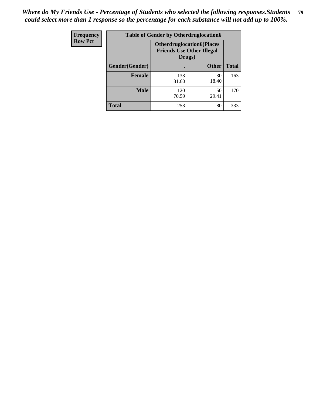| <b>Frequency</b> | <b>Table of Gender by Otherdruglocation6</b> |                                                                                |              |              |
|------------------|----------------------------------------------|--------------------------------------------------------------------------------|--------------|--------------|
| <b>Row Pct</b>   |                                              | <b>Otherdruglocation6(Places</b><br><b>Friends Use Other Illegal</b><br>Drugs) |              |              |
|                  | Gender(Gender)                               |                                                                                | <b>Other</b> | <b>Total</b> |
|                  | <b>Female</b>                                | 133<br>81.60                                                                   | 30<br>18.40  | 163          |
|                  | <b>Male</b>                                  | 120<br>70.59                                                                   | 50<br>29.41  | 170          |
|                  | <b>Total</b>                                 | 253                                                                            | 80           | 333          |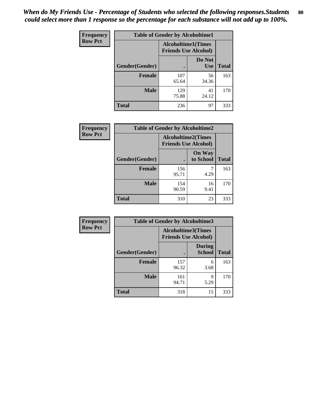| <b>Frequency</b> | <b>Table of Gender by Alcoholtime1</b> |                                                          |                      |              |
|------------------|----------------------------------------|----------------------------------------------------------|----------------------|--------------|
| <b>Row Pct</b>   |                                        | <b>Alcoholtime1(Times</b><br><b>Friends Use Alcohol)</b> |                      |              |
|                  | Gender(Gender)                         |                                                          | Do Not<br><b>Use</b> | <b>Total</b> |
|                  | <b>Female</b>                          | 107<br>65.64                                             | 56<br>34.36          | 163          |
|                  | <b>Male</b>                            | 129<br>75.88                                             | 41<br>24.12          | 170          |
|                  | <b>Total</b>                           | 236                                                      | 97                   | 333          |

| <b>Frequency</b> | <b>Table of Gender by Alcoholtime2</b> |                                                          |                            |              |
|------------------|----------------------------------------|----------------------------------------------------------|----------------------------|--------------|
| <b>Row Pct</b>   |                                        | <b>Alcoholtime2(Times</b><br><b>Friends Use Alcohol)</b> |                            |              |
|                  | Gender(Gender)                         |                                                          | <b>On Way</b><br>to School | <b>Total</b> |
|                  | <b>Female</b>                          | 156<br>95.71                                             | 4.29                       | 163          |
|                  | <b>Male</b>                            | 154<br>90.59                                             | 16<br>9.41                 | 170          |
|                  | <b>Total</b>                           | 310                                                      | 23                         | 333          |

| <b>Frequency</b> | <b>Table of Gender by Alcoholtime3</b> |                                                   |                                |              |
|------------------|----------------------------------------|---------------------------------------------------|--------------------------------|--------------|
| <b>Row Pct</b>   |                                        | Alcoholtime3(Times<br><b>Friends Use Alcohol)</b> |                                |              |
|                  | Gender(Gender)                         |                                                   | <b>During</b><br><b>School</b> | <b>Total</b> |
|                  | Female                                 | 157<br>96.32                                      | 6<br>3.68                      | 163          |
|                  | <b>Male</b>                            | 161<br>94.71                                      | 9<br>5.29                      | 170          |
|                  | <b>Total</b>                           | 318                                               | 15                             | 333          |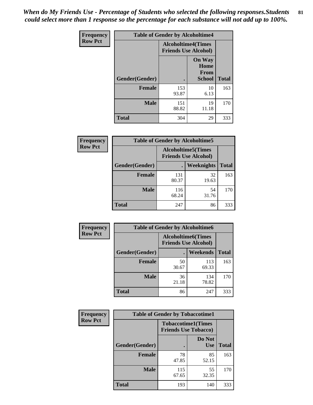*When do My Friends Use - Percentage of Students who selected the following responses.Students could select more than 1 response so the percentage for each substance will not add up to 100%.* **81**

| <b>Frequency</b> | <b>Table of Gender by Alcoholtime4</b> |                                                          |                                                |              |
|------------------|----------------------------------------|----------------------------------------------------------|------------------------------------------------|--------------|
| <b>Row Pct</b>   |                                        | <b>Alcoholtime4(Times</b><br><b>Friends Use Alcohol)</b> |                                                |              |
|                  | Gender(Gender)                         |                                                          | <b>On Way</b><br>Home<br>From<br><b>School</b> | <b>Total</b> |
|                  | <b>Female</b>                          | 153<br>93.87                                             | 10<br>6.13                                     | 163          |
|                  | <b>Male</b>                            | 151<br>88.82                                             | 19<br>11.18                                    | 170          |
|                  | <b>Total</b>                           | 304                                                      | 29                                             | 333          |

| <b>Frequency</b> | <b>Table of Gender by Alcoholtime5</b> |                                                           |             |              |
|------------------|----------------------------------------|-----------------------------------------------------------|-------------|--------------|
| <b>Row Pct</b>   |                                        | <b>Alcoholtime5</b> (Times<br><b>Friends Use Alcohol)</b> |             |              |
|                  | Gender(Gender)                         |                                                           | Weeknights  | <b>Total</b> |
|                  | <b>Female</b>                          | 131<br>80.37                                              | 32<br>19.63 | 163          |
|                  | <b>Male</b>                            | 116<br>68.24                                              | 54<br>31.76 | 170          |
|                  | <b>Total</b>                           | 247                                                       | 86          | 333          |

| <b>Frequency</b> | <b>Table of Gender by Alcoholtime6</b> |                                                           |                 |              |  |
|------------------|----------------------------------------|-----------------------------------------------------------|-----------------|--------------|--|
| <b>Row Pct</b>   |                                        | <b>Alcoholtime6</b> (Times<br><b>Friends Use Alcohol)</b> |                 |              |  |
|                  | Gender(Gender)                         |                                                           | <b>Weekends</b> | <b>Total</b> |  |
|                  | Female                                 | 50<br>30.67                                               | 113<br>69.33    | 163          |  |
|                  | <b>Male</b>                            | 36<br>21.18                                               | 134<br>78.82    | 170          |  |
|                  | Total                                  | 86                                                        | 247             | 333          |  |

| <b>Frequency</b> | <b>Table of Gender by Tobaccotime1</b> |                                                          |                      |              |
|------------------|----------------------------------------|----------------------------------------------------------|----------------------|--------------|
| <b>Row Pct</b>   |                                        | <b>Tobaccotime1(Times</b><br><b>Friends Use Tobacco)</b> |                      |              |
|                  | Gender(Gender)                         |                                                          | Do Not<br><b>Use</b> | <b>Total</b> |
|                  | <b>Female</b>                          | 78<br>47.85                                              | 85<br>52.15          | 163          |
|                  | <b>Male</b>                            | 115<br>67.65                                             | 55<br>32.35          | 170          |
|                  | <b>Total</b>                           | 193                                                      | 140                  | 333          |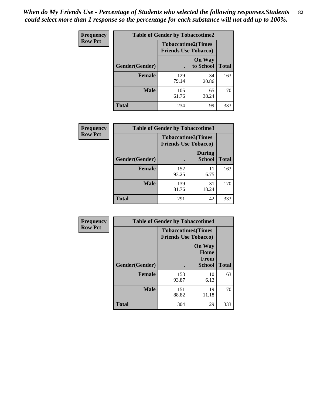| <b>Frequency</b> | <b>Table of Gender by Tobaccotime2</b> |                                                          |                            |              |
|------------------|----------------------------------------|----------------------------------------------------------|----------------------------|--------------|
| <b>Row Pct</b>   |                                        | <b>Tobaccotime2(Times</b><br><b>Friends Use Tobacco)</b> |                            |              |
|                  | Gender(Gender)                         |                                                          | <b>On Way</b><br>to School | <b>Total</b> |
|                  | <b>Female</b>                          | 129<br>79.14                                             | 34<br>20.86                | 163          |
|                  | <b>Male</b>                            | 105<br>61.76                                             | 65<br>38.24                | 170          |
|                  | <b>Total</b>                           | 234                                                      | 99                         | 333          |

| <b>Frequency</b> | <b>Table of Gender by Tobaccotime3</b> |                                                          |                                |              |
|------------------|----------------------------------------|----------------------------------------------------------|--------------------------------|--------------|
| <b>Row Pct</b>   |                                        | <b>Tobaccotime3(Times</b><br><b>Friends Use Tobacco)</b> |                                |              |
|                  | Gender(Gender)                         |                                                          | <b>During</b><br><b>School</b> | <b>Total</b> |
|                  | <b>Female</b>                          | 152<br>93.25                                             | 11<br>6.75                     | 163          |
|                  | <b>Male</b>                            | 139<br>81.76                                             | 31<br>18.24                    | 170          |
|                  | <b>Total</b>                           | 291                                                      | 42                             | 333          |

| <b>Frequency</b> | <b>Table of Gender by Tobaccotime4</b> |                                                          |                                                       |              |
|------------------|----------------------------------------|----------------------------------------------------------|-------------------------------------------------------|--------------|
| <b>Row Pct</b>   |                                        | <b>Tobaccotime4(Times</b><br><b>Friends Use Tobacco)</b> |                                                       |              |
|                  | Gender(Gender)                         |                                                          | <b>On Way</b><br>Home<br><b>From</b><br><b>School</b> | <b>Total</b> |
|                  | <b>Female</b>                          | 153<br>93.87                                             | 10<br>6.13                                            | 163          |
|                  | <b>Male</b>                            | 151<br>88.82                                             | 19<br>11.18                                           | 170          |
|                  | <b>Total</b>                           | 304                                                      | 29                                                    | 333          |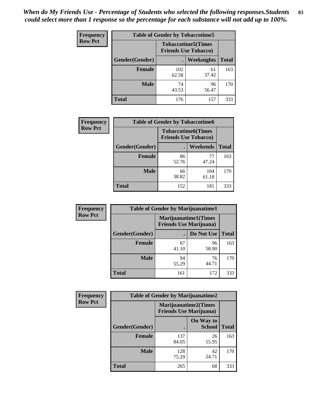| Frequency      | <b>Table of Gender by Tobaccotime5</b> |              |                                                          |              |  |
|----------------|----------------------------------------|--------------|----------------------------------------------------------|--------------|--|
| <b>Row Pct</b> |                                        |              | <b>Tobaccotime5(Times</b><br><b>Friends Use Tobacco)</b> |              |  |
|                | Gender(Gender)                         |              | Weeknights                                               | <b>Total</b> |  |
|                | <b>Female</b>                          | 102<br>62.58 | 61<br>37.42                                              | 163          |  |
|                | <b>Male</b>                            | 74<br>43.53  | 96<br>56.47                                              | 170          |  |
|                | <b>Total</b>                           | 176          | 157                                                      | 333          |  |

| <b>Frequency</b> | <b>Table of Gender by Tobaccotime6</b> |                                                          |                 |              |
|------------------|----------------------------------------|----------------------------------------------------------|-----------------|--------------|
| <b>Row Pct</b>   |                                        | <b>Tobaccotime6(Times</b><br><b>Friends Use Tobacco)</b> |                 |              |
|                  | Gender(Gender)                         |                                                          | <b>Weekends</b> | <b>Total</b> |
|                  | Female                                 | 86<br>52.76                                              | 77<br>47.24     | 163          |
|                  | <b>Male</b>                            | 66<br>38.82                                              | 104<br>61.18    | 170          |
|                  | <b>Total</b>                           | 152                                                      | 181             | 333          |

| <b>Frequency</b> |                | <b>Table of Gender by Marijuanatime1</b>                      |             |              |  |  |
|------------------|----------------|---------------------------------------------------------------|-------------|--------------|--|--|
| <b>Row Pct</b>   |                | <b>Marijuanatime1(Times</b><br><b>Friends Use Marijuana</b> ) |             |              |  |  |
|                  | Gender(Gender) |                                                               | Do Not Use  | <b>Total</b> |  |  |
|                  | <b>Female</b>  | 67<br>41.10                                                   | 96<br>58.90 | 163          |  |  |
|                  | <b>Male</b>    | 94<br>55.29                                                   | 76<br>44.71 | 170          |  |  |
|                  | <b>Total</b>   | 161                                                           | 172         | 333          |  |  |

| <b>Frequency</b> | <b>Table of Gender by Marijuanatime2</b> |                                                        |                            |              |
|------------------|------------------------------------------|--------------------------------------------------------|----------------------------|--------------|
| <b>Row Pct</b>   |                                          | Marijuanatime2(Times<br><b>Friends Use Marijuana</b> ) |                            |              |
|                  | Gender(Gender)                           |                                                        | On Way to<br><b>School</b> | <b>Total</b> |
|                  | <b>Female</b>                            | 137<br>84.05                                           | 26<br>15.95                | 163          |
|                  | <b>Male</b>                              | 128<br>75.29                                           | 42<br>24.71                | 170          |
|                  | <b>Total</b>                             | 265                                                    | 68                         | 333          |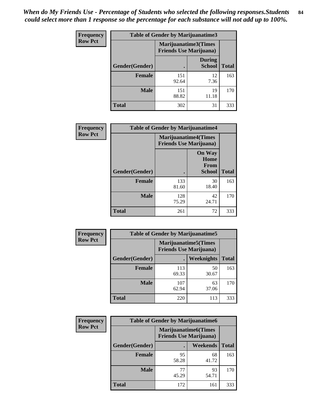*When do My Friends Use - Percentage of Students who selected the following responses.Students could select more than 1 response so the percentage for each substance will not add up to 100%.* **84**

| <b>Frequency</b> | Table of Gender by Marijuanatime3 |                                                        |                                |              |
|------------------|-----------------------------------|--------------------------------------------------------|--------------------------------|--------------|
| <b>Row Pct</b>   |                                   | Marijuanatime3(Times<br><b>Friends Use Marijuana</b> ) |                                |              |
|                  | Gender(Gender)                    |                                                        | <b>During</b><br><b>School</b> | <b>Total</b> |
|                  | <b>Female</b>                     | 151<br>92.64                                           | 12<br>7.36                     | 163          |
|                  | <b>Male</b>                       | 151<br>88.82                                           | 19<br>11.18                    | 170          |
|                  | <b>Total</b>                      | 302                                                    | 31                             | 333          |

| Frequency      | <b>Table of Gender by Marijuanatime4</b> |                                                               |                                                |              |
|----------------|------------------------------------------|---------------------------------------------------------------|------------------------------------------------|--------------|
| <b>Row Pct</b> |                                          | <b>Marijuanatime4(Times</b><br><b>Friends Use Marijuana</b> ) |                                                |              |
|                | Gender(Gender)                           |                                                               | <b>On Way</b><br>Home<br>From<br><b>School</b> | <b>Total</b> |
|                | <b>Female</b>                            | 133<br>81.60                                                  | 30<br>18.40                                    | 163          |
|                | <b>Male</b>                              | 128<br>75.29                                                  | 42<br>24.71                                    | 170          |
|                | <b>Total</b>                             | 261                                                           | 72                                             | 333          |

| Frequency      | <b>Table of Gender by Marijuanatime5</b> |                                                                |             |              |  |
|----------------|------------------------------------------|----------------------------------------------------------------|-------------|--------------|--|
| <b>Row Pct</b> |                                          | <b>Marijuanatime5</b> (Times<br><b>Friends Use Marijuana</b> ) |             |              |  |
|                | Gender(Gender)                           | ٠                                                              | Weeknights  | <b>Total</b> |  |
|                | <b>Female</b>                            | 113<br>69.33                                                   | 50<br>30.67 | 163          |  |
|                | <b>Male</b>                              | 107<br>62.94                                                   | 63<br>37.06 | 170          |  |
|                | <b>Total</b>                             | 220                                                            | 113         | 333          |  |

| Frequency      | <b>Table of Gender by Marijuanatime6</b> |                                                               |                 |              |  |
|----------------|------------------------------------------|---------------------------------------------------------------|-----------------|--------------|--|
| <b>Row Pct</b> |                                          | <b>Marijuanatime6(Times</b><br><b>Friends Use Marijuana</b> ) |                 |              |  |
|                | Gender(Gender)                           |                                                               | <b>Weekends</b> | <b>Total</b> |  |
|                | <b>Female</b>                            | 95<br>58.28                                                   | 68<br>41.72     | 163          |  |
|                | <b>Male</b>                              | 77<br>45.29                                                   | 93<br>54.71     | 170          |  |
|                | <b>Total</b>                             | 172                                                           | 161             | 333          |  |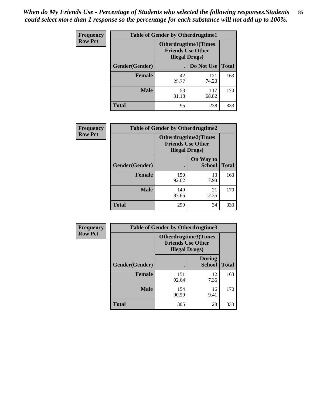*When do My Friends Use - Percentage of Students who selected the following responses.Students could select more than 1 response so the percentage for each substance will not add up to 100%.* **85**

| <b>Frequency</b> | <b>Table of Gender by Otherdrugtime1</b> |                                                                                    |              |              |
|------------------|------------------------------------------|------------------------------------------------------------------------------------|--------------|--------------|
| <b>Row Pct</b>   |                                          | <b>Otherdrugtime1</b> (Times<br><b>Friends Use Other</b><br><b>Illegal Drugs</b> ) |              |              |
|                  | Gender(Gender)                           |                                                                                    | Do Not Use   | <b>Total</b> |
|                  | <b>Female</b>                            | 42<br>25.77                                                                        | 121<br>74.23 | 163          |
|                  | <b>Male</b>                              | 53<br>31.18                                                                        | 117<br>68.82 | 170          |
|                  | <b>Total</b>                             | 95                                                                                 | 238          | 333          |

| <b>Frequency</b> | <b>Table of Gender by Otherdrugtime2</b> |                                                                                   |                            |              |
|------------------|------------------------------------------|-----------------------------------------------------------------------------------|----------------------------|--------------|
| <b>Row Pct</b>   |                                          | <b>Otherdrugtime2(Times</b><br><b>Friends Use Other</b><br><b>Illegal Drugs</b> ) |                            |              |
|                  | Gender(Gender)                           |                                                                                   | On Way to<br><b>School</b> | <b>Total</b> |
|                  | <b>Female</b>                            | 150<br>92.02                                                                      | 13<br>7.98                 | 163          |
|                  | <b>Male</b>                              | 149<br>87.65                                                                      | 21<br>12.35                | 170          |
|                  | <b>Total</b>                             | 299                                                                               | 34                         | 333          |

| <b>Frequency</b> | <b>Table of Gender by Otherdrugtime3</b> |                                                    |                                |              |
|------------------|------------------------------------------|----------------------------------------------------|--------------------------------|--------------|
| <b>Row Pct</b>   |                                          | <b>Friends Use Other</b><br><b>Illegal Drugs</b> ) | Otherdrugtime3(Times           |              |
|                  | Gender(Gender)                           |                                                    | <b>During</b><br><b>School</b> | <b>Total</b> |
|                  | <b>Female</b>                            | 151<br>92.64                                       | 12<br>7.36                     | 163          |
|                  | <b>Male</b>                              | 154<br>90.59                                       | 16<br>9.41                     | 170          |
|                  | <b>Total</b>                             | 305                                                | 28                             | 333          |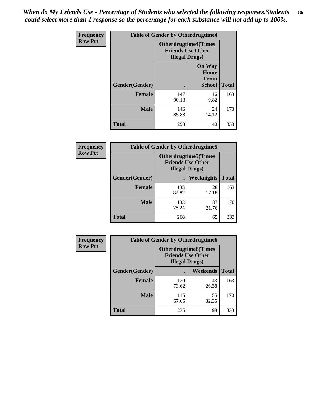*When do My Friends Use - Percentage of Students who selected the following responses.Students could select more than 1 response so the percentage for each substance will not add up to 100%.* **86**

| <b>Frequency</b> | <b>Table of Gender by Otherdrugtime4</b> |                        |                                                         |              |
|------------------|------------------------------------------|------------------------|---------------------------------------------------------|--------------|
| <b>Row Pct</b>   |                                          | <b>Illegal Drugs</b> ) | <b>Otherdrugtime4(Times</b><br><b>Friends Use Other</b> |              |
|                  | Gender(Gender)                           |                        | <b>On Way</b><br>Home<br>From<br><b>School</b>          | <b>Total</b> |
|                  | Female                                   | 147<br>90.18           | 16<br>9.82                                              | 163          |
|                  | <b>Male</b>                              | 146<br>85.88           | 24<br>14.12                                             | 170          |
|                  | <b>Total</b>                             | 293                    | 40                                                      | 333          |

| Frequency      | <b>Table of Gender by Otherdrugtime5</b> |                                                                                    |             |              |
|----------------|------------------------------------------|------------------------------------------------------------------------------------|-------------|--------------|
| <b>Row Pct</b> |                                          | <b>Otherdrugtime5</b> (Times<br><b>Friends Use Other</b><br><b>Illegal Drugs</b> ) |             |              |
|                | Gender(Gender)                           |                                                                                    | Weeknights  | <b>Total</b> |
|                | <b>Female</b>                            | 135<br>82.82                                                                       | 28<br>17.18 | 163          |
|                | <b>Male</b>                              | 133<br>78.24                                                                       | 37<br>21.76 | 170          |
|                | <b>Total</b>                             | 268                                                                                | 65          | 333          |

| <b>Frequency</b> | <b>Table of Gender by Otherdrugtime6</b> |                                                                                   |             |              |
|------------------|------------------------------------------|-----------------------------------------------------------------------------------|-------------|--------------|
| <b>Row Pct</b>   |                                          | <b>Otherdrugtime6(Times</b><br><b>Friends Use Other</b><br><b>Illegal Drugs</b> ) |             |              |
|                  | Gender(Gender)                           |                                                                                   | Weekends    | <b>Total</b> |
|                  | <b>Female</b>                            | 120<br>73.62                                                                      | 43<br>26.38 | 163          |
|                  | <b>Male</b>                              | 115<br>67.65                                                                      | 55<br>32.35 | 170          |
|                  | <b>Total</b>                             | 235                                                                               | 98          | 333          |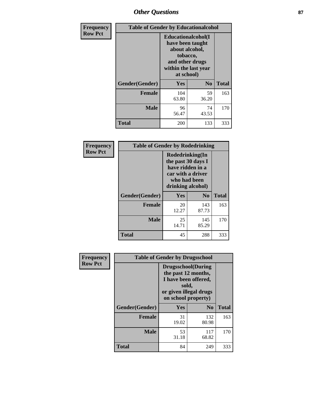# *Other Questions* **87**

| <b>Frequency</b> | <b>Table of Gender by Educationalcohol</b> |                                                                                                                               |                |              |  |
|------------------|--------------------------------------------|-------------------------------------------------------------------------------------------------------------------------------|----------------|--------------|--|
| <b>Row Pct</b>   |                                            | Educationalcohol(I<br>have been taught<br>about alcohol,<br>tobacco,<br>and other drugs<br>within the last year<br>at school) |                |              |  |
|                  | Gender(Gender)                             | <b>Yes</b>                                                                                                                    | N <sub>0</sub> | <b>Total</b> |  |
|                  | <b>Female</b>                              | 104<br>63.80                                                                                                                  | 59<br>36.20    | 163          |  |
|                  | <b>Male</b>                                | 96<br>56.47                                                                                                                   | 74<br>43.53    | 170          |  |
|                  | <b>Total</b>                               | 200                                                                                                                           | 133            | 333          |  |

| Frequency      | <b>Table of Gender by Rodedrinking</b> |                                                                                                                     |                |              |  |
|----------------|----------------------------------------|---------------------------------------------------------------------------------------------------------------------|----------------|--------------|--|
| <b>Row Pct</b> |                                        | Rodedrinking(In<br>the past 30 days I<br>have ridden in a<br>car with a driver<br>who had been<br>drinking alcohol) |                |              |  |
|                | Gender(Gender)                         | <b>Yes</b>                                                                                                          | N <sub>0</sub> | <b>Total</b> |  |
|                | Female                                 | 20<br>12.27                                                                                                         | 143<br>87.73   | 163          |  |
|                | <b>Male</b>                            | 25<br>14.71                                                                                                         | 145<br>85.29   | 170          |  |
|                | <b>Total</b>                           | 45                                                                                                                  | 288            | 333          |  |

| Frequency      | <b>Table of Gender by Drugsschool</b> |                                                                                                                                     |                |              |  |
|----------------|---------------------------------------|-------------------------------------------------------------------------------------------------------------------------------------|----------------|--------------|--|
| <b>Row Pct</b> |                                       | <b>Drugsschool</b> (During<br>the past 12 months,<br>I have been offered,<br>sold,<br>or given illegal drugs<br>on school property) |                |              |  |
|                | Gender(Gender)                        | Yes                                                                                                                                 | N <sub>0</sub> | <b>Total</b> |  |
|                | <b>Female</b>                         | 31<br>19.02                                                                                                                         | 132<br>80.98   | 163          |  |
|                | <b>Male</b>                           | 53<br>31.18                                                                                                                         | 117<br>68.82   | 170          |  |
|                | <b>Total</b>                          | 84                                                                                                                                  | 249            | 333          |  |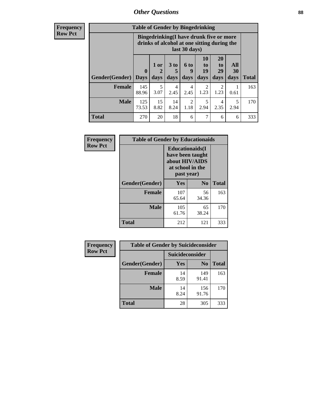# *Other Questions* **88**

**Frequency Row Pct**

| <b>Table of Gender by Bingedrinking</b> |                                                                                                         |                |                   |                          |                               |                               |                   |              |
|-----------------------------------------|---------------------------------------------------------------------------------------------------------|----------------|-------------------|--------------------------|-------------------------------|-------------------------------|-------------------|--------------|
|                                         | Bingedrinking(I have drunk five or more<br>drinks of alcohol at one sitting during the<br>last 30 days) |                |                   |                          |                               |                               |                   |              |
| <b>Gender</b> (Gender)                  | $\bf{0}$<br><b>Days</b>                                                                                 | $1$ or<br>days | 3 to<br>5<br>days | <b>6 to</b><br>9<br>days | <b>10</b><br>to<br>19<br>days | <b>20</b><br>to<br>29<br>days | All<br>30<br>days | <b>Total</b> |
| <b>Female</b>                           | 145<br>88.96                                                                                            | 5<br>3.07      | 4<br>2.45         | 4<br>2.45                | 2<br>1.23                     | 2<br>1.23                     | 0.61              | 163          |
|                                         |                                                                                                         |                |                   |                          |                               |                               | 5                 | 170          |
| <b>Male</b>                             | 125<br>73.53                                                                                            | 15<br>8.82     | 14<br>8.24        | $\mathfrak{D}$<br>1.18   | 5<br>2.94                     | 4<br>2.35                     | 2.94              |              |

| Frequency      | <b>Table of Gender by Educationaids</b> |                                                                                                 |             |              |  |  |
|----------------|-----------------------------------------|-------------------------------------------------------------------------------------------------|-------------|--------------|--|--|
| <b>Row Pct</b> |                                         | <b>Educationaids</b> (I<br>have been taught<br>about HIV/AIDS<br>at school in the<br>past year) |             |              |  |  |
|                | Gender(Gender)                          | Yes                                                                                             | $\bf N_0$   | <b>Total</b> |  |  |
|                | <b>Female</b>                           | 107<br>65.64                                                                                    | 56<br>34.36 | 163          |  |  |
|                | <b>Male</b>                             | 105<br>61.76                                                                                    | 65<br>38.24 | 170          |  |  |
|                | <b>Total</b>                            | 212                                                                                             | 121         | 333          |  |  |

| <b>Frequency</b> | <b>Table of Gender by Suicideconsider</b> |                 |                |              |  |
|------------------|-------------------------------------------|-----------------|----------------|--------------|--|
| <b>Row Pct</b>   |                                           | Suicideconsider |                |              |  |
|                  | Gender(Gender)                            | Yes             | N <sub>0</sub> | <b>Total</b> |  |
|                  | <b>Female</b>                             | 14<br>8.59      | 149<br>91.41   | 163          |  |
|                  | <b>Male</b>                               | 14<br>8.24      | 156<br>91.76   | 170          |  |
|                  | Total                                     | 28              | 305            | 333          |  |